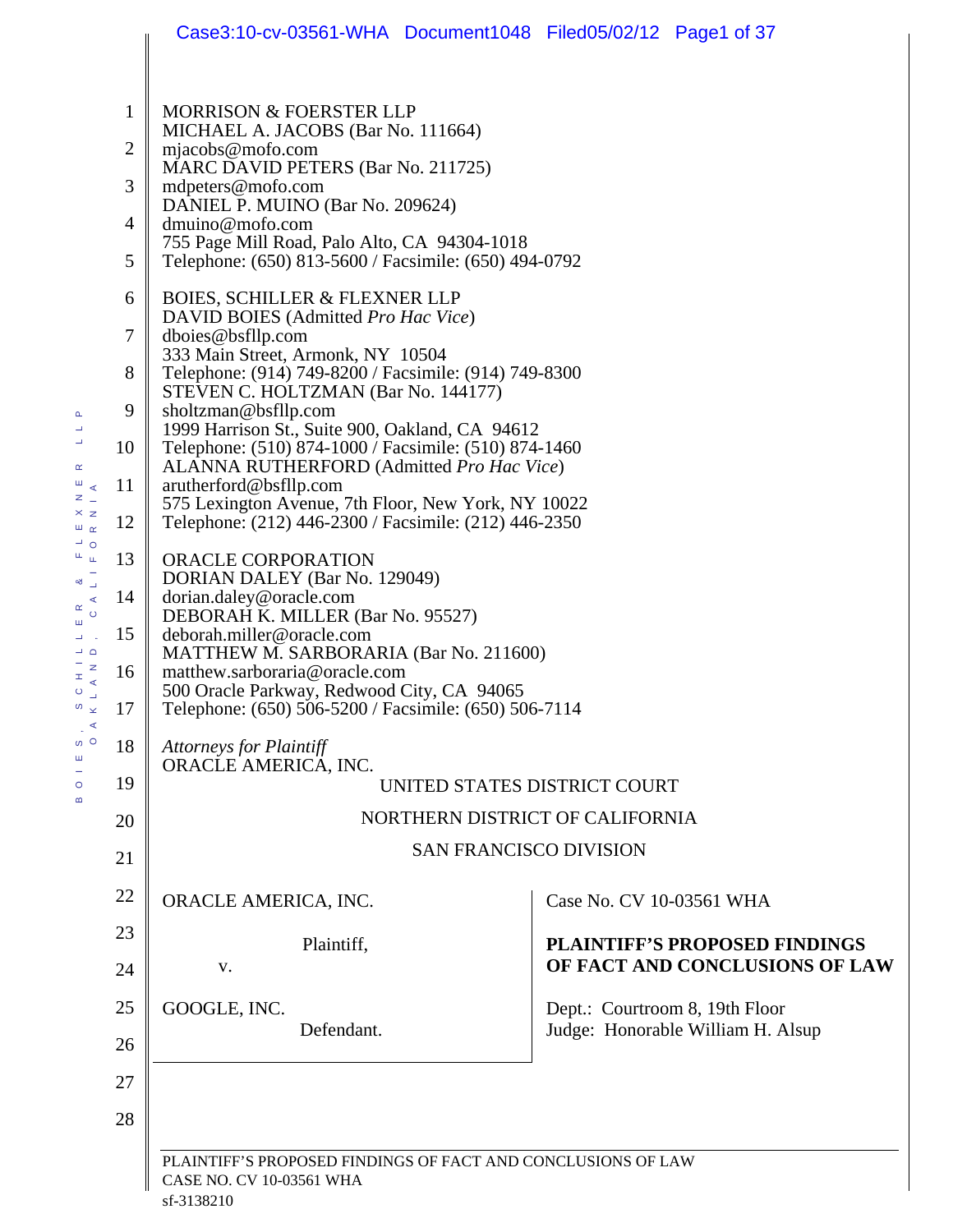|                                                     |                | Case3:10-cv-03561-WHA Document1048 Filed05/02/12 Page1 of 37                                                                                                                                                                                                             |                                      |  |  |  |  |
|-----------------------------------------------------|----------------|--------------------------------------------------------------------------------------------------------------------------------------------------------------------------------------------------------------------------------------------------------------------------|--------------------------------------|--|--|--|--|
|                                                     |                |                                                                                                                                                                                                                                                                          |                                      |  |  |  |  |
|                                                     | 1              | <b>MORRISON &amp; FOERSTER LLP</b><br>MICHAEL A. JACOBS (Bar No. 111664)                                                                                                                                                                                                 |                                      |  |  |  |  |
|                                                     | 2              | $m$ jacobs@mofo.com                                                                                                                                                                                                                                                      |                                      |  |  |  |  |
|                                                     | 3              | MARC DAVID PETERS (Bar No. 211725)<br>mdpeters@mofo.com                                                                                                                                                                                                                  |                                      |  |  |  |  |
|                                                     | $\overline{4}$ | DANIEL P. MUINO (Bar No. 209624)<br>dmuino@mofo.com                                                                                                                                                                                                                      |                                      |  |  |  |  |
|                                                     | 5              | 755 Page Mill Road, Palo Alto, CA 94304-1018<br>Telephone: (650) 813-5600 / Facsimile: (650) 494-0792                                                                                                                                                                    |                                      |  |  |  |  |
|                                                     | 6              | <b>BOIES, SCHILLER &amp; FLEXNER LLP</b>                                                                                                                                                                                                                                 |                                      |  |  |  |  |
|                                                     | $\tau$         | DAVID BOIES (Admitted Pro Hac Vice)<br>dboies@bsfllp.com                                                                                                                                                                                                                 |                                      |  |  |  |  |
|                                                     | 8              | 333 Main Street, Armonk, NY 10504<br>Telephone: (914) 749-8200 / Facsimile: (914) 749-8300                                                                                                                                                                               |                                      |  |  |  |  |
|                                                     | 9              | STEVEN C. HOLTZMAN (Bar No. 144177)<br>sholtzman@bsfllp.com                                                                                                                                                                                                              |                                      |  |  |  |  |
|                                                     | 10             | 1999 Harrison St., Suite 900, Oakland, CA 94612<br>Telephone: (510) 874-1000 / Facsimile: (510) 874-1460                                                                                                                                                                 |                                      |  |  |  |  |
| ĸ<br>$\mathbb{R}$<br>$\overline{z}$ $\overline{z}$  | 11             | ALANNA RUTHERFORD (Admitted Pro Hac Vice)<br>arutherford@bsfllp.com                                                                                                                                                                                                      |                                      |  |  |  |  |
| $\times z$<br>шœ                                    | 12             | 575 Lexington Avenue, 7th Floor, New York, NY 10022<br>Telephone: (212) 446-2300 / Facsimile: (212) 446-2350                                                                                                                                                             |                                      |  |  |  |  |
| $\overline{\phantom{0}}$ o<br>ш.<br>Ш               | 13             | ORACLE CORPORATION                                                                                                                                                                                                                                                       |                                      |  |  |  |  |
| ∞್⊸<br>$\alpha$ $\alpha$                            | 14             | DORIAN DALEY (Bar No. 129049)<br>dorian.daley@oracle.com                                                                                                                                                                                                                 |                                      |  |  |  |  |
| ш<br>ц                                              | 15             | DEBORAH K. MILLER (Bar No. 95527)<br>deborah.miller@oracle.com                                                                                                                                                                                                           |                                      |  |  |  |  |
| $\overline{\phantom{0}}$<br>$- z$<br>$\pm$ $\leq$   | 16             | MATTHEW M. SARBORARIA (Bar No. 211600)<br>matthew.sarboraria@oracle.com<br>500 Oracle Parkway, Redwood City, CA 94065<br>Telephone: (650) 506-5200 / Facsimile: (650) 506-7114<br><b>Attorneys for Plaintiff</b><br>ORACLE AMERICA, INC.<br>UNITED STATES DISTRICT COURT |                                      |  |  |  |  |
| $\circ$ $\overline{\phantom{0}}$<br>$\sim$ $\infty$ | 17             |                                                                                                                                                                                                                                                                          |                                      |  |  |  |  |
| $\Box$<br>$\triangleleft$<br><sub>თ</sub> o<br>ш    | 18             |                                                                                                                                                                                                                                                                          |                                      |  |  |  |  |
| $\frac{1}{\circ}$                                   | 19             |                                                                                                                                                                                                                                                                          |                                      |  |  |  |  |
| œ                                                   | 20             |                                                                                                                                                                                                                                                                          | NORTHERN DISTRICT OF CALIFORNIA      |  |  |  |  |
|                                                     | 21             |                                                                                                                                                                                                                                                                          | <b>SAN FRANCISCO DIVISION</b>        |  |  |  |  |
|                                                     | 22             | ORACLE AMERICA, INC.                                                                                                                                                                                                                                                     | Case No. CV 10-03561 WHA             |  |  |  |  |
|                                                     | 23             | Plaintiff,                                                                                                                                                                                                                                                               | <b>PLAINTIFF'S PROPOSED FINDINGS</b> |  |  |  |  |
|                                                     | 24             | V.                                                                                                                                                                                                                                                                       | OF FACT AND CONCLUSIONS OF LAW       |  |  |  |  |
|                                                     | 25             | GOOGLE, INC.                                                                                                                                                                                                                                                             | Dept.: Courtroom 8, 19th Floor       |  |  |  |  |
|                                                     | 26             | Defendant.                                                                                                                                                                                                                                                               | Judge: Honorable William H. Alsup    |  |  |  |  |
|                                                     | 27             |                                                                                                                                                                                                                                                                          |                                      |  |  |  |  |
|                                                     | 28             |                                                                                                                                                                                                                                                                          |                                      |  |  |  |  |
|                                                     |                | PLAINTIFF'S PROPOSED FINDINGS OF FACT AND CONCLUSIONS OF LAW                                                                                                                                                                                                             |                                      |  |  |  |  |
|                                                     |                | CASE NO. CV 10-03561 WHA                                                                                                                                                                                                                                                 |                                      |  |  |  |  |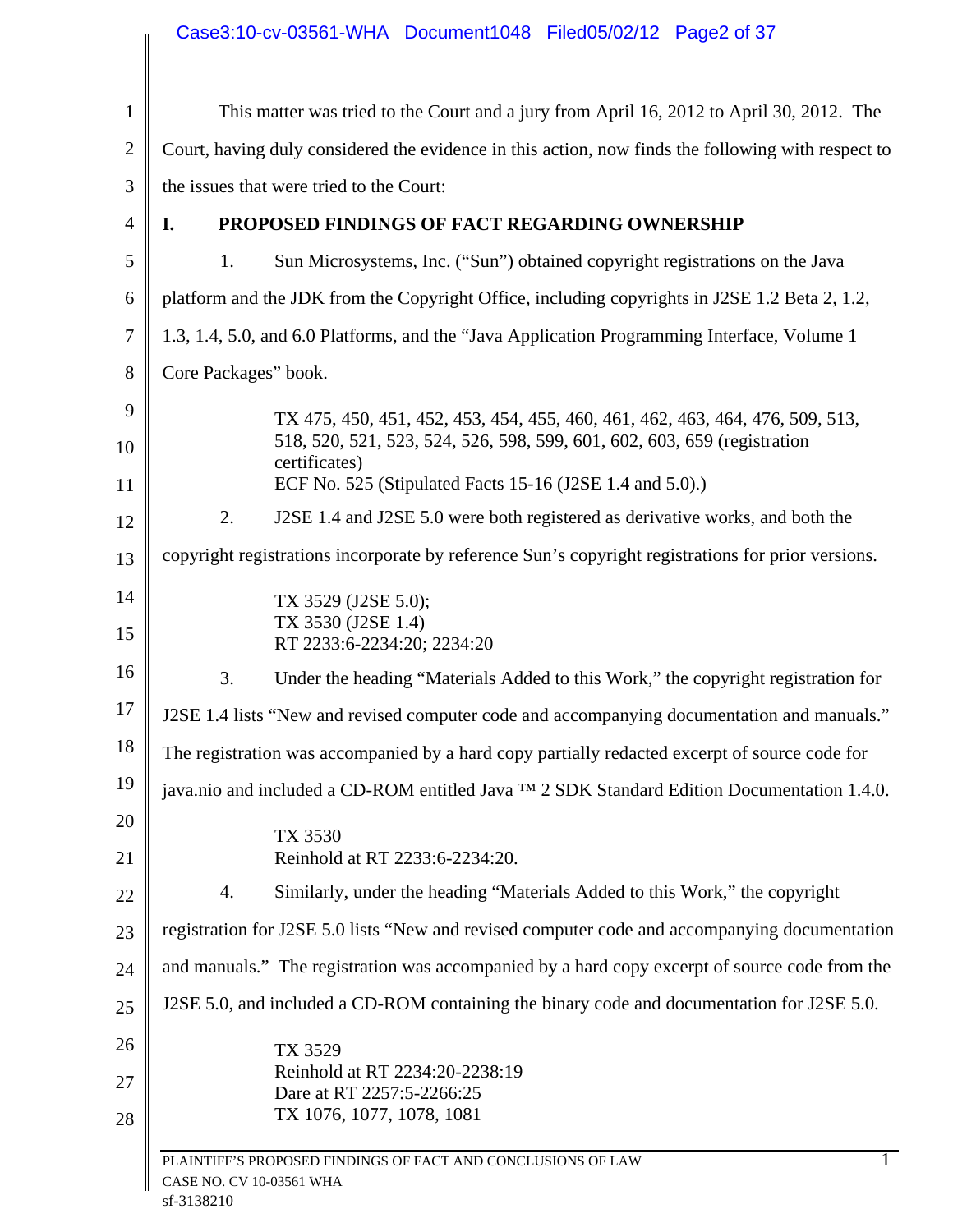|                | Case3:10-cv-03561-WHA Document1048 Filed05/02/12 Page2 of 37                                       |
|----------------|----------------------------------------------------------------------------------------------------|
| $\mathbf{1}$   | This matter was tried to the Court and a jury from April 16, 2012 to April 30, 2012. The           |
| $\overline{2}$ | Court, having duly considered the evidence in this action, now finds the following with respect to |
| 3              | the issues that were tried to the Court:                                                           |
| 4              | PROPOSED FINDINGS OF FACT REGARDING OWNERSHIP<br>I.                                                |
| 5              | Sun Microsystems, Inc. ("Sun") obtained copyright registrations on the Java<br>1.                  |
| 6              | platform and the JDK from the Copyright Office, including copyrights in J2SE 1.2 Beta 2, 1.2,      |
| $\tau$         | 1.3, 1.4, 5.0, and 6.0 Platforms, and the "Java Application Programming Interface, Volume 1        |
| 8              | Core Packages" book.                                                                               |
| 9              | TX 475, 450, 451, 452, 453, 454, 455, 460, 461, 462, 463, 464, 476, 509, 513,                      |
| 10             | 518, 520, 521, 523, 524, 526, 598, 599, 601, 602, 603, 659 (registration<br>certificates)          |
| 11             | ECF No. 525 (Stipulated Facts 15-16 (J2SE 1.4 and 5.0).)                                           |
| 12             | J2SE 1.4 and J2SE 5.0 were both registered as derivative works, and both the<br>2.                 |
| 13             | copyright registrations incorporate by reference Sun's copyright registrations for prior versions. |
| 14             | TX 3529 (J2SE 5.0);                                                                                |
| 15             | TX 3530 (J2SE 1.4)<br>RT 2233:6-2234:20; 2234:20                                                   |
| 16             | 3.<br>Under the heading "Materials Added to this Work," the copyright registration for             |
| 17             | J2SE 1.4 lists "New and revised computer code and accompanying documentation and manuals."         |
| 18             | The registration was accompanied by a hard copy partially redacted excerpt of source code for      |
| 19             | java.nio and included a CD-ROM entitled Java ™ 2 SDK Standard Edition Documentation 1.4.0.         |
| 20             | TX 3530                                                                                            |
| 21             | Reinhold at RT 2233:6-2234:20.                                                                     |
| 22             | Similarly, under the heading "Materials Added to this Work," the copyright<br>4.                   |
| 23             | registration for J2SE 5.0 lists "New and revised computer code and accompanying documentation      |
| 24             | and manuals." The registration was accompanied by a hard copy excerpt of source code from the      |
| 25             | J2SE 5.0, and included a CD-ROM containing the binary code and documentation for J2SE 5.0.         |
| 26             | TX 3529                                                                                            |
| 27             | Reinhold at RT 2234:20-2238:19<br>Dare at RT 2257:5-2266:25                                        |
| 28             | TX 1076, 1077, 1078, 1081                                                                          |
|                | PLAINTIFF'S PROPOSED FINDINGS OF FACT AND CONCLUSIONS OF LAW<br>CASE NO. CV 10-03561 WHA           |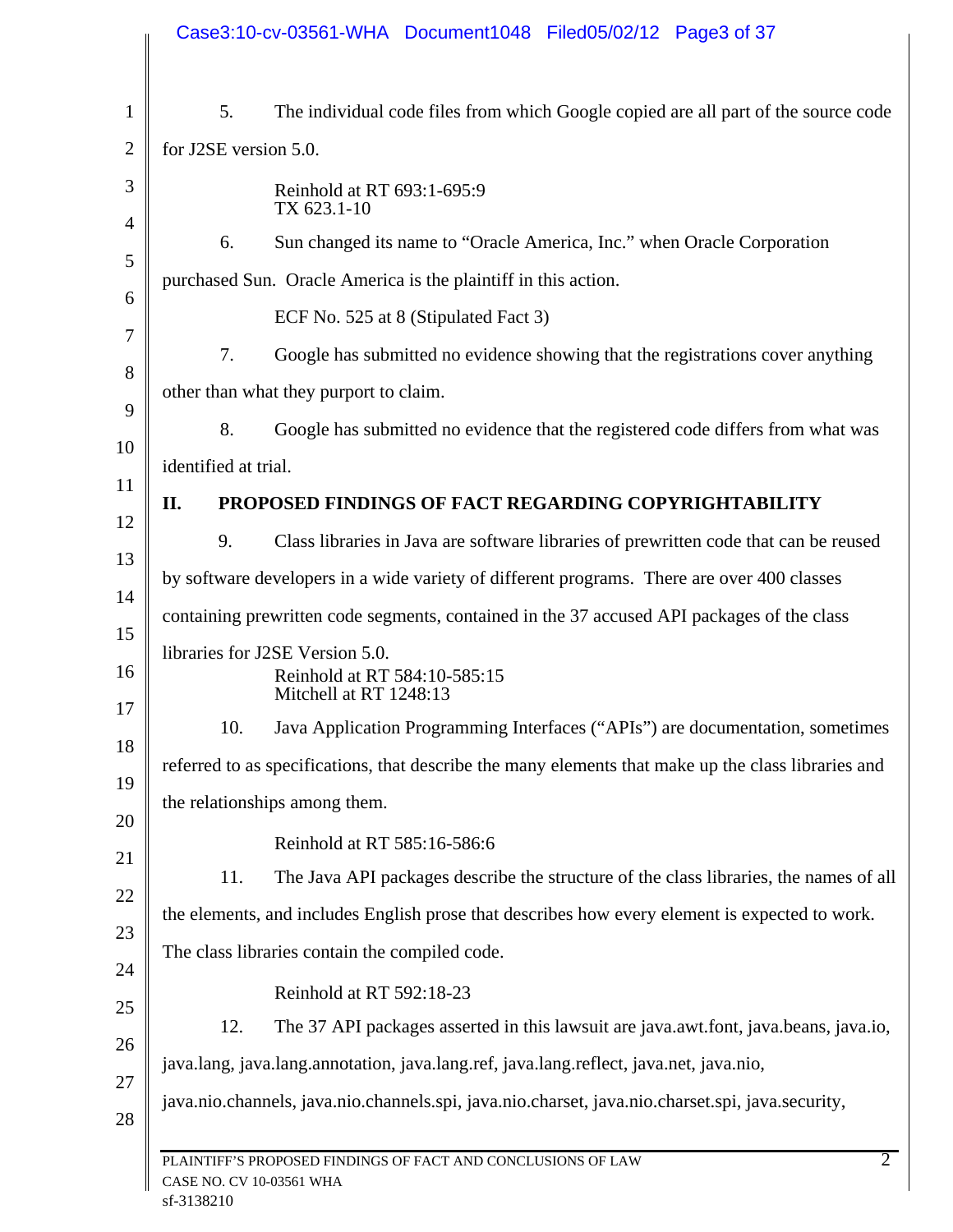| 5.                    | The individual code files from which Google copied are all part of the source code                  |
|-----------------------|-----------------------------------------------------------------------------------------------------|
| for J2SE version 5.0. |                                                                                                     |
|                       | Reinhold at RT 693:1-695:9<br>TX 623.1-10                                                           |
| 6.                    | Sun changed its name to "Oracle America, Inc." when Oracle Corporation                              |
|                       | purchased Sun. Oracle America is the plaintiff in this action.                                      |
|                       | ECF No. 525 at 8 (Stipulated Fact 3)                                                                |
| 7.                    | Google has submitted no evidence showing that the registrations cover anything                      |
|                       | other than what they purport to claim.                                                              |
| 8.                    | Google has submitted no evidence that the registered code differs from what was                     |
| identified at trial.  |                                                                                                     |
| Π.                    | PROPOSED FINDINGS OF FACT REGARDING COPYRIGHTABILITY                                                |
| 9.                    | Class libraries in Java are software libraries of prewritten code that can be reused                |
|                       | by software developers in a wide variety of different programs. There are over 400 classes          |
|                       | containing prewritten code segments, contained in the 37 accused API packages of the class          |
|                       | libraries for J2SE Version 5.0.<br>Reinhold at RT 584:10-585:15<br>Mitchell at RT 1248:13           |
| 10.                   | Java Application Programming Interfaces ("APIs") are documentation, sometimes                       |
|                       | referred to as specifications, that describe the many elements that make up the class libraries and |
|                       | the relationships among them.                                                                       |
|                       | Reinhold at RT 585:16-586:6                                                                         |
| 11.                   | The Java API packages describe the structure of the class libraries, the names of all               |
|                       | the elements, and includes English prose that describes how every element is expected to work.      |
|                       | The class libraries contain the compiled code.                                                      |
|                       | Reinhold at RT 592:18-23                                                                            |
| 12.                   | The 37 API packages asserted in this lawsuit are java.awt.font, java.beans, java.io,                |
|                       | java.lang, java.lang.annotation, java.lang.ref, java.lang.reflect, java.net, java.nio,              |
|                       | java.nio.channels, java.nio.channels.spi, java.nio.charset, java.nio.charset.spi, java.security,    |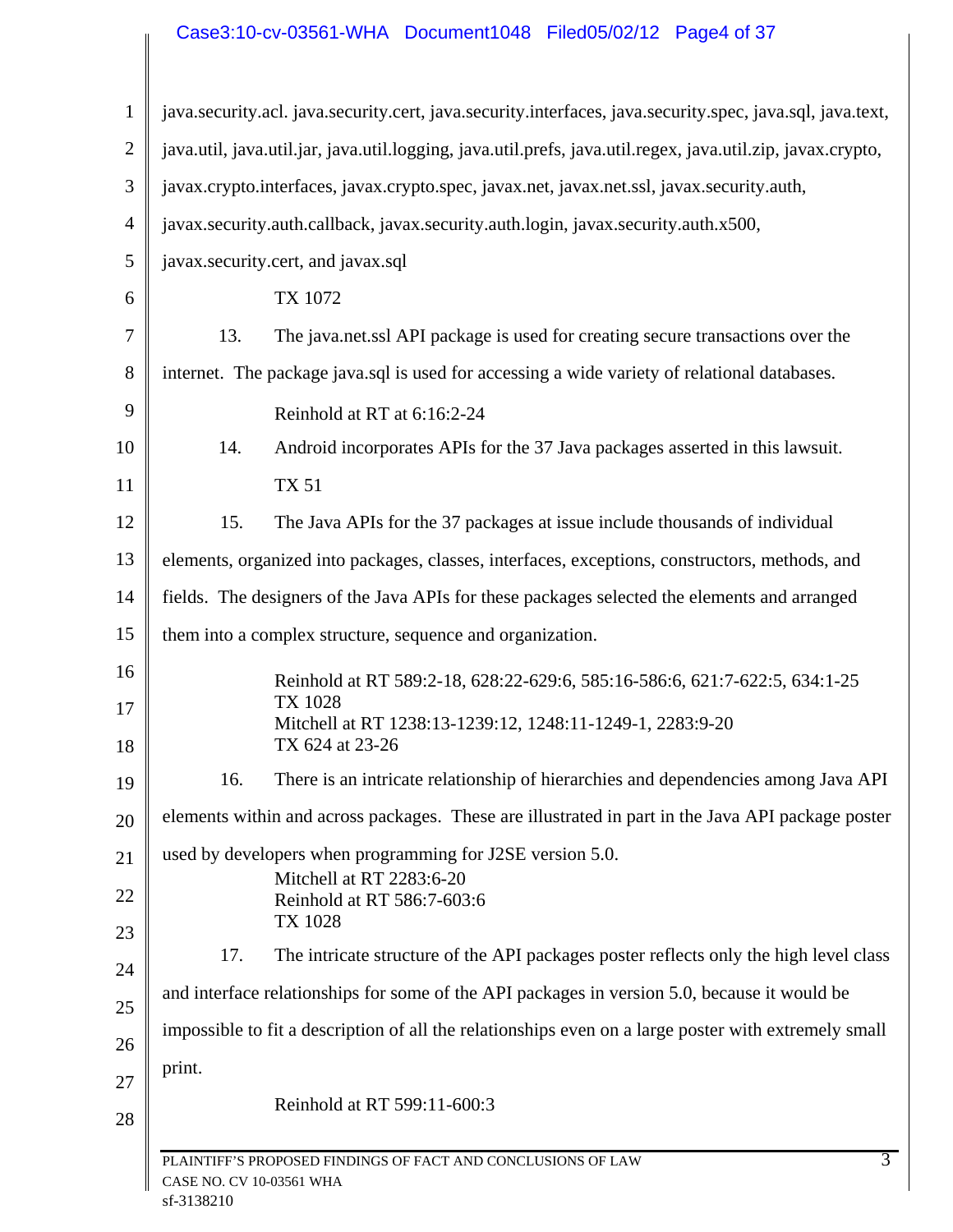# Case3:10-cv-03561-WHA Document1048 Filed05/02/12 Page4 of 37

| $\mathbf{1}$   | java.security.acl. java.security.cert, java.security.interfaces, java.security.spec, java.sql, java.text,   |
|----------------|-------------------------------------------------------------------------------------------------------------|
| $\overline{2}$ | java.util, java.util.jar, java.util.logging, java.util.prefs, java.util.regex, java.util.zip, javax.crypto, |
| 3              | javax.crypto.interfaces, javax.crypto.spec, javax.net, javax.net.ssl, javax.security.auth,                  |
| 4              | javax.security.auth.callback, javax.security.auth.login, javax.security.auth.x500,                          |
| 5              | javax.security.cert, and javax.sql                                                                          |
| 6              | TX 1072                                                                                                     |
| 7              | 13.<br>The java.net.ssl API package is used for creating secure transactions over the                       |
| 8              | internet. The package java.sql is used for accessing a wide variety of relational databases.                |
| 9              | Reinhold at RT at 6:16:2-24                                                                                 |
| 10             | Android incorporates APIs for the 37 Java packages asserted in this lawsuit.<br>14.                         |
| 11             | <b>TX 51</b>                                                                                                |
| 12             | The Java APIs for the 37 packages at issue include thousands of individual<br>15.                           |
| 13             | elements, organized into packages, classes, interfaces, exceptions, constructors, methods, and              |
| 14             | fields. The designers of the Java APIs for these packages selected the elements and arranged                |
| 15             | them into a complex structure, sequence and organization.                                                   |
| 16             | Reinhold at RT 589:2-18, 628:22-629:6, 585:16-586:6, 621:7-622:5, 634:1-25                                  |
| 17<br>18       | <b>TX 1028</b><br>Mitchell at RT 1238:13-1239:12, 1248:11-1249-1, 2283:9-20<br>TX 624 at 23-26              |
| 19             | There is an intricate relationship of hierarchies and dependencies among Java API<br>16.                    |
| 20             | elements within and across packages. These are illustrated in part in the Java API package poster           |
| 21             | used by developers when programming for J2SE version 5.0.                                                   |
| 22             | Mitchell at RT 2283:6-20<br>Reinhold at RT 586:7-603:6                                                      |
| 23             | TX 1028<br>The intricate structure of the API packages poster reflects only the high level class<br>17.     |
| 24             | and interface relationships for some of the API packages in version 5.0, because it would be                |
| 25             |                                                                                                             |
| 26             | impossible to fit a description of all the relationships even on a large poster with extremely small        |
| 27             | print.                                                                                                      |
| 28             | Reinhold at RT 599:11-600:3                                                                                 |
|                | $\overline{3}$<br>PLAINTIFF'S PROPOSED FINDINGS OF FACT AND CONCLUSIONS OF LAW                              |
|                | CASE NO. CV 10-03561 WHA                                                                                    |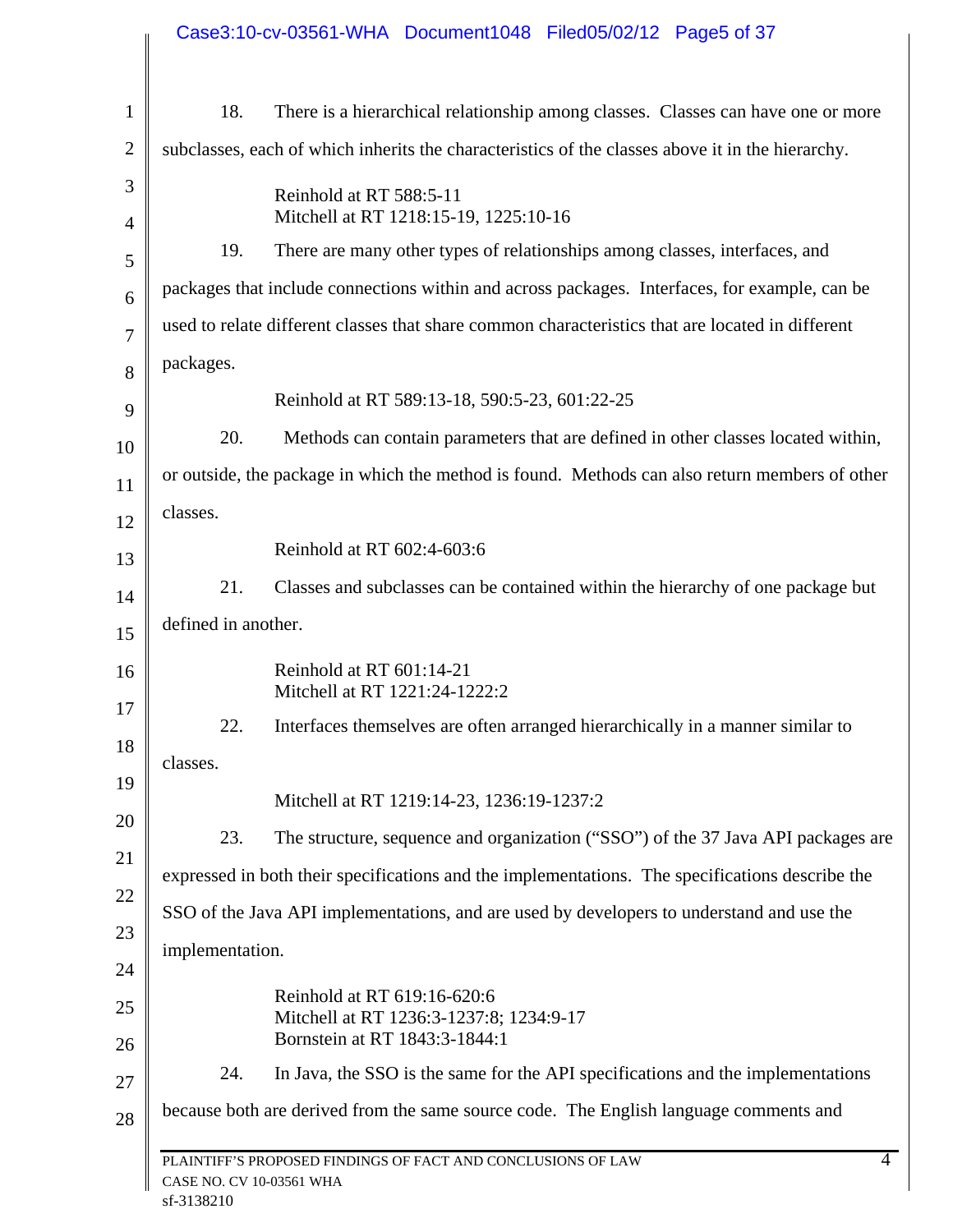|                | Case3:10-cv-03561-WHA Document1048 Filed05/02/12 Page5 of 37                                               |  |
|----------------|------------------------------------------------------------------------------------------------------------|--|
|                |                                                                                                            |  |
| $\mathbf{1}$   | 18.<br>There is a hierarchical relationship among classes. Classes can have one or more                    |  |
| $\overline{2}$ | subclasses, each of which inherits the characteristics of the classes above it in the hierarchy.           |  |
| 3              | Reinhold at RT 588:5-11                                                                                    |  |
| 4              | Mitchell at RT 1218:15-19, 1225:10-16                                                                      |  |
| 5              | There are many other types of relationships among classes, interfaces, and<br>19.                          |  |
| 6              | packages that include connections within and across packages. Interfaces, for example, can be              |  |
| $\overline{7}$ | used to relate different classes that share common characteristics that are located in different           |  |
| 8              | packages.                                                                                                  |  |
| 9              | Reinhold at RT 589:13-18, 590:5-23, 601:22-25                                                              |  |
| 10             | 20.<br>Methods can contain parameters that are defined in other classes located within,                    |  |
| 11             | or outside, the package in which the method is found. Methods can also return members of other             |  |
| 12             | classes.                                                                                                   |  |
| 13             | Reinhold at RT 602:4-603:6                                                                                 |  |
| 14             | 21.<br>Classes and subclasses can be contained within the hierarchy of one package but                     |  |
| 15             | defined in another.                                                                                        |  |
| 16<br>$17\,$   | Reinhold at RT 601:14-21<br>Mitchell at RT 1221:24-1222:2                                                  |  |
| 18             | Interfaces themselves are often arranged hierarchically in a manner similar to<br>22.                      |  |
| 19             | classes.                                                                                                   |  |
| 20             | Mitchell at RT 1219:14-23, 1236:19-1237:2                                                                  |  |
| 21             | 23.<br>The structure, sequence and organization ("SSO") of the 37 Java API packages are                    |  |
| 22             | expressed in both their specifications and the implementations. The specifications describe the            |  |
| 23             | SSO of the Java API implementations, and are used by developers to understand and use the                  |  |
| 24             | implementation.                                                                                            |  |
| 25             | Reinhold at RT 619:16-620:6                                                                                |  |
| 26             | Mitchell at RT 1236:3-1237:8; 1234:9-17<br>Bornstein at RT 1843:3-1844:1                                   |  |
| 27             | 24.<br>In Java, the SSO is the same for the API specifications and the implementations                     |  |
| 28             | because both are derived from the same source code. The English language comments and                      |  |
|                | $\overline{4}$<br>PLAINTIFF'S PROPOSED FINDINGS OF FACT AND CONCLUSIONS OF LAW<br>CASE NO. CV 10-03561 WHA |  |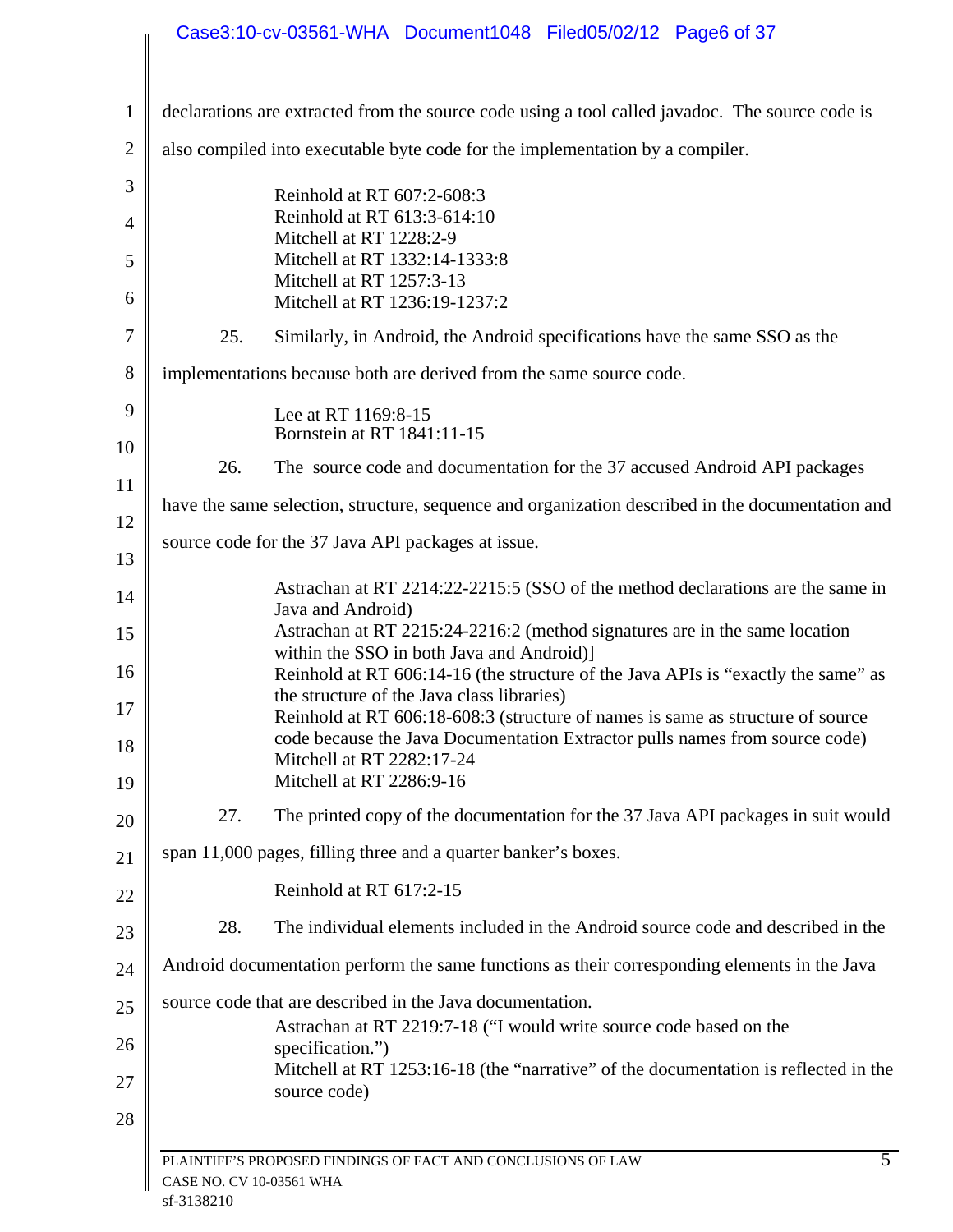|                |                          | Case3:10-cv-03561-WHA Document1048 Filed05/02/12 Page6 of 37                                                                                                                               |
|----------------|--------------------------|--------------------------------------------------------------------------------------------------------------------------------------------------------------------------------------------|
|                |                          |                                                                                                                                                                                            |
| $\mathbf{1}$   |                          | declarations are extracted from the source code using a tool called javadoc. The source code is                                                                                            |
| $\overline{2}$ |                          | also compiled into executable byte code for the implementation by a compiler.                                                                                                              |
| 3              |                          | Reinhold at RT 607:2-608:3                                                                                                                                                                 |
| $\overline{4}$ |                          | Reinhold at RT 613:3-614:10<br>Mitchell at RT 1228:2-9                                                                                                                                     |
| 5              |                          | Mitchell at RT 1332:14-1333:8<br>Mitchell at RT 1257:3-13                                                                                                                                  |
| 6              |                          | Mitchell at RT 1236:19-1237:2                                                                                                                                                              |
| $\overline{7}$ | 25.                      | Similarly, in Android, the Android specifications have the same SSO as the                                                                                                                 |
| 8              |                          | implementations because both are derived from the same source code.                                                                                                                        |
| 9              |                          | Lee at RT 1169:8-15                                                                                                                                                                        |
| 10             |                          | Bornstein at RT 1841:11-15                                                                                                                                                                 |
| 11             | 26.                      | The source code and documentation for the 37 accused Android API packages                                                                                                                  |
| 12             |                          | have the same selection, structure, sequence and organization described in the documentation and                                                                                           |
| 13             |                          | source code for the 37 Java API packages at issue.                                                                                                                                         |
| 14             |                          | Astrachan at RT 2214:22-2215:5 (SSO of the method declarations are the same in                                                                                                             |
| 15             |                          | Java and Android)<br>Astrachan at RT 2215:24-2216:2 (method signatures are in the same location                                                                                            |
| 16             |                          | within the SSO in both Java and Android)]<br>Reinhold at RT 606:14-16 (the structure of the Java APIs is "exactly the same" as                                                             |
| 17             |                          | the structure of the Java class libraries)                                                                                                                                                 |
| 18             |                          | Reinhold at RT 606:18-608:3 (structure of names is same as structure of source<br>code because the Java Documentation Extractor pulls names from source code)<br>Mitchell at RT 2282:17-24 |
| 19             |                          | Mitchell at RT 2286:9-16                                                                                                                                                                   |
| 20             | 27.                      | The printed copy of the documentation for the 37 Java API packages in suit would                                                                                                           |
| 21             |                          | span 11,000 pages, filling three and a quarter banker's boxes.                                                                                                                             |
| 22             |                          | Reinhold at RT 617:2-15                                                                                                                                                                    |
| 23             | 28.                      | The individual elements included in the Android source code and described in the                                                                                                           |
| 24             |                          | Android documentation perform the same functions as their corresponding elements in the Java                                                                                               |
| 25             |                          | source code that are described in the Java documentation.                                                                                                                                  |
| 26             |                          | Astrachan at RT 2219:7-18 ("I would write source code based on the<br>specification.")                                                                                                     |
| 27             |                          | Mitchell at RT 1253:16-18 (the "narrative" of the documentation is reflected in the<br>source code)                                                                                        |
| 28             |                          |                                                                                                                                                                                            |
|                |                          | $\overline{5}$<br>PLAINTIFF'S PROPOSED FINDINGS OF FACT AND CONCLUSIONS OF LAW                                                                                                             |
|                | CASE NO. CV 10-03561 WHA |                                                                                                                                                                                            |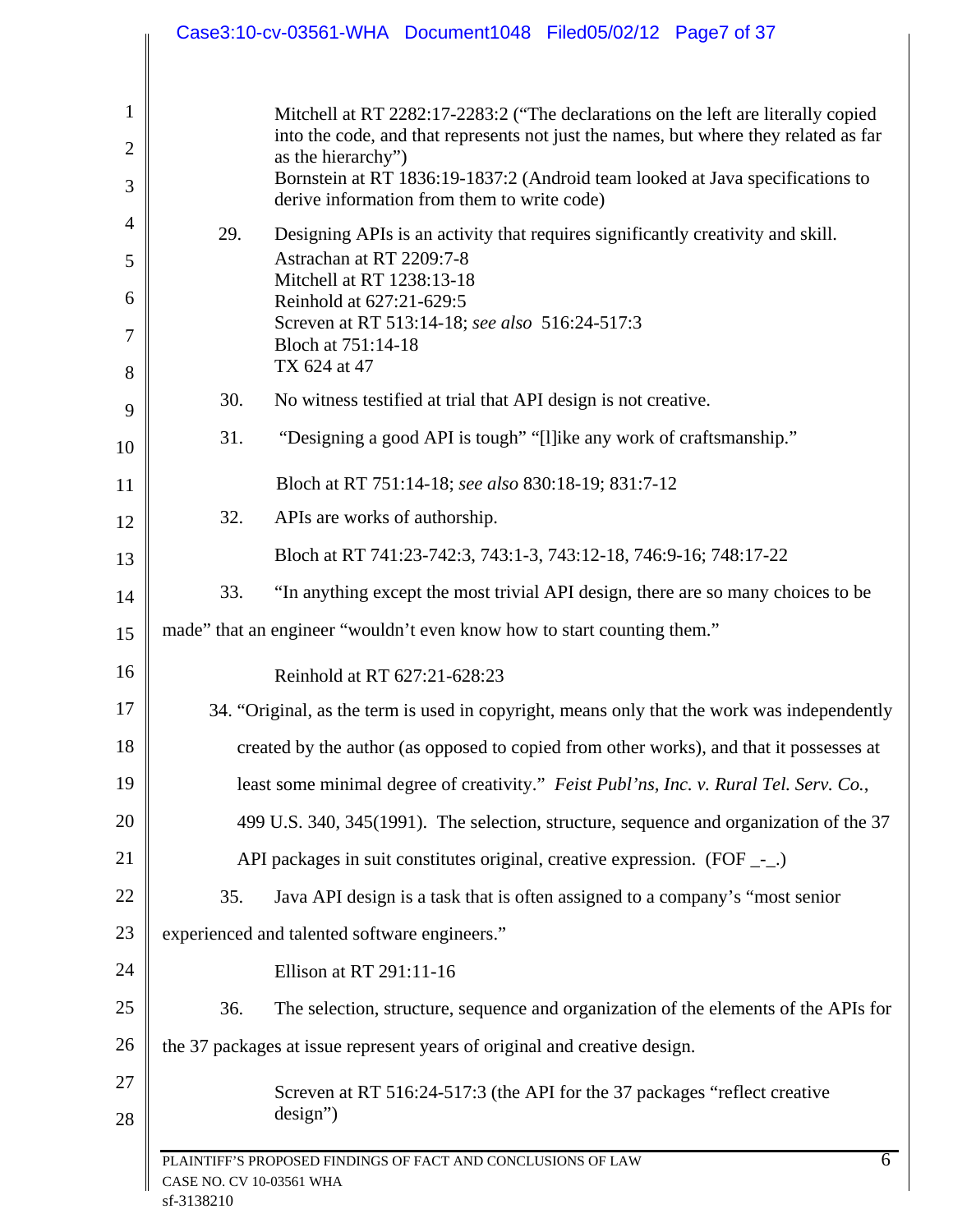|                                | Case3:10-cv-03561-WHA Document1048 Filed05/02/12 Page7 of 37                                                                                                                                    |
|--------------------------------|-------------------------------------------------------------------------------------------------------------------------------------------------------------------------------------------------|
| $\mathbf{1}$<br>$\overline{2}$ | Mitchell at RT 2282:17-2283:2 ("The declarations on the left are literally copied<br>into the code, and that represents not just the names, but where they related as far<br>as the hierarchy") |
| 3                              | Bornstein at RT 1836:19-1837:2 (Android team looked at Java specifications to<br>derive information from them to write code)                                                                    |
| 4                              | 29.<br>Designing APIs is an activity that requires significantly creativity and skill.                                                                                                          |
| 5                              | Astrachan at RT 2209:7-8<br>Mitchell at RT 1238:13-18                                                                                                                                           |
| 6<br>7                         | Reinhold at 627:21-629:5<br>Screven at RT 513:14-18; see also 516:24-517:3<br>Bloch at 751:14-18                                                                                                |
| 8                              | TX 624 at 47                                                                                                                                                                                    |
| 9                              | 30.<br>No witness testified at trial that API design is not creative.                                                                                                                           |
| 10                             | 31.<br>"Designing a good API is tough" "[I] ike any work of craftsmanship."                                                                                                                     |
| 11                             | Bloch at RT 751:14-18; see also 830:18-19; 831:7-12                                                                                                                                             |
| 12                             | 32.<br>APIs are works of authorship.                                                                                                                                                            |
| 13                             | Bloch at RT 741:23-742:3, 743:1-3, 743:12-18, 746:9-16; 748:17-22                                                                                                                               |
| 14                             | "In anything except the most trivial API design, there are so many choices to be<br>33.                                                                                                         |
| 15                             | made" that an engineer "wouldn't even know how to start counting them."                                                                                                                         |
| 16                             | Reinhold at RT 627:21-628:23                                                                                                                                                                    |
| 17                             | 34. "Original, as the term is used in copyright, means only that the work was independently                                                                                                     |
| 18                             | created by the author (as opposed to copied from other works), and that it possesses at                                                                                                         |
| 19                             | least some minimal degree of creativity." Feist Publ'ns, Inc. v. Rural Tel. Serv. Co.,                                                                                                          |
| 20                             | 499 U.S. 340, 345(1991). The selection, structure, sequence and organization of the 37                                                                                                          |
| 21                             | API packages in suit constitutes original, creative expression. $(FOF \_$                                                                                                                       |
| 22                             | Java API design is a task that is often assigned to a company's "most senior<br>35.                                                                                                             |
| 23                             | experienced and talented software engineers."                                                                                                                                                   |
| 24                             | Ellison at RT 291:11-16                                                                                                                                                                         |
| 25                             | The selection, structure, sequence and organization of the elements of the APIs for<br>36.                                                                                                      |
| 26                             | the 37 packages at issue represent years of original and creative design.                                                                                                                       |
| 27<br>28                       | Screven at RT 516:24-517:3 (the API for the 37 packages "reflect creative<br>$design$ ")                                                                                                        |
|                                | 6<br>PLAINTIFF'S PROPOSED FINDINGS OF FACT AND CONCLUSIONS OF LAW<br>CASE NO. CV 10-03561 WHA<br>sf-3138210                                                                                     |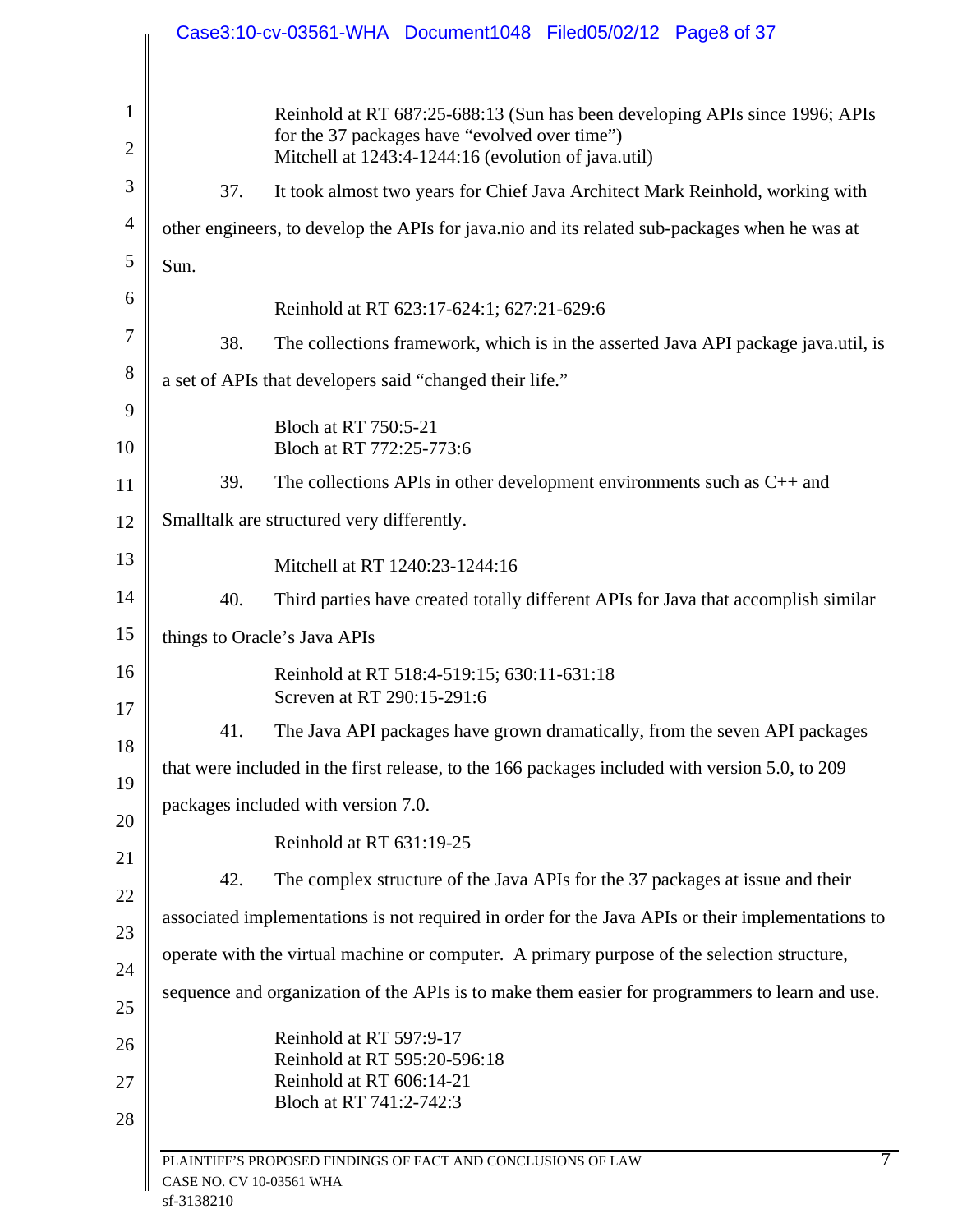|      | Reinhold at RT 687:25-688:13 (Sun has been developing APIs since 1996; APIs<br>for the 37 packages have "evolved over time")<br>Mitchell at 1243:4-1244:16 (evolution of java.util) |
|------|-------------------------------------------------------------------------------------------------------------------------------------------------------------------------------------|
| 37.  | It took almost two years for Chief Java Architect Mark Reinhold, working with                                                                                                       |
|      | other engineers, to develop the APIs for java.nio and its related sub-packages when he was at                                                                                       |
| Sun. |                                                                                                                                                                                     |
|      | Reinhold at RT 623:17-624:1; 627:21-629:6                                                                                                                                           |
| 38.  | The collections framework, which is in the asserted Java API package java.util, is                                                                                                  |
|      | a set of APIs that developers said "changed their life."                                                                                                                            |
|      | Bloch at RT 750:5-21                                                                                                                                                                |
|      | Bloch at RT 772:25-773:6                                                                                                                                                            |
| 39.  | The collections APIs in other development environments such as $C_{++}$ and                                                                                                         |
|      | Smalltalk are structured very differently.                                                                                                                                          |
|      | Mitchell at RT 1240:23-1244:16                                                                                                                                                      |
| 40.  | Third parties have created totally different APIs for Java that accomplish similar                                                                                                  |
|      | things to Oracle's Java APIs                                                                                                                                                        |
|      | Reinhold at RT 518:4-519:15; 630:11-631:18<br>Screven at RT 290:15-291:6                                                                                                            |
| 41.  | The Java API packages have grown dramatically, from the seven API packages                                                                                                          |
|      | that were included in the first release, to the 166 packages included with version 5.0, to 209                                                                                      |
|      | packages included with version 7.0.                                                                                                                                                 |
|      | Reinhold at RT 631:19-25                                                                                                                                                            |
| 42.  | The complex structure of the Java APIs for the 37 packages at issue and their                                                                                                       |
|      | associated implementations is not required in order for the Java APIs or their implementations to                                                                                   |
|      | operate with the virtual machine or computer. A primary purpose of the selection structure,                                                                                         |
|      | sequence and organization of the APIs is to make them easier for programmers to learn and use.                                                                                      |
|      | Reinhold at RT 597:9-17<br>Reinhold at RT 595:20-596:18<br>Reinhold at RT 606:14-21<br>Bloch at RT 741:2-742:3                                                                      |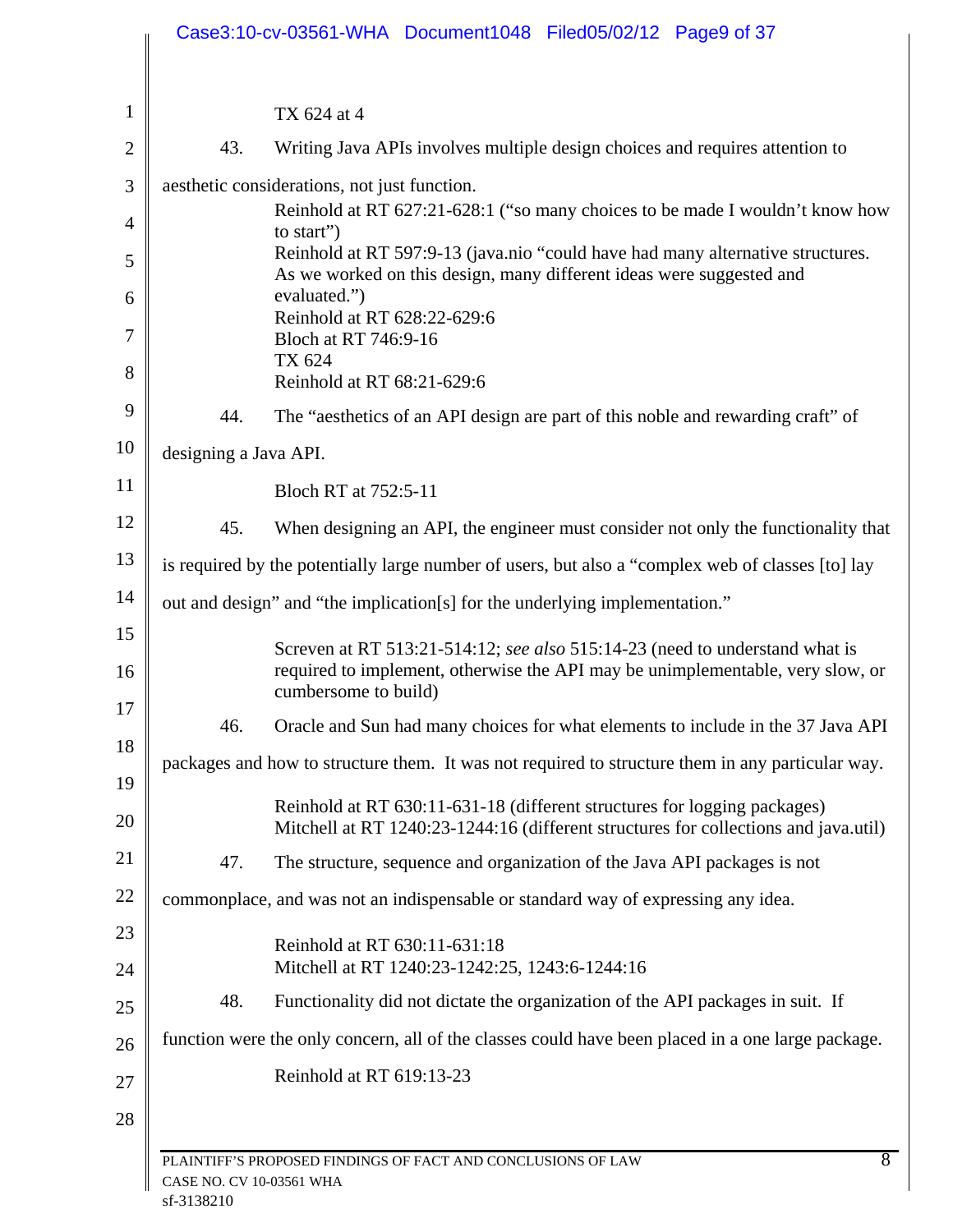|                |                          | Case3:10-cv-03561-WHA Document1048 Filed05/02/12 Page9 of 37                                                                                                                          |
|----------------|--------------------------|---------------------------------------------------------------------------------------------------------------------------------------------------------------------------------------|
|                |                          |                                                                                                                                                                                       |
| $\mathbf{1}$   |                          | TX 624 at 4                                                                                                                                                                           |
| $\overline{2}$ | 43.                      | Writing Java APIs involves multiple design choices and requires attention to                                                                                                          |
| 3<br>4         |                          | aesthetic considerations, not just function.<br>Reinhold at RT 627:21-628:1 ("so many choices to be made I wouldn't know how                                                          |
| 5              |                          | to start")<br>Reinhold at RT 597:9-13 (java.nio "could have had many alternative structures.<br>As we worked on this design, many different ideas were suggested and                  |
| 6              |                          | evaluated.")<br>Reinhold at RT 628:22-629:6                                                                                                                                           |
| 7<br>8         |                          | Bloch at RT 746:9-16<br>TX 624                                                                                                                                                        |
|                |                          | Reinhold at RT 68:21-629:6                                                                                                                                                            |
| 9              | 44.                      | The "aesthetics of an API design are part of this noble and rewarding craft" of                                                                                                       |
| 10             | designing a Java API.    |                                                                                                                                                                                       |
| 11             |                          | Bloch RT at 752:5-11                                                                                                                                                                  |
| 12             | 45.                      | When designing an API, the engineer must consider not only the functionality that                                                                                                     |
| 13             |                          | is required by the potentially large number of users, but also a "complex web of classes [to] lay                                                                                     |
| 14             |                          | out and design" and "the implication[s] for the underlying implementation."                                                                                                           |
| 15<br>16       |                          | Screven at RT 513:21-514:12; see also 515:14-23 (need to understand what is<br>required to implement, otherwise the API may be unimplementable, very slow, or<br>cumbersome to build) |
| 17             | 46.                      | Oracle and Sun had many choices for what elements to include in the 37 Java API                                                                                                       |
| 18<br>19       |                          | packages and how to structure them. It was not required to structure them in any particular way.                                                                                      |
| 20             |                          | Reinhold at RT 630:11-631-18 (different structures for logging packages)<br>Mitchell at RT 1240:23-1244:16 (different structures for collections and java.util)                       |
| 21             | 47.                      | The structure, sequence and organization of the Java API packages is not                                                                                                              |
| 22             |                          | commonplace, and was not an indispensable or standard way of expressing any idea.                                                                                                     |
| 23             |                          | Reinhold at RT 630:11-631:18                                                                                                                                                          |
| 24             |                          | Mitchell at RT 1240:23-1242:25, 1243:6-1244:16                                                                                                                                        |
| 25             | 48.                      | Functionality did not dictate the organization of the API packages in suit. If                                                                                                        |
| 26             |                          | function were the only concern, all of the classes could have been placed in a one large package.                                                                                     |
| 27             |                          | Reinhold at RT 619:13-23                                                                                                                                                              |
| 28             |                          |                                                                                                                                                                                       |
|                | CASE NO. CV 10-03561 WHA | 8<br>PLAINTIFF'S PROPOSED FINDINGS OF FACT AND CONCLUSIONS OF LAW                                                                                                                     |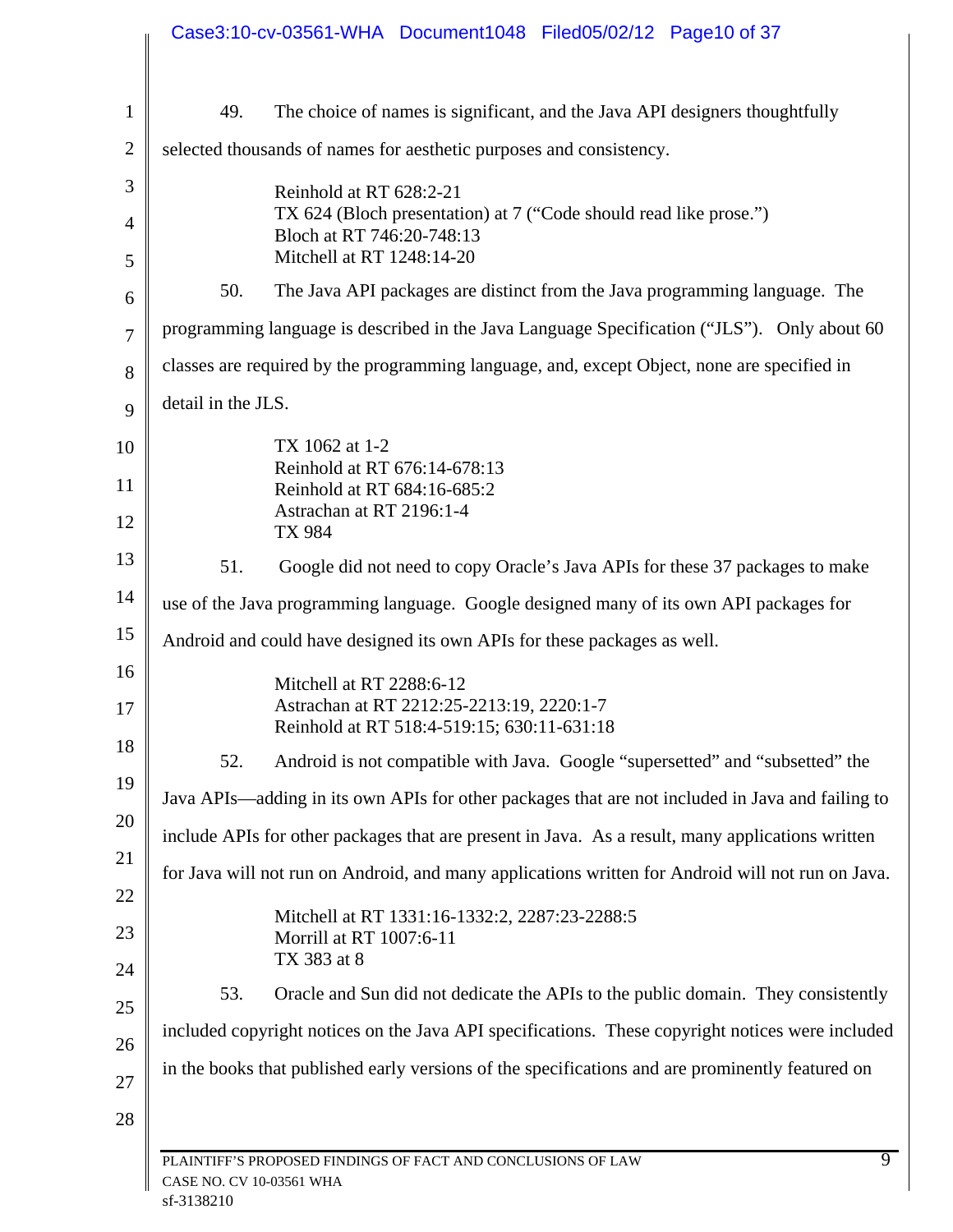|                |                          | Case3:10-cv-03561-WHA Document1048 Filed05/02/12 Page10 of 37                                                       |
|----------------|--------------------------|---------------------------------------------------------------------------------------------------------------------|
| $\mathbf{1}$   | 49.                      | The choice of names is significant, and the Java API designers thoughtfully                                         |
| $\overline{2}$ |                          | selected thousands of names for aesthetic purposes and consistency.                                                 |
| 3              |                          | Reinhold at RT 628:2-21                                                                                             |
|                |                          | TX 624 (Bloch presentation) at 7 ("Code should read like prose.")<br>Bloch at RT 746:20-748:13                      |
|                |                          | Mitchell at RT 1248:14-20                                                                                           |
|                | 50.                      | The Java API packages are distinct from the Java programming language. The                                          |
|                |                          | programming language is described in the Java Language Specification ("JLS"). Only about 60                         |
|                |                          | classes are required by the programming language, and, except Object, none are specified in                         |
|                | detail in the JLS.       |                                                                                                                     |
|                |                          | TX 1062 at 1-2                                                                                                      |
|                |                          | Reinhold at RT 676:14-678:13<br>Reinhold at RT 684:16-685:2                                                         |
|                |                          | Astrachan at RT 2196:1-4<br>TX 984                                                                                  |
|                | 51.                      | Google did not need to copy Oracle's Java APIs for these 37 packages to make                                        |
|                |                          | use of the Java programming language. Google designed many of its own API packages for                              |
|                |                          | Android and could have designed its own APIs for these packages as well.                                            |
|                |                          | Mitchell at RT 2288:6-12<br>Astrachan at RT 2212:25-2213:19, 2220:1-7<br>Reinhold at RT 518:4-519:15; 630:11-631:18 |
|                | 52.                      | Android is not compatible with Java. Google "supersetted" and "subsetted" the                                       |
|                |                          | Java APIs—adding in its own APIs for other packages that are not included in Java and failing to                    |
|                |                          | include APIs for other packages that are present in Java. As a result, many applications written                    |
|                |                          | for Java will not run on Android, and many applications written for Android will not run on Java.                   |
|                |                          | Mitchell at RT 1331:16-1332:2, 2287:23-2288:5<br>Morrill at RT 1007:6-11<br>TX 383 at 8                             |
|                | 53.                      | Oracle and Sun did not dedicate the APIs to the public domain. They consistently                                    |
|                |                          | included copyright notices on the Java API specifications. These copyright notices were included                    |
|                |                          | in the books that published early versions of the specifications and are prominently featured on                    |
|                |                          |                                                                                                                     |
|                | CASE NO. CV 10-03561 WHA | $\overline{9}$<br>PLAINTIFF'S PROPOSED FINDINGS OF FACT AND CONCLUSIONS OF LAW                                      |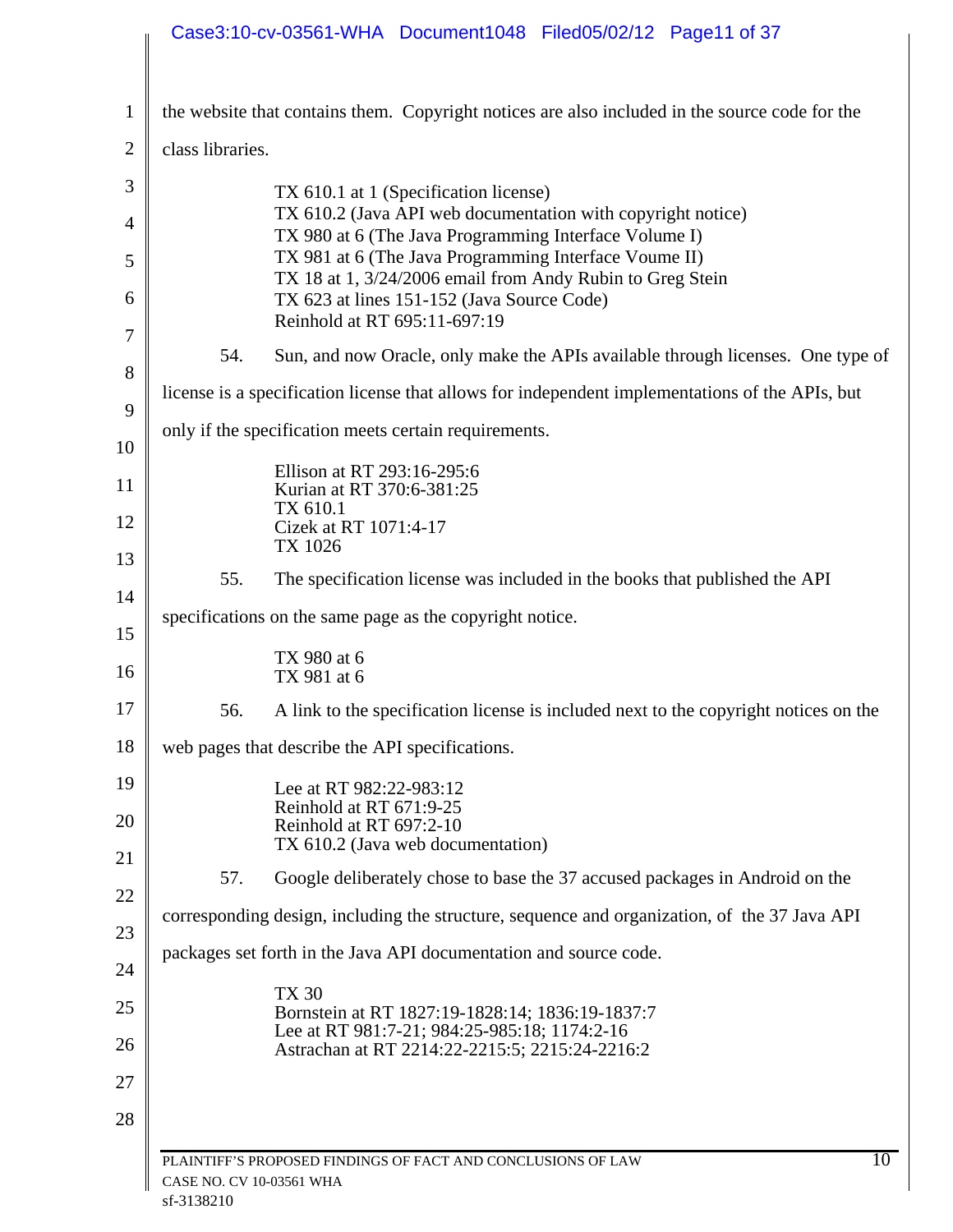|                | Case3:10-cv-03561-WHA Document1048 Filed05/02/12 Page11 of 37                                                      |    |
|----------------|--------------------------------------------------------------------------------------------------------------------|----|
| $\mathbf{1}$   | the website that contains them. Copyright notices are also included in the source code for the                     |    |
|                |                                                                                                                    |    |
| $\overline{2}$ | class libraries.                                                                                                   |    |
| 3              | TX 610.1 at 1 (Specification license)<br>TX 610.2 (Java API web documentation with copyright notice)               |    |
| $\overline{4}$ | TX 980 at 6 (The Java Programming Interface Volume I)                                                              |    |
| 5              | TX 981 at 6 (The Java Programming Interface Voume II)<br>TX 18 at 1, 3/24/2006 email from Andy Rubin to Greg Stein |    |
| 6              | TX 623 at lines 151-152 (Java Source Code)                                                                         |    |
| 7              | Reinhold at RT 695:11-697:19                                                                                       |    |
| 8              | 54.<br>Sun, and now Oracle, only make the APIs available through licenses. One type of                             |    |
| 9              | license is a specification license that allows for independent implementations of the APIs, but                    |    |
| 10             | only if the specification meets certain requirements.                                                              |    |
| 11             | Ellison at RT 293:16-295:6<br>Kurian at RT 370:6-381:25                                                            |    |
| 12             | TX 610.1<br>Cizek at RT 1071:4-17                                                                                  |    |
| 13             | TX 1026                                                                                                            |    |
| 14             | The specification license was included in the books that published the API<br>55.                                  |    |
| 15             | specifications on the same page as the copyright notice.                                                           |    |
| 16             | TX 980 at 6                                                                                                        |    |
|                | TX 981 at 6                                                                                                        |    |
| 17             | A link to the specification license is included next to the copyright notices on the<br>56.                        |    |
| 18             | web pages that describe the API specifications.                                                                    |    |
| 19             | Lee at RT 982:22-983:12<br>Reinhold at RT 671:9-25                                                                 |    |
| 20             | Reinhold at RT 697:2-10<br>TX 610.2 (Java web documentation)                                                       |    |
| 21             | 57.<br>Google deliberately chose to base the 37 accused packages in Android on the                                 |    |
| 22             | corresponding design, including the structure, sequence and organization, of the 37 Java API                       |    |
| 23             | packages set forth in the Java API documentation and source code.                                                  |    |
| 24             | <b>TX 30</b>                                                                                                       |    |
| 25             | Bornstein at RT 1827:19-1828:14; 1836:19-1837:7<br>Lee at RT 981:7-21; 984:25-985:18; 1174:2-16                    |    |
| 26             | Astrachan at RT 2214:22-2215:5; 2215:24-2216:2                                                                     |    |
| 27             |                                                                                                                    |    |
| 28             |                                                                                                                    |    |
|                | PLAINTIFF'S PROPOSED FINDINGS OF FACT AND CONCLUSIONS OF LAW<br>CASE NO. CV 10-03561 WHA                           | 10 |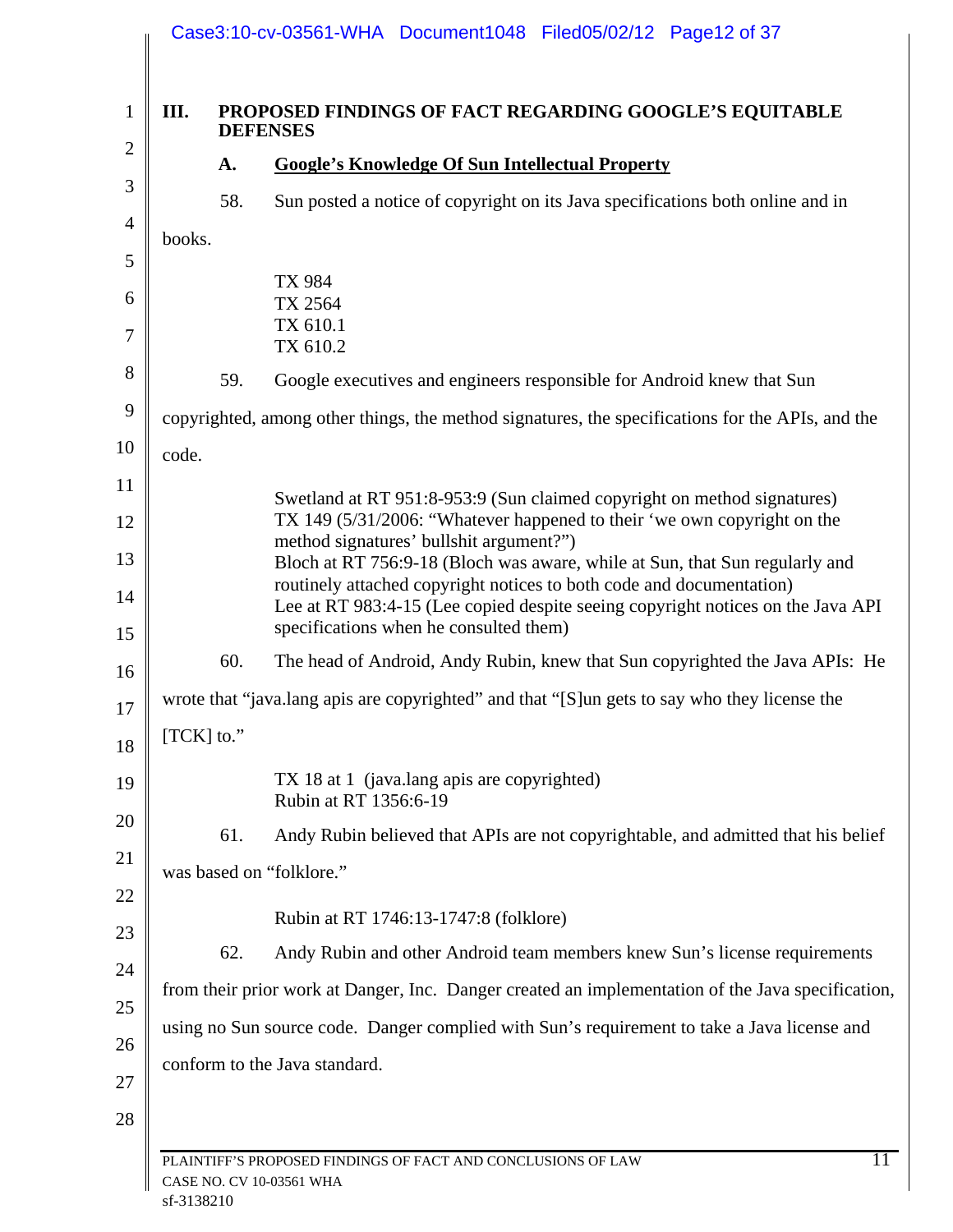| III.   |            | <b>PROPOSED FINDINGS OF FACT REGARDING GOOGLE'S EQUITABLE</b><br><b>DEFENSES</b>                                                                                                                  |
|--------|------------|---------------------------------------------------------------------------------------------------------------------------------------------------------------------------------------------------|
|        | A.         | <b>Google's Knowledge Of Sun Intellectual Property</b>                                                                                                                                            |
|        | 58.        | Sun posted a notice of copyright on its Java specifications both online and in                                                                                                                    |
| books. |            |                                                                                                                                                                                                   |
|        |            | TX 984                                                                                                                                                                                            |
|        |            | TX 2564                                                                                                                                                                                           |
|        |            | TX 610.1<br>TX 610.2                                                                                                                                                                              |
|        | 59.        | Google executives and engineers responsible for Android knew that Sun                                                                                                                             |
|        |            | copyrighted, among other things, the method signatures, the specifications for the APIs, and the                                                                                                  |
| code.  |            |                                                                                                                                                                                                   |
|        |            | Swetland at RT 951:8-953:9 (Sun claimed copyright on method signatures)                                                                                                                           |
|        |            | TX 149 (5/31/2006: "Whatever happened to their 'we own copyright on the                                                                                                                           |
|        |            | method signatures' bullshit argument?")<br>Bloch at RT 756:9-18 (Bloch was aware, while at Sun, that Sun regularly and                                                                            |
|        |            | routinely attached copyright notices to both code and documentation)<br>Lee at RT 983:4-15 (Lee copied despite seeing copyright notices on the Java API<br>specifications when he consulted them) |
|        | 60.        | The head of Android, Andy Rubin, knew that Sun copyrighted the Java APIs: He                                                                                                                      |
|        |            | wrote that "java.lang apis are copyrighted" and that "[S] un gets to say who they license the                                                                                                     |
|        | [TCK] to." |                                                                                                                                                                                                   |
|        |            |                                                                                                                                                                                                   |
|        |            | TX 18 at 1 (java.lang apis are copyrighted)<br>Rubin at RT 1356:6-19                                                                                                                              |
|        | 61.        | Andy Rubin believed that APIs are not copyrightable, and admitted that his belief                                                                                                                 |
|        |            | was based on "folklore."                                                                                                                                                                          |
|        |            | Rubin at RT 1746:13-1747:8 (folklore)                                                                                                                                                             |
|        | 62.        | Andy Rubin and other Android team members knew Sun's license requirements                                                                                                                         |
|        |            | from their prior work at Danger, Inc. Danger created an implementation of the Java specification,                                                                                                 |
|        |            | using no Sun source code. Danger complied with Sun's requirement to take a Java license and                                                                                                       |
|        |            | conform to the Java standard.                                                                                                                                                                     |
|        |            |                                                                                                                                                                                                   |
|        |            |                                                                                                                                                                                                   |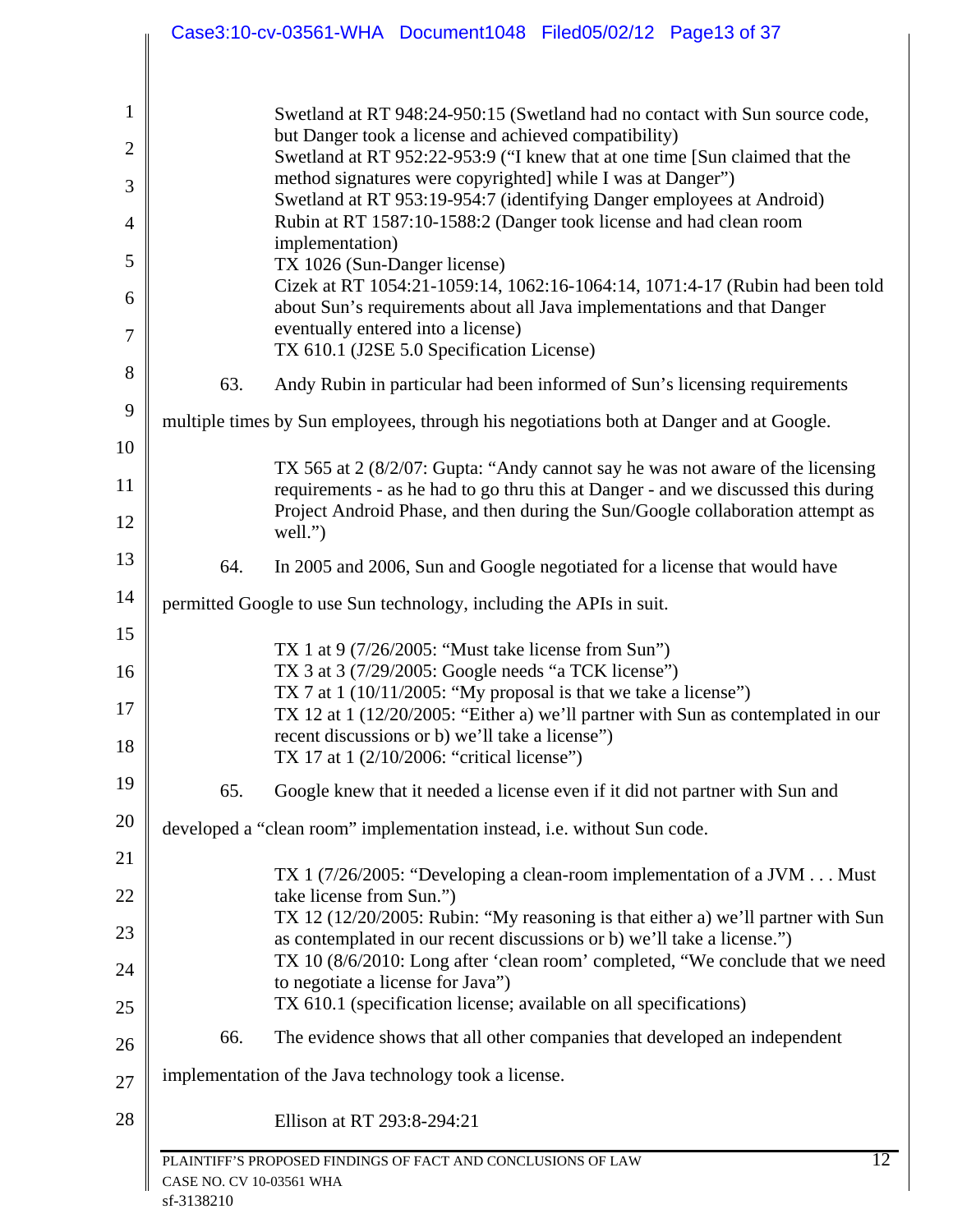|                                |                          | Case3:10-cv-03561-WHA Document1048 Filed05/02/12 Page13 of 37                                                                                                                                                       |
|--------------------------------|--------------------------|---------------------------------------------------------------------------------------------------------------------------------------------------------------------------------------------------------------------|
| $\mathbf{1}$<br>$\overline{2}$ |                          | Swetland at RT 948:24-950:15 (Swetland had no contact with Sun source code,<br>but Danger took a license and achieved compatibility)<br>Swetland at RT 952:22-953:9 ("I knew that at one time [Sun claimed that the |
| 3                              |                          | method signatures were copyrighted] while I was at Danger")                                                                                                                                                         |
| 4                              |                          | Swetland at RT 953:19-954:7 (identifying Danger employees at Android)<br>Rubin at RT 1587:10-1588:2 (Danger took license and had clean room                                                                         |
| 5                              |                          | implementation)<br>TX 1026 (Sun-Danger license)                                                                                                                                                                     |
| 6                              |                          | Cizek at RT 1054:21-1059:14, 1062:16-1064:14, 1071:4-17 (Rubin had been told<br>about Sun's requirements about all Java implementations and that Danger                                                             |
| 7                              |                          | eventually entered into a license)<br>TX 610.1 (J2SE 5.0 Specification License)                                                                                                                                     |
| 8                              | 63.                      | Andy Rubin in particular had been informed of Sun's licensing requirements                                                                                                                                          |
| 9                              |                          | multiple times by Sun employees, through his negotiations both at Danger and at Google.                                                                                                                             |
| 10                             |                          |                                                                                                                                                                                                                     |
| 11                             |                          | TX 565 at 2 (8/2/07: Gupta: "Andy cannot say he was not aware of the licensing<br>requirements - as he had to go thru this at Danger - and we discussed this during                                                 |
| 12                             |                          | Project Android Phase, and then during the Sun/Google collaboration attempt as<br>well.")                                                                                                                           |
| 13                             | 64.                      | In 2005 and 2006, Sun and Google negotiated for a license that would have                                                                                                                                           |
| 14                             |                          | permitted Google to use Sun technology, including the APIs in suit.                                                                                                                                                 |
| 15<br>16                       |                          | TX 1 at $9$ (7/26/2005: "Must take license from Sun")<br>TX 3 at 3 (7/29/2005: Google needs "a TCK license")                                                                                                        |
| 17                             |                          | TX 7 at $1(10/11/2005)$ : "My proposal is that we take a license")<br>TX 12 at 1 (12/20/2005: "Either a) we'll partner with Sun as contemplated in our                                                              |
| 18                             |                          | recent discussions or b) we'll take a license"<br>TX 17 at 1 (2/10/2006: "critical license")                                                                                                                        |
| 19                             | 65.                      | Google knew that it needed a license even if it did not partner with Sun and                                                                                                                                        |
| 20                             |                          | developed a "clean room" implementation instead, i.e. without Sun code.                                                                                                                                             |
| 21                             |                          | TX 1 $(7/26/2005)$ : "Developing a clean-room implementation of a JVM  Must                                                                                                                                         |
| 22                             |                          | take license from Sun.")<br>TX 12 (12/20/2005: Rubin: "My reasoning is that either a) we'll partner with Sun                                                                                                        |
| 23                             |                          | as contemplated in our recent discussions or b) we'll take a license.")<br>TX 10 (8/6/2010: Long after 'clean room' completed, "We conclude that we need                                                            |
| 24<br>25                       |                          | to negotiate a license for Java")<br>TX 610.1 (specification license; available on all specifications)                                                                                                              |
| 26                             | 66.                      | The evidence shows that all other companies that developed an independent                                                                                                                                           |
| 27                             |                          | implementation of the Java technology took a license.                                                                                                                                                               |
| 28                             |                          | Ellison at RT 293:8-294:21                                                                                                                                                                                          |
|                                | CASE NO. CV 10-03561 WHA | 12<br>PLAINTIFF'S PROPOSED FINDINGS OF FACT AND CONCLUSIONS OF LAW                                                                                                                                                  |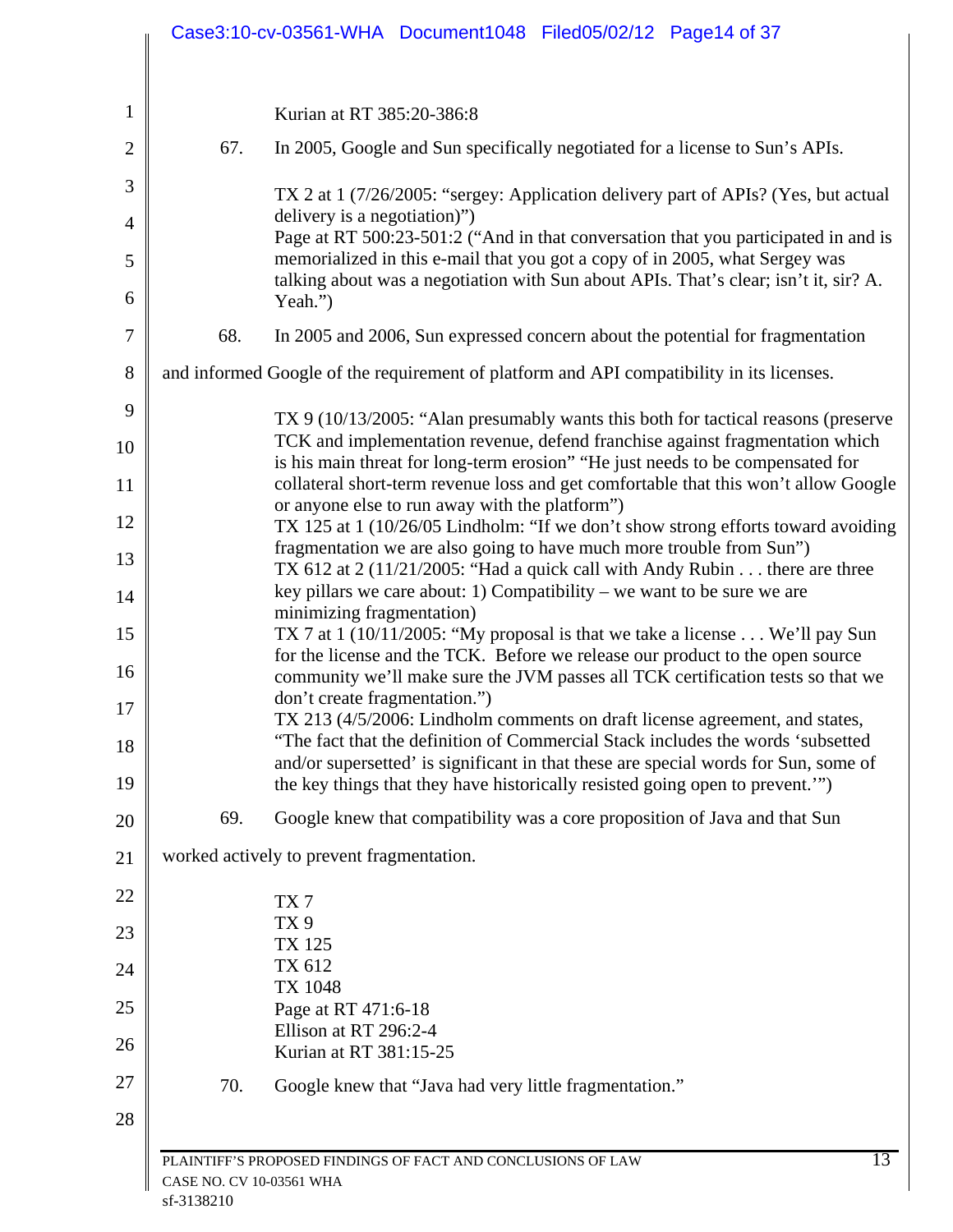| 67.<br>Yeah.")<br>68.<br>69.<br>worked actively to prevent fragmentation.<br>TX <sub>7</sub><br>TX <sub>9</sub><br><b>TX 125</b><br>TX 612<br><b>TX 1048</b> | Kurian at RT 385:20-386:8<br>In 2005, Google and Sun specifically negotiated for a license to Sun's APIs.<br>TX 2 at 1 (7/26/2005: "sergey: Application delivery part of APIs? (Yes, but actual<br>delivery is a negotiation)")                         |
|--------------------------------------------------------------------------------------------------------------------------------------------------------------|---------------------------------------------------------------------------------------------------------------------------------------------------------------------------------------------------------------------------------------------------------|
|                                                                                                                                                              |                                                                                                                                                                                                                                                         |
|                                                                                                                                                              |                                                                                                                                                                                                                                                         |
|                                                                                                                                                              |                                                                                                                                                                                                                                                         |
|                                                                                                                                                              | Page at RT 500:23-501:2 ("And in that conversation that you participated in and is                                                                                                                                                                      |
|                                                                                                                                                              | memorialized in this e-mail that you got a copy of in 2005, what Sergey was<br>talking about was a negotiation with Sun about APIs. That's clear; isn't it, sir? A.                                                                                     |
|                                                                                                                                                              | In 2005 and 2006, Sun expressed concern about the potential for fragmentation                                                                                                                                                                           |
|                                                                                                                                                              | and informed Google of the requirement of platform and API compatibility in its licenses.                                                                                                                                                               |
|                                                                                                                                                              |                                                                                                                                                                                                                                                         |
|                                                                                                                                                              | TX 9 (10/13/2005: "Alan presumably wants this both for tactical reasons (preserve<br>TCK and implementation revenue, defend franchise against fragmentation which                                                                                       |
|                                                                                                                                                              | is his main threat for long-term erosion" "He just needs to be compensated for<br>collateral short-term revenue loss and get comfortable that this won't allow Google                                                                                   |
|                                                                                                                                                              | or anyone else to run away with the platform")                                                                                                                                                                                                          |
|                                                                                                                                                              | TX 125 at 1 (10/26/05 Lindholm: "If we don't show strong efforts toward avoiding<br>fragmentation we are also going to have much more trouble from Sun")                                                                                                |
|                                                                                                                                                              | TX 612 at 2 (11/21/2005: "Had a quick call with Andy Rubin there are three<br>key pillars we care about: 1) Compatibility – we want to be sure we are                                                                                                   |
|                                                                                                                                                              | minimizing fragmentation)                                                                                                                                                                                                                               |
|                                                                                                                                                              | TX 7 at 1 (10/11/2005: "My proposal is that we take a license $\dots$ We'll pay Sun<br>for the license and the TCK. Before we release our product to the open source<br>community we'll make sure the JVM passes all TCK certification tests so that we |
|                                                                                                                                                              | don't create fragmentation.")<br>TX 213 (4/5/2006: Lindholm comments on draft license agreement, and states,                                                                                                                                            |
|                                                                                                                                                              | "The fact that the definition of Commercial Stack includes the words 'subsetted<br>and/or supersetted' is significant in that these are special words for Sun, some of                                                                                  |
|                                                                                                                                                              | the key things that they have historically resisted going open to prevent."                                                                                                                                                                             |
|                                                                                                                                                              | Google knew that compatibility was a core proposition of Java and that Sun                                                                                                                                                                              |
|                                                                                                                                                              |                                                                                                                                                                                                                                                         |
|                                                                                                                                                              |                                                                                                                                                                                                                                                         |
|                                                                                                                                                              |                                                                                                                                                                                                                                                         |
|                                                                                                                                                              |                                                                                                                                                                                                                                                         |
|                                                                                                                                                              |                                                                                                                                                                                                                                                         |
|                                                                                                                                                              | Page at RT 471:6-18                                                                                                                                                                                                                                     |
|                                                                                                                                                              | Ellison at RT 296:2-4                                                                                                                                                                                                                                   |
|                                                                                                                                                              | Kurian at RT 381:15-25                                                                                                                                                                                                                                  |
| 70.                                                                                                                                                          | Google knew that "Java had very little fragmentation."                                                                                                                                                                                                  |
|                                                                                                                                                              |                                                                                                                                                                                                                                                         |
|                                                                                                                                                              |                                                                                                                                                                                                                                                         |
| CASE NO. CV 10-03561 WHA<br>sf-3138210                                                                                                                       | 13<br>PLAINTIFF'S PROPOSED FINDINGS OF FACT AND CONCLUSIONS OF LAW                                                                                                                                                                                      |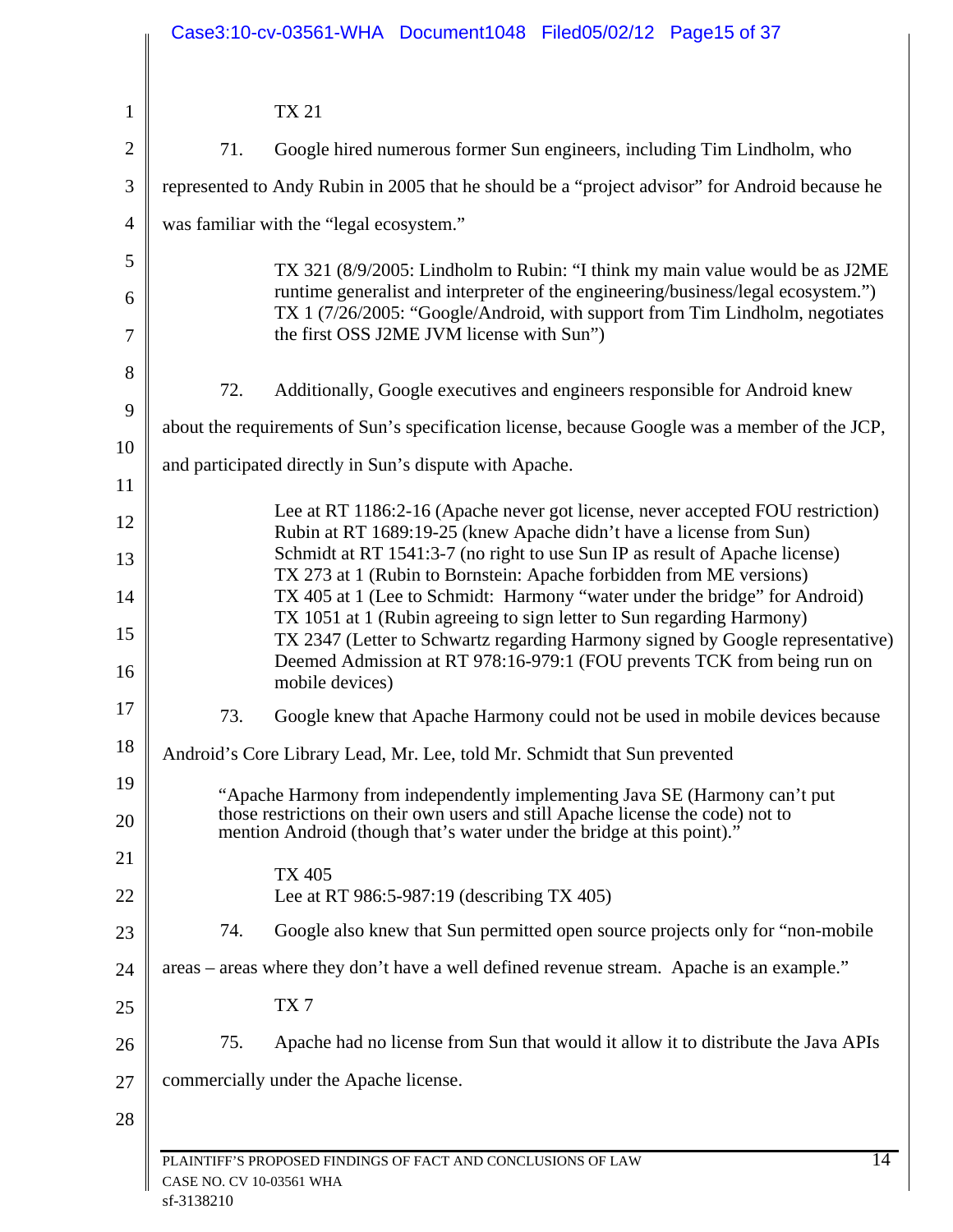|                |                          | Case3:10-cv-03561-WHA Document1048 Filed05/02/12 Page15 of 37                                                                                                                |
|----------------|--------------------------|------------------------------------------------------------------------------------------------------------------------------------------------------------------------------|
|                |                          |                                                                                                                                                                              |
| $\mathbf{1}$   |                          | <b>TX 21</b>                                                                                                                                                                 |
| $\overline{2}$ | 71.                      | Google hired numerous former Sun engineers, including Tim Lindholm, who                                                                                                      |
| 3              |                          | represented to Andy Rubin in 2005 that he should be a "project advisor" for Android because he                                                                               |
| $\overline{4}$ |                          | was familiar with the "legal ecosystem."                                                                                                                                     |
| 5              |                          | TX 321 (8/9/2005: Lindholm to Rubin: "I think my main value would be as J2ME                                                                                                 |
| 6              |                          | runtime generalist and interpreter of the engineering/business/legal ecosystem.")<br>TX 1 (7/26/2005: "Google/Android, with support from Tim Lindholm, negotiates            |
| 7              |                          | the first OSS J2ME JVM license with Sun")                                                                                                                                    |
| 8              | 72.                      | Additionally, Google executives and engineers responsible for Android knew                                                                                                   |
| 9              |                          |                                                                                                                                                                              |
| 10             |                          | about the requirements of Sun's specification license, because Google was a member of the JCP,                                                                               |
| 11             |                          | and participated directly in Sun's dispute with Apache.                                                                                                                      |
| 12             |                          | Lee at RT 1186:2-16 (Apache never got license, never accepted FOU restriction)<br>Rubin at RT 1689:19-25 (knew Apache didn't have a license from Sun)                        |
| 13             |                          | Schmidt at RT 1541:3-7 (no right to use Sun IP as result of Apache license)<br>TX 273 at 1 (Rubin to Bornstein: Apache forbidden from ME versions)                           |
| 14             |                          | TX 405 at 1 (Lee to Schmidt: Harmony "water under the bridge" for Android)<br>TX 1051 at 1 (Rubin agreeing to sign letter to Sun regarding Harmony)                          |
| 15<br>16       |                          | TX 2347 (Letter to Schwartz regarding Harmony signed by Google representative)<br>Deemed Admission at RT 978:16-979:1 (FOU prevents TCK from being run on<br>mobile devices) |
| 17             | 73.                      | Google knew that Apache Harmony could not be used in mobile devices because                                                                                                  |
| 18             |                          | Android's Core Library Lead, Mr. Lee, told Mr. Schmidt that Sun prevented                                                                                                    |
| 19             |                          | "Apache Harmony from independently implementing Java SE (Harmony can't put                                                                                                   |
| 20             |                          | those restrictions on their own users and still Apache license the code) not to<br>mention Android (though that's water under the bridge at this point)."                    |
| 21             |                          | <b>TX 405</b>                                                                                                                                                                |
| 22             |                          | Lee at RT 986:5-987:19 (describing TX 405)                                                                                                                                   |
| 23             | 74.                      | Google also knew that Sun permitted open source projects only for "non-mobile"                                                                                               |
| 24             |                          | areas – areas where they don't have a well defined revenue stream. Apache is an example."                                                                                    |
| 25             |                          | TX7                                                                                                                                                                          |
| 26             | 75.                      | Apache had no license from Sun that would it allow it to distribute the Java APIs                                                                                            |
| 27             |                          | commercially under the Apache license.                                                                                                                                       |
| 28             |                          |                                                                                                                                                                              |
|                |                          | $\overline{14}$<br>PLAINTIFF'S PROPOSED FINDINGS OF FACT AND CONCLUSIONS OF LAW                                                                                              |
|                | CASE NO. CV 10-03561 WHA |                                                                                                                                                                              |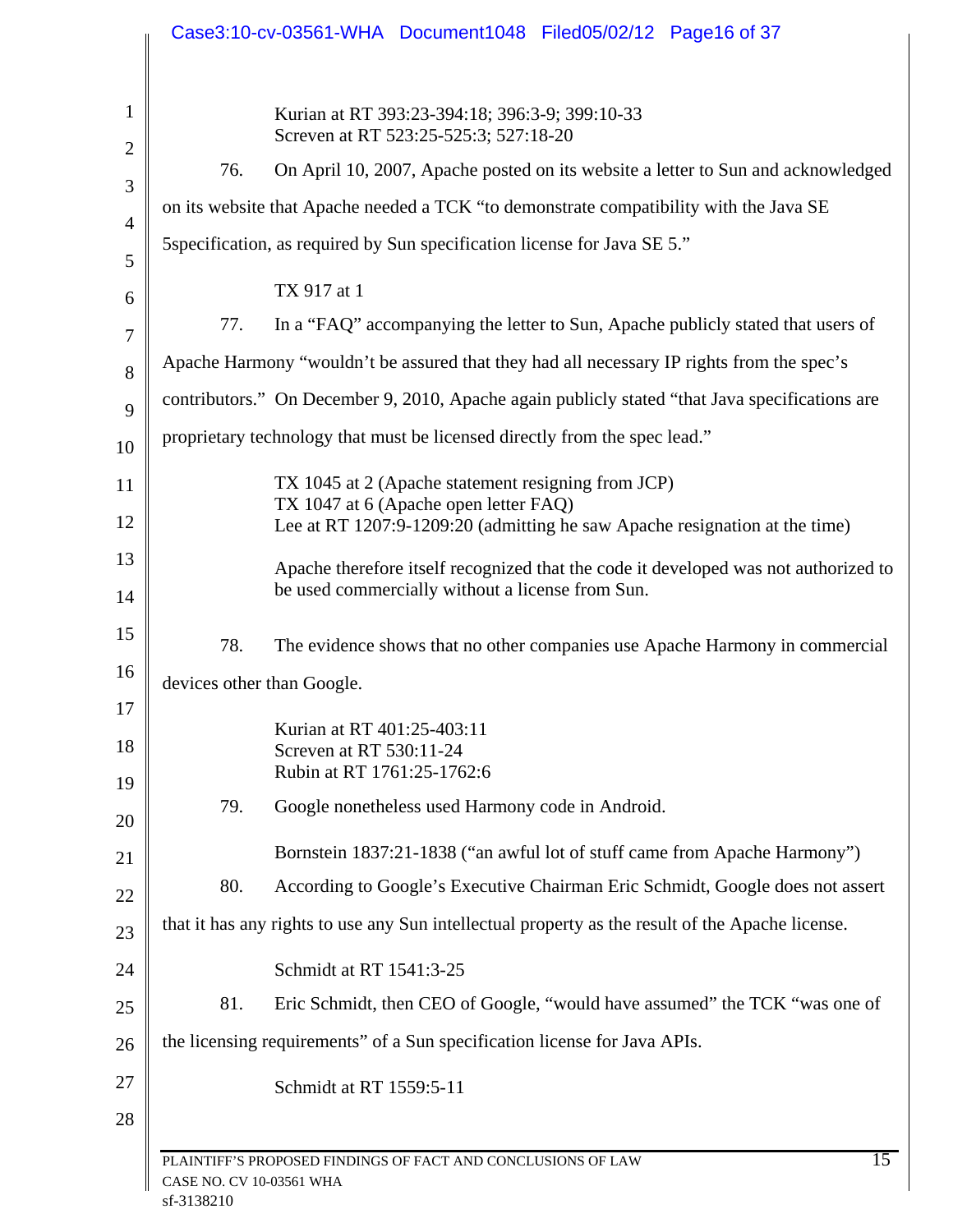|                | Case3:10-cv-03561-WHA Document1048 Filed05/02/12 Page16 of 37                                                       |
|----------------|---------------------------------------------------------------------------------------------------------------------|
| 1              | Kurian at RT 393:23-394:18; 396:3-9; 399:10-33<br>Screven at RT 523:25-525:3; 527:18-20                             |
| $\overline{2}$ | On April 10, 2007, Apache posted on its website a letter to Sun and acknowledged<br>76.                             |
| 3              | on its website that Apache needed a TCK "to demonstrate compatibility with the Java SE                              |
| $\overline{4}$ | 5 Specification, as required by Sun specification license for Java SE 5."                                           |
| 5              | TX 917 at 1                                                                                                         |
| 6<br>7         | In a "FAQ" accompanying the letter to Sun, Apache publicly stated that users of<br>77.                              |
| 8              | Apache Harmony "wouldn't be assured that they had all necessary IP rights from the spec's                           |
| 9              | contributors." On December 9, 2010, Apache again publicly stated "that Java specifications are                      |
| 10             | proprietary technology that must be licensed directly from the spec lead."                                          |
| 11             | TX 1045 at 2 (Apache statement resigning from JCP)                                                                  |
| 12             | TX 1047 at 6 (Apache open letter FAQ)<br>Lee at RT 1207:9-1209:20 (admitting he saw Apache resignation at the time) |
| 13             | Apache therefore itself recognized that the code it developed was not authorized to                                 |
| 14             | be used commercially without a license from Sun.                                                                    |
| 15             | 78.<br>The evidence shows that no other companies use Apache Harmony in commercial                                  |
| 16             | devices other than Google.                                                                                          |
| 17             | Kurian at RT 401:25-403:11                                                                                          |
| 18             | Screven at RT 530:11-24                                                                                             |
| 19             | Rubin at RT 1761:25-1762:6<br>Google nonetheless used Harmony code in Android.<br>79.                               |
| 20             |                                                                                                                     |
| 21             | Bornstein 1837:21-1838 ("an awful lot of stuff came from Apache Harmony")                                           |
| 22             | According to Google's Executive Chairman Eric Schmidt, Google does not assert<br>80.                                |
| 23             | that it has any rights to use any Sun intellectual property as the result of the Apache license.                    |
| 24             | Schmidt at RT 1541:3-25                                                                                             |
| 25             | Eric Schmidt, then CEO of Google, "would have assumed" the TCK "was one of<br>81.                                   |
| 26             | the licensing requirements" of a Sun specification license for Java APIs.                                           |
| 27             | Schmidt at RT 1559:5-11                                                                                             |
| 28             |                                                                                                                     |
|                | 15<br>PLAINTIFF'S PROPOSED FINDINGS OF FACT AND CONCLUSIONS OF LAW<br>CASE NO. CV 10-03561 WHA                      |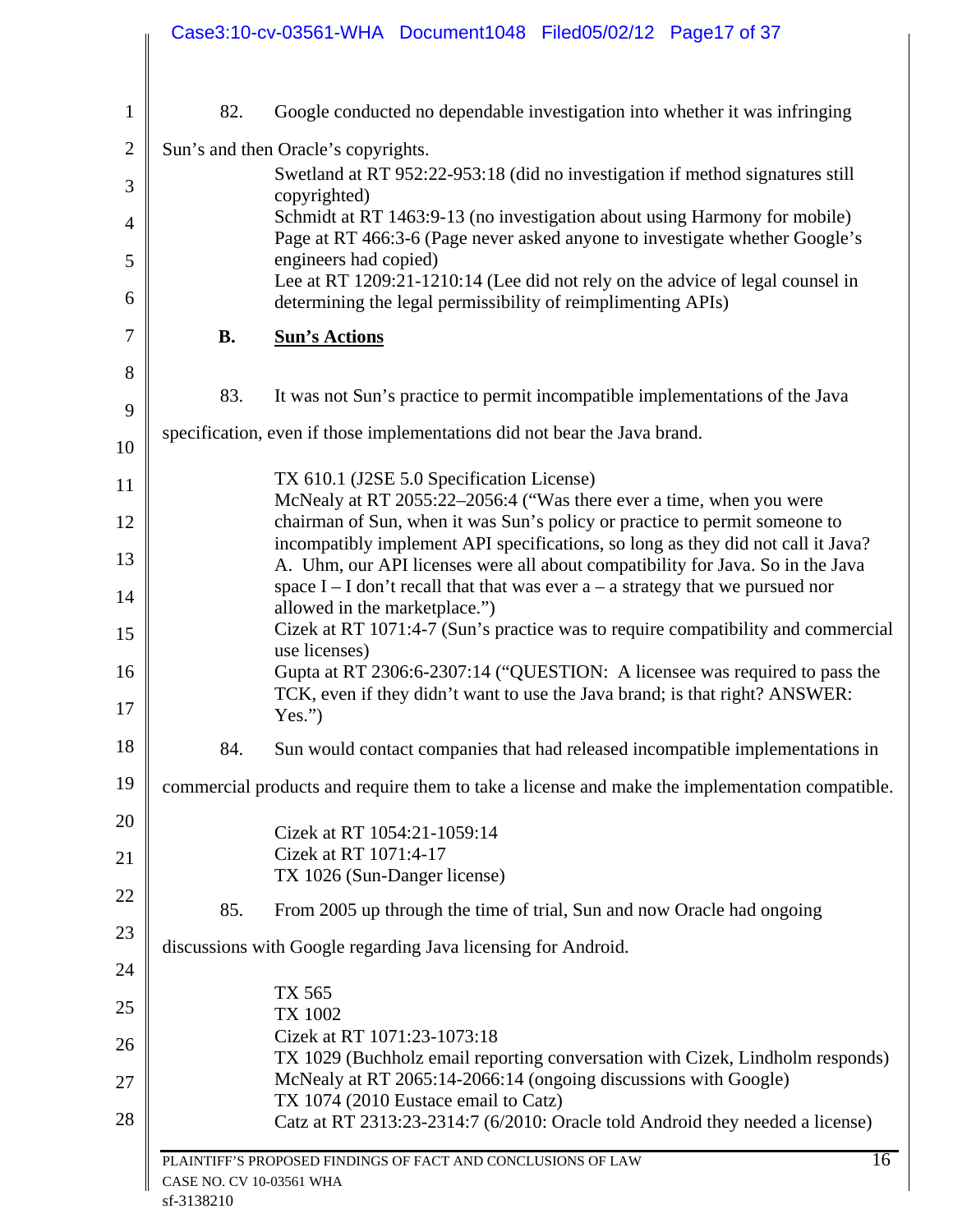|                          | Case3:10-cv-03561-WHA Document1048 Filed05/02/12 Page17 of 37                                                                                                                   |
|--------------------------|---------------------------------------------------------------------------------------------------------------------------------------------------------------------------------|
| 82.                      | Google conducted no dependable investigation into whether it was infringing                                                                                                     |
|                          | Sun's and then Oracle's copyrights.                                                                                                                                             |
|                          | Swetland at RT 952:22-953:18 (did no investigation if method signatures still<br>copyrighted)                                                                                   |
|                          | Schmidt at RT 1463:9-13 (no investigation about using Harmony for mobile)<br>Page at RT 466:3-6 (Page never asked anyone to investigate whether Google's                        |
|                          | engineers had copied)<br>Lee at RT 1209:21-1210:14 (Lee did not rely on the advice of legal counsel in<br>determining the legal permissibility of reimplimenting APIs)          |
| <b>B.</b>                | <b>Sun's Actions</b>                                                                                                                                                            |
| 83.                      | It was not Sun's practice to permit incompatible implementations of the Java                                                                                                    |
|                          | specification, even if those implementations did not bear the Java brand.                                                                                                       |
|                          | TX 610.1 (J2SE 5.0 Specification License)<br>McNealy at RT 2055:22-2056:4 ("Was there ever a time, when you were                                                                |
|                          | chairman of Sun, when it was Sun's policy or practice to permit someone to<br>incompatibly implement API specifications, so long as they did not call it Java?                  |
|                          | A. Uhm, our API licenses were all about compatibility for Java. So in the Java<br>space $I - I$ don't recall that that was ever $a - a$ strategy that we pursued nor            |
|                          | allowed in the marketplace.")<br>Cizek at RT 1071:4-7 (Sun's practice was to require compatibility and commercial<br>use licenses)                                              |
|                          | Gupta at RT 2306:6-2307:14 ("QUESTION: A licensee was required to pass the<br>TCK, even if they didn't want to use the Java brand; is that right? ANSWER:<br>Yes.")             |
| 84.                      | Sun would contact companies that had released incompatible implementations in                                                                                                   |
|                          | commercial products and require them to take a license and make the implementation compatible.                                                                                  |
|                          | Cizek at RT 1054:21-1059:14<br>Cizek at RT 1071:4-17<br>TX 1026 (Sun-Danger license)                                                                                            |
| 85.                      | From 2005 up through the time of trial, Sun and now Oracle had ongoing                                                                                                          |
|                          | discussions with Google regarding Java licensing for Android.                                                                                                                   |
|                          | TX 565<br>TX 1002                                                                                                                                                               |
|                          | Cizek at RT 1071:23-1073:18<br>TX 1029 (Buchholz email reporting conversation with Cizek, Lindholm responds)<br>McNealy at RT 2065:14-2066:14 (ongoing discussions with Google) |
|                          | TX 1074 (2010 Eustace email to Catz)<br>Catz at RT 2313:23-2314:7 (6/2010: Oracle told Android they needed a license)                                                           |
| CASE NO. CV 10-03561 WHA | 16<br>PLAINTIFF'S PROPOSED FINDINGS OF FACT AND CONCLUSIONS OF LAW                                                                                                              |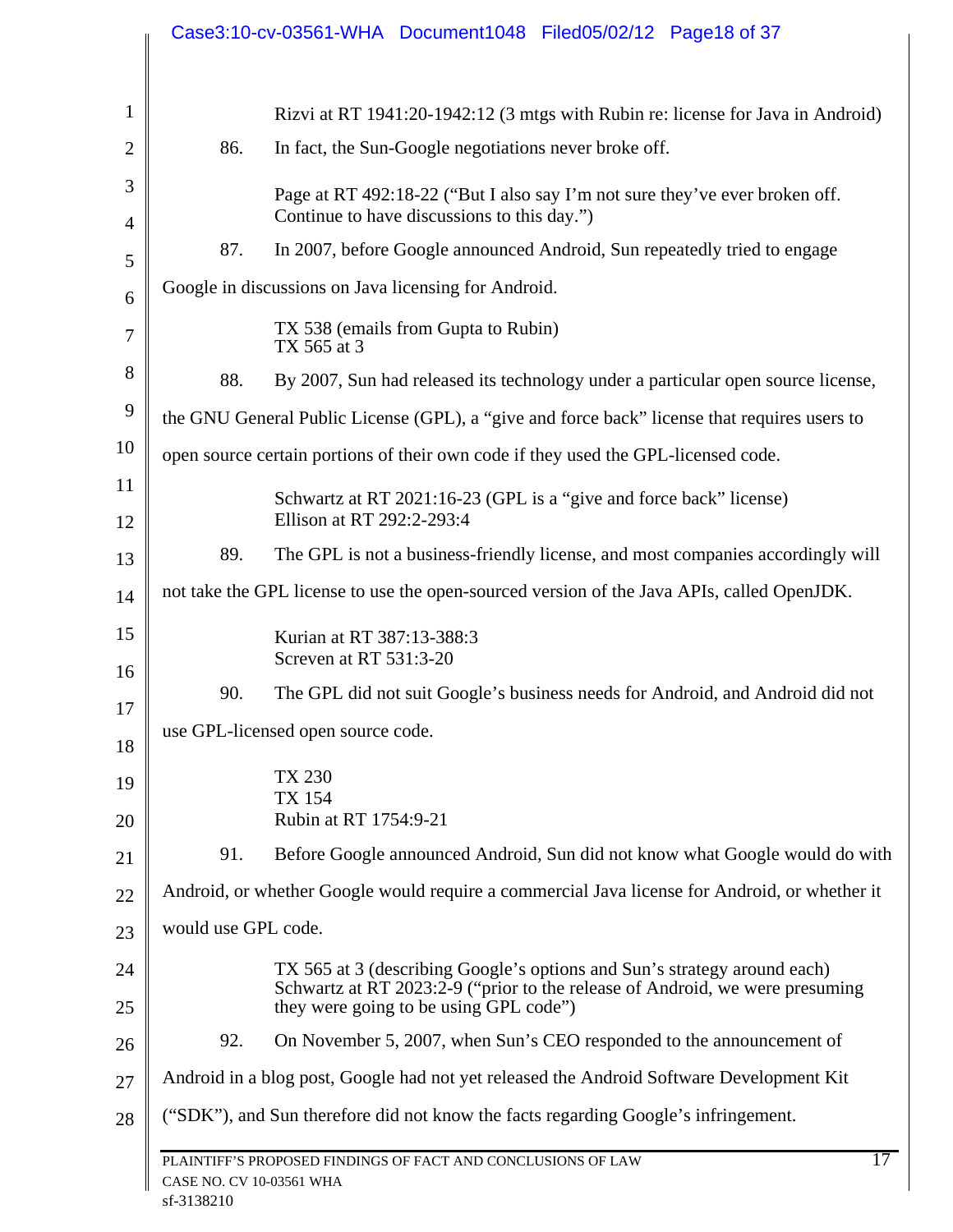|                |                                                                                            | Case3:10-cv-03561-WHA Document1048 Filed05/02/12 Page18 of 37                                                          |
|----------------|--------------------------------------------------------------------------------------------|------------------------------------------------------------------------------------------------------------------------|
| $\mathbf{1}$   |                                                                                            | Rizvi at RT 1941:20-1942:12 (3 mtgs with Rubin re: license for Java in Android)                                        |
| $\overline{2}$ | 86.                                                                                        | In fact, the Sun-Google negotiations never broke off.                                                                  |
| 3              |                                                                                            | Page at RT 492:18-22 ("But I also say I'm not sure they've ever broken off.                                            |
| $\overline{4}$ |                                                                                            | Continue to have discussions to this day.")                                                                            |
| 5              | 87.                                                                                        | In 2007, before Google announced Android, Sun repeatedly tried to engage                                               |
| 6              |                                                                                            | Google in discussions on Java licensing for Android.                                                                   |
| 7              |                                                                                            | TX 538 (emails from Gupta to Rubin)<br>TX 565 at 3                                                                     |
| 8              | 88.                                                                                        | By 2007, Sun had released its technology under a particular open source license,                                       |
| 9              |                                                                                            | the GNU General Public License (GPL), a "give and force back" license that requires users to                           |
| 10             |                                                                                            | open source certain portions of their own code if they used the GPL-licensed code.                                     |
| 11<br>12       |                                                                                            | Schwartz at RT 2021:16-23 (GPL is a "give and force back" license)<br>Ellison at RT 292:2-293:4                        |
| 13             | 89.                                                                                        | The GPL is not a business-friendly license, and most companies accordingly will                                        |
| 14             | not take the GPL license to use the open-sourced version of the Java APIs, called OpenJDK. |                                                                                                                        |
| 15             |                                                                                            | Kurian at RT 387:13-388:3                                                                                              |
| 16             |                                                                                            | Screven at RT 531:3-20                                                                                                 |
| 17             | 90.                                                                                        | The GPL did not suit Google's business needs for Android, and Android did not                                          |
| 18             |                                                                                            | use GPL-licensed open source code.                                                                                     |
| 19             |                                                                                            | <b>TX 230</b><br><b>TX 154</b>                                                                                         |
| 20             |                                                                                            | Rubin at RT 1754:9-21                                                                                                  |
| 21             | 91.                                                                                        | Before Google announced Android, Sun did not know what Google would do with                                            |
| 22             |                                                                                            | Android, or whether Google would require a commercial Java license for Android, or whether it                          |
| 23             | would use GPL code.                                                                        |                                                                                                                        |
| 24             |                                                                                            | TX 565 at 3 (describing Google's options and Sun's strategy around each)                                               |
| 25             |                                                                                            | Schwartz at RT 2023:2-9 ("prior to the release of Android, we were presuming<br>they were going to be using GPL code") |
| 26             | 92.                                                                                        | On November 5, 2007, when Sun's CEO responded to the announcement of                                                   |
| 27             | Android in a blog post, Google had not yet released the Android Software Development Kit   |                                                                                                                        |
| 28             |                                                                                            | ("SDK"), and Sun therefore did not know the facts regarding Google's infringement.                                     |
|                | CASE NO. CV 10-03561 WHA                                                                   | 17<br>PLAINTIFF'S PROPOSED FINDINGS OF FACT AND CONCLUSIONS OF LAW                                                     |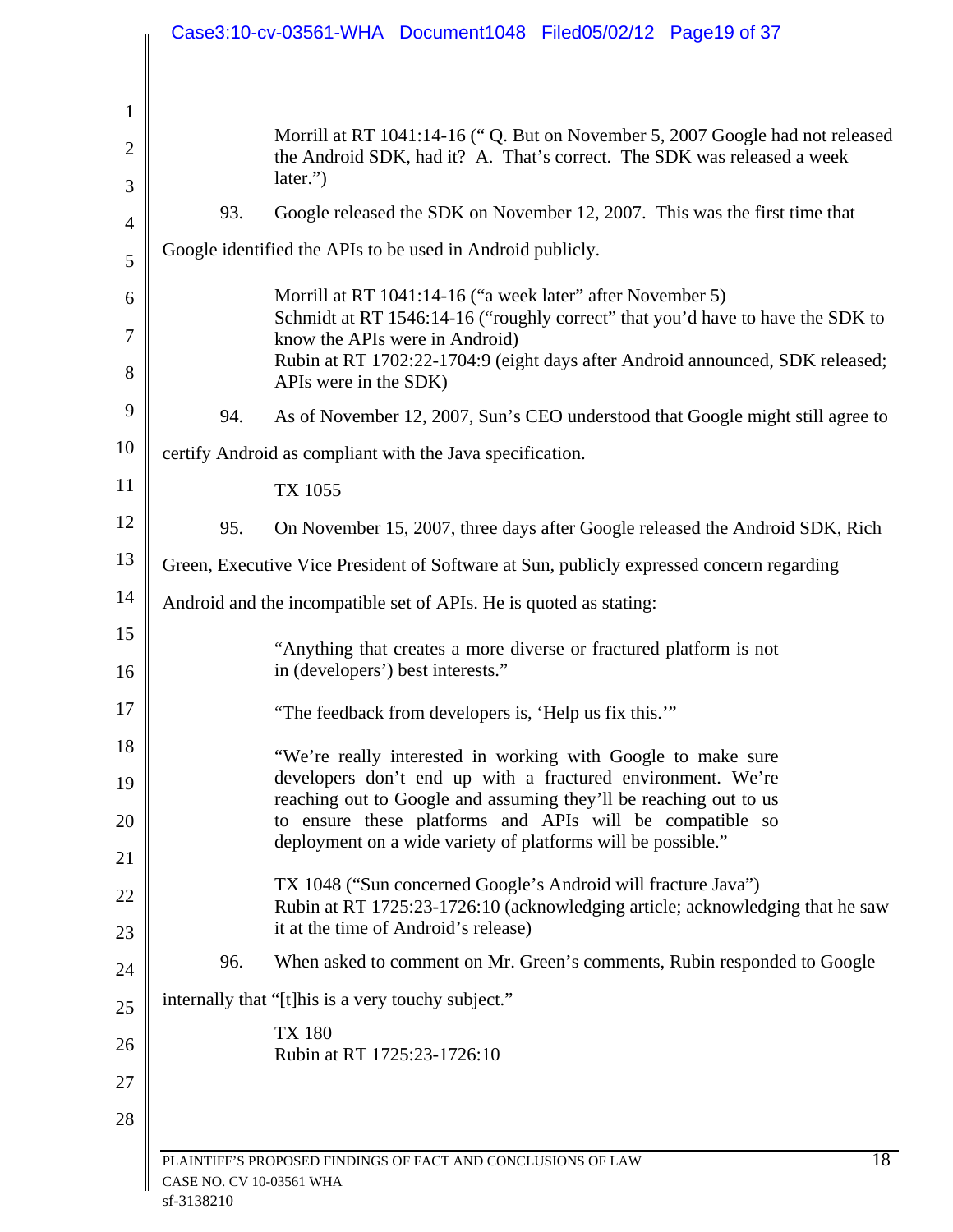| Morrill at RT 1041:14-16 ("Q. But on November 5, 2007 Google had not released                                                                  |
|------------------------------------------------------------------------------------------------------------------------------------------------|
| the Android SDK, had it? A. That's correct. The SDK was released a week<br>later.")                                                            |
| 93.<br>Google released the SDK on November 12, 2007. This was the first time that                                                              |
| Google identified the APIs to be used in Android publicly.                                                                                     |
| Morrill at RT 1041:14-16 ("a week later" after November 5)                                                                                     |
| Schmidt at RT 1546:14-16 ("roughly correct" that you'd have to have the SDK to                                                                 |
| know the APIs were in Android)<br>Rubin at RT 1702:22-1704:9 (eight days after Android announced, SDK released;<br>APIs were in the SDK)       |
| 94.<br>As of November 12, 2007, Sun's CEO understood that Google might still agree to                                                          |
| certify Android as compliant with the Java specification.                                                                                      |
| TX 1055                                                                                                                                        |
| On November 15, 2007, three days after Google released the Android SDK, Rich<br>95.                                                            |
| Green, Executive Vice President of Software at Sun, publicly expressed concern regarding                                                       |
| Android and the incompatible set of APIs. He is quoted as stating:                                                                             |
| "Anything that creates a more diverse or fractured platform is not<br>in (developers') best interests."                                        |
| "The feedback from developers is, 'Help us fix this.""                                                                                         |
| "We're really interested in working with Google to make sure                                                                                   |
| developers don't end up with a fractured environment. We're<br>reaching out to Google and assuming they'll be reaching out to us               |
| to ensure these platforms and APIs will be compatible so<br>deployment on a wide variety of platforms will be possible."                       |
|                                                                                                                                                |
| TX 1048 ("Sun concerned Google's Android will fracture Java")<br>Rubin at RT 1725:23-1726:10 (acknowledging article; acknowledging that he saw |
| it at the time of Android's release)                                                                                                           |
| 96.<br>When asked to comment on Mr. Green's comments, Rubin responded to Google                                                                |
| internally that "[t] his is a very touchy subject."                                                                                            |
| <b>TX 180</b><br>Rubin at RT 1725:23-1726:10                                                                                                   |
|                                                                                                                                                |
|                                                                                                                                                |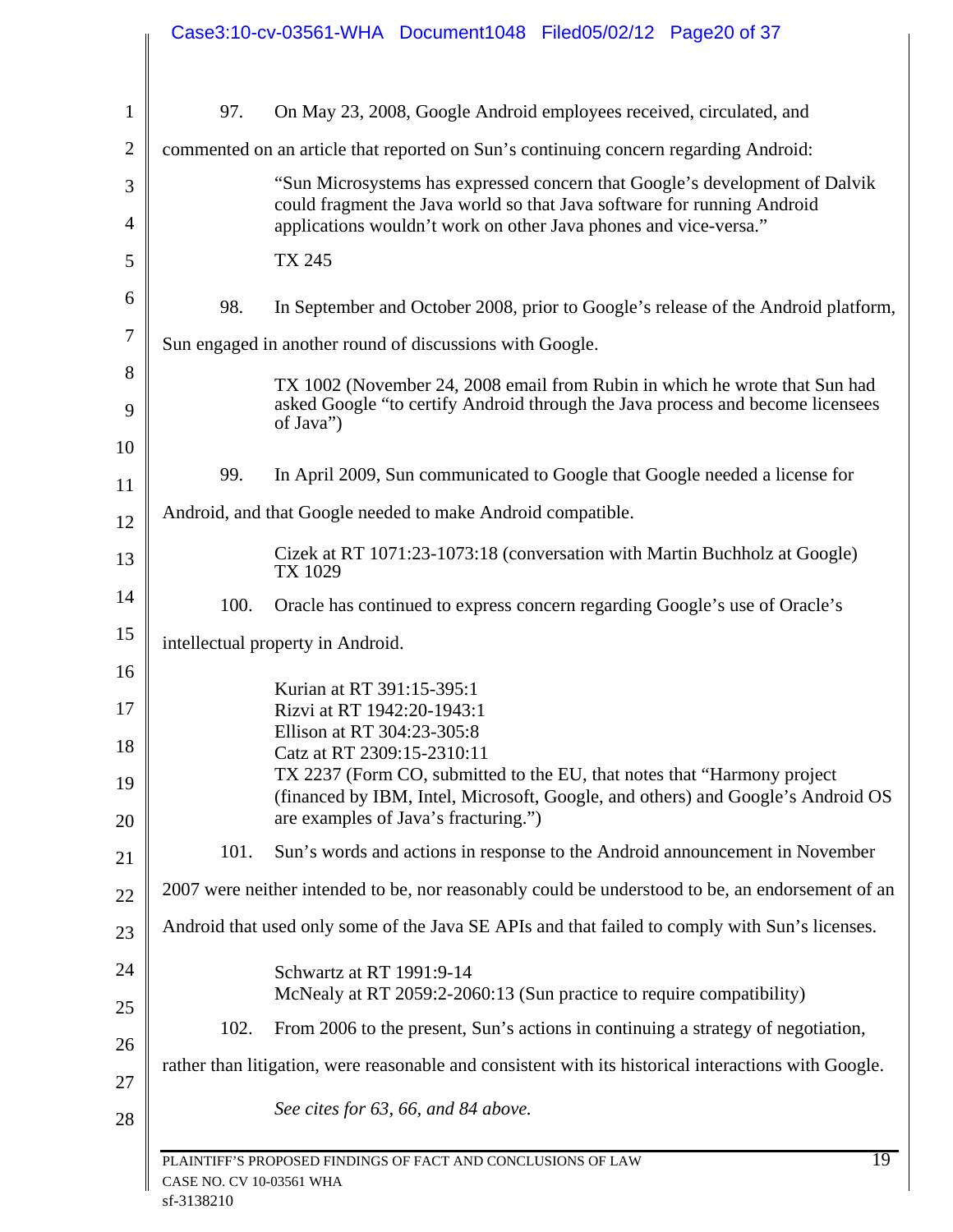|                  |                          | Case3:10-cv-03561-WHA Document1048 Filed05/02/12 Page20 of 37                                                                                                                                                              |
|------------------|--------------------------|----------------------------------------------------------------------------------------------------------------------------------------------------------------------------------------------------------------------------|
|                  |                          |                                                                                                                                                                                                                            |
| $\mathbf{1}$     | 97.                      | On May 23, 2008, Google Android employees received, circulated, and                                                                                                                                                        |
| $\overline{2}$   |                          | commented on an article that reported on Sun's continuing concern regarding Android:                                                                                                                                       |
| 3<br>4           |                          | "Sun Microsystems has expressed concern that Google's development of Dalvik<br>could fragment the Java world so that Java software for running Android<br>applications wouldn't work on other Java phones and vice-versa." |
| 5                |                          | TX 245                                                                                                                                                                                                                     |
| 6                | 98.                      | In September and October 2008, prior to Google's release of the Android platform,                                                                                                                                          |
| $\boldsymbol{7}$ |                          | Sun engaged in another round of discussions with Google.                                                                                                                                                                   |
| 8<br>9           |                          | TX 1002 (November 24, 2008 email from Rubin in which he wrote that Sun had<br>asked Google "to certify Android through the Java process and become licensees<br>of Java")                                                  |
| 10               |                          |                                                                                                                                                                                                                            |
| 11               | 99.                      | In April 2009, Sun communicated to Google that Google needed a license for                                                                                                                                                 |
| 12               |                          | Android, and that Google needed to make Android compatible.                                                                                                                                                                |
| 13               |                          | Cizek at RT 1071:23-1073:18 (conversation with Martin Buchholz at Google)<br>TX 1029                                                                                                                                       |
| 14               | 100.                     | Oracle has continued to express concern regarding Google's use of Oracle's                                                                                                                                                 |
| 15               |                          | intellectual property in Android.                                                                                                                                                                                          |
| 16               |                          | Kurian at RT 391:15-395:1                                                                                                                                                                                                  |
| 17               |                          | Rizvi at RT 1942:20-1943:1<br>Ellison at RT 304:23-305:8                                                                                                                                                                   |
| 18               |                          | Catz at RT 2309:15-2310:11                                                                                                                                                                                                 |
| 19               |                          | TX 2237 (Form CO, submitted to the EU, that notes that "Harmony project"<br>(financed by IBM, Intel, Microsoft, Google, and others) and Google's Android OS<br>are examples of Java's fracturing.")                        |
| 20               | 101.                     | Sun's words and actions in response to the Android announcement in November                                                                                                                                                |
| 21               |                          |                                                                                                                                                                                                                            |
| 22               |                          | 2007 were neither intended to be, nor reasonably could be understood to be, an endorsement of an                                                                                                                           |
| 23               |                          | Android that used only some of the Java SE APIs and that failed to comply with Sun's licenses.                                                                                                                             |
| 24               |                          | Schwartz at RT 1991:9-14<br>McNealy at RT 2059:2-2060:13 (Sun practice to require compatibility)                                                                                                                           |
| 25               | 102.                     | From 2006 to the present, Sun's actions in continuing a strategy of negotiation,                                                                                                                                           |
| 26               |                          | rather than litigation, were reasonable and consistent with its historical interactions with Google.                                                                                                                       |
| 27<br>28         |                          | See cites for 63, 66, and 84 above.                                                                                                                                                                                        |
|                  |                          |                                                                                                                                                                                                                            |
|                  | CASE NO. CV 10-03561 WHA | $\overline{19}$<br>PLAINTIFF'S PROPOSED FINDINGS OF FACT AND CONCLUSIONS OF LAW                                                                                                                                            |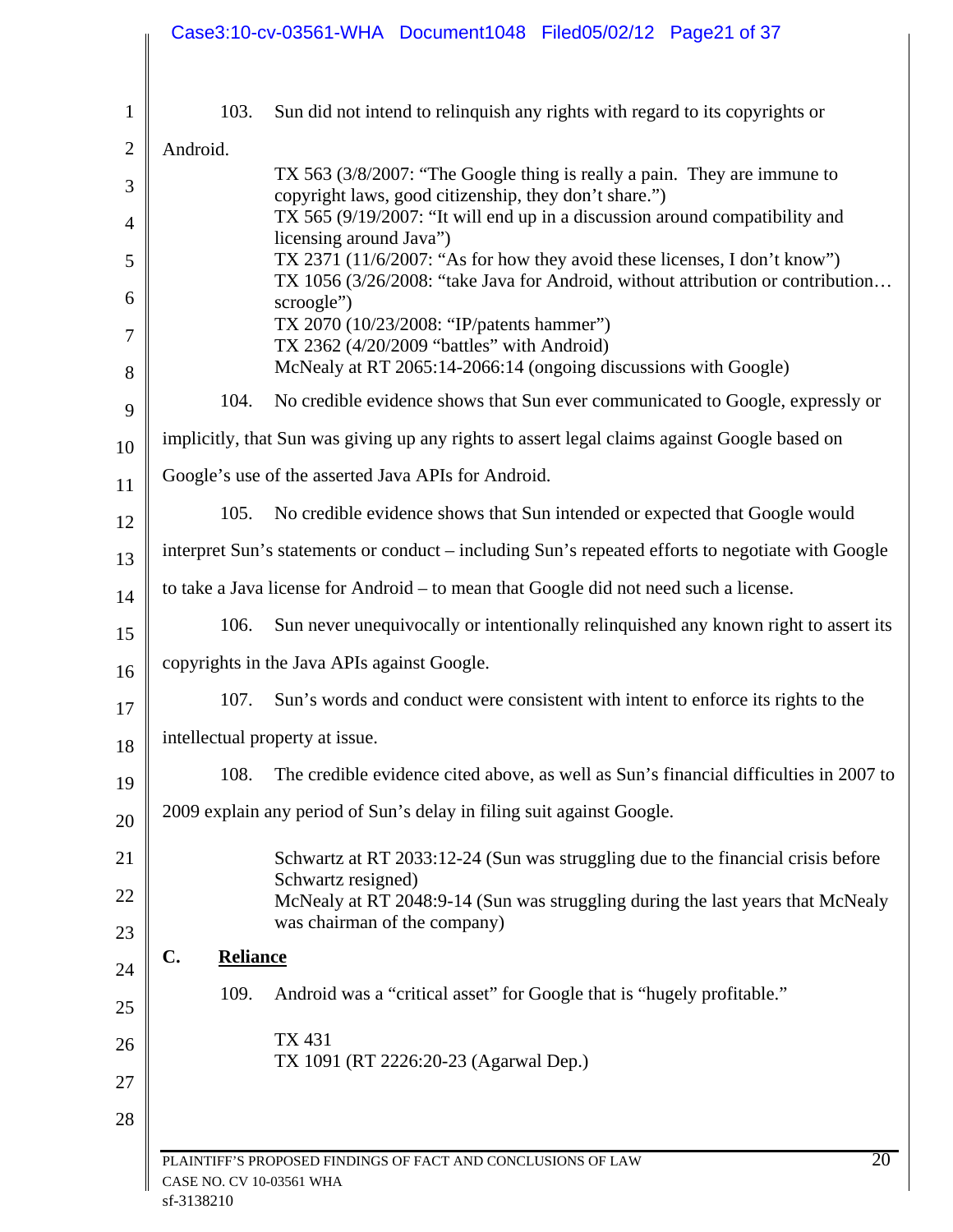|          |                                   | Case3:10-cv-03561-WHA Document1048 Filed05/02/12 Page21 of 37                                                                                                |
|----------|-----------------------------------|--------------------------------------------------------------------------------------------------------------------------------------------------------------|
|          | 103.                              | Sun did not intend to relinquish any rights with regard to its copyrights or                                                                                 |
|          | Android.                          |                                                                                                                                                              |
|          |                                   | TX 563 (3/8/2007: "The Google thing is really a pain. They are immune to<br>copyright laws, good citizenship, they don't share.")                            |
|          |                                   | TX 565 (9/19/2007: "It will end up in a discussion around compatibility and<br>licensing around Java")                                                       |
|          |                                   | TX 2371 (11/6/2007: "As for how they avoid these licenses, I don't know")<br>TX 1056 (3/26/2008: "take Java for Android, without attribution or contribution |
| 6        |                                   | scroogle")                                                                                                                                                   |
|          |                                   | TX 2070 (10/23/2008: "IP/patents hammer")<br>TX 2362 (4/20/2009 "battles" with Android)                                                                      |
|          |                                   | McNealy at RT 2065:14-2066:14 (ongoing discussions with Google)                                                                                              |
|          | 104.                              | No credible evidence shows that Sun ever communicated to Google, expressly or                                                                                |
| 10       |                                   | implicitly, that Sun was giving up any rights to assert legal claims against Google based on                                                                 |
| 11       |                                   | Google's use of the asserted Java APIs for Android.                                                                                                          |
| 12       | 105.                              | No credible evidence shows that Sun intended or expected that Google would                                                                                   |
| 13       |                                   | interpret Sun's statements or conduct – including Sun's repeated efforts to negotiate with Google                                                            |
| 14       |                                   | to take a Java license for Android – to mean that Google did not need such a license.                                                                        |
| 15       | 106.                              | Sun never unequivocally or intentionally relinquished any known right to assert its                                                                          |
| 16       |                                   | copyrights in the Java APIs against Google.                                                                                                                  |
| 17       | 107.                              | Sun's words and conduct were consistent with intent to enforce its rights to the                                                                             |
| 18       |                                   | intellectual property at issue.                                                                                                                              |
| 19       | 108.                              | The credible evidence cited above, as well as Sun's financial difficulties in 2007 to                                                                        |
| 20       |                                   | 2009 explain any period of Sun's delay in filing suit against Google.                                                                                        |
| 21       |                                   | Schwartz at RT 2033:12-24 (Sun was struggling due to the financial crisis before<br>Schwartz resigned)                                                       |
| 22<br>23 |                                   | McNealy at RT 2048:9-14 (Sun was struggling during the last years that McNealy<br>was chairman of the company)                                               |
| 24       | $\mathbf{C}$ .<br><b>Reliance</b> |                                                                                                                                                              |
| 25       | 109.                              | Android was a "critical asset" for Google that is "hugely profitable."                                                                                       |
| 26<br>27 |                                   | <b>TX 431</b><br>TX 1091 (RT 2226:20-23 (Agarwal Dep.)                                                                                                       |
| 28       | CASE NO. CV 10-03561 WHA          | 20<br>PLAINTIFF'S PROPOSED FINDINGS OF FACT AND CONCLUSIONS OF LAW                                                                                           |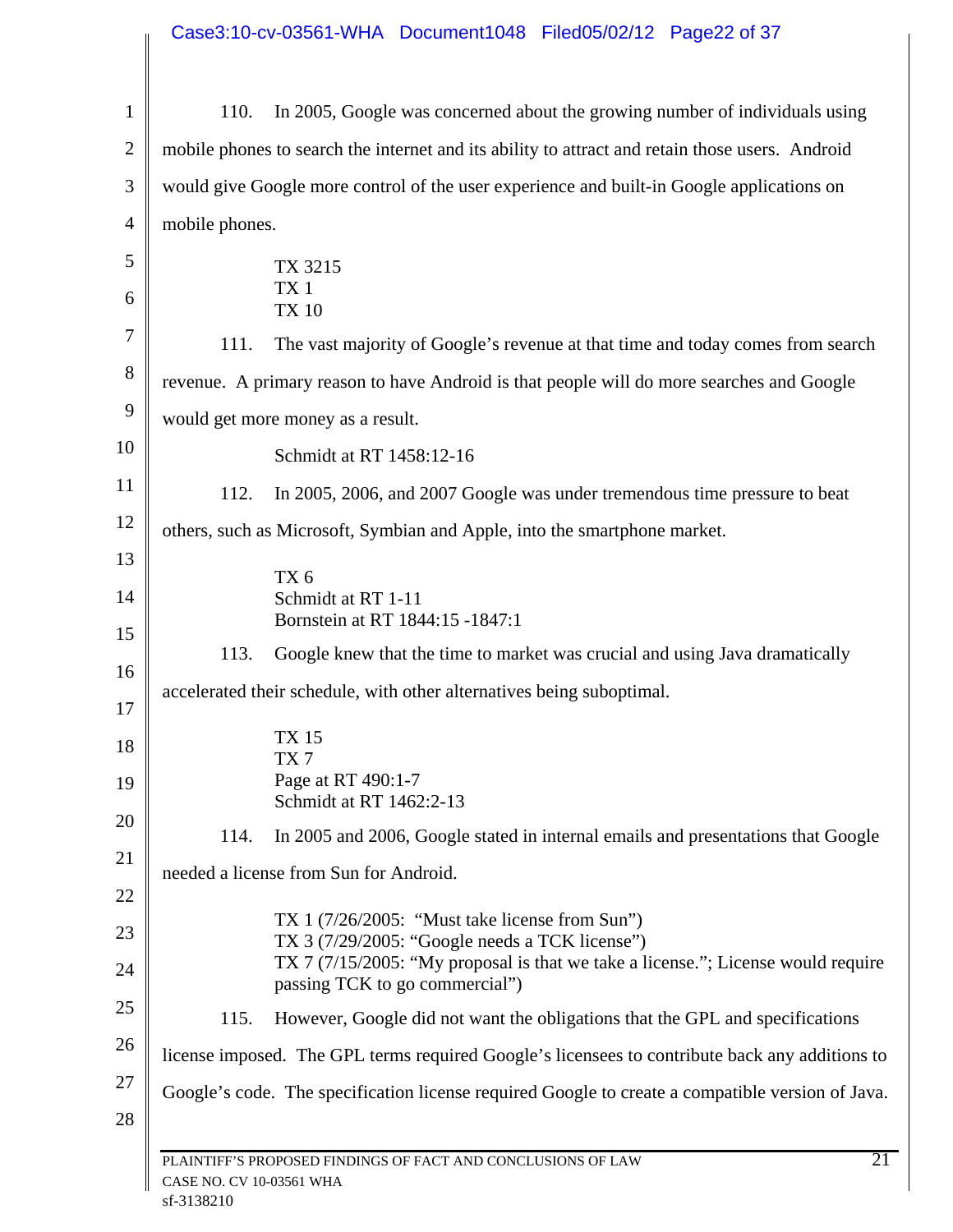| $\mathbf{1}$   | 110.                                                                                           | In 2005, Google was concerned about the growing number of individuals using                                                                                                                                                |
|----------------|------------------------------------------------------------------------------------------------|----------------------------------------------------------------------------------------------------------------------------------------------------------------------------------------------------------------------------|
| $\overline{2}$ |                                                                                                | mobile phones to search the internet and its ability to attract and retain those users. Android                                                                                                                            |
| 3              | would give Google more control of the user experience and built-in Google applications on      |                                                                                                                                                                                                                            |
| $\overline{4}$ | mobile phones.                                                                                 |                                                                                                                                                                                                                            |
| 5              |                                                                                                | TX 3215                                                                                                                                                                                                                    |
| 6              |                                                                                                | TX <sub>1</sub><br><b>TX 10</b>                                                                                                                                                                                            |
| 7              | 111.                                                                                           | The vast majority of Google's revenue at that time and today comes from search                                                                                                                                             |
| 8              |                                                                                                | revenue. A primary reason to have Android is that people will do more searches and Google                                                                                                                                  |
| 9              |                                                                                                | would get more money as a result.                                                                                                                                                                                          |
| 10             |                                                                                                | Schmidt at RT 1458:12-16                                                                                                                                                                                                   |
| 11             | 112.                                                                                           | In 2005, 2006, and 2007 Google was under tremendous time pressure to beat                                                                                                                                                  |
| 12             | others, such as Microsoft, Symbian and Apple, into the smartphone market.                      |                                                                                                                                                                                                                            |
| 13             |                                                                                                | TX6                                                                                                                                                                                                                        |
| 14             |                                                                                                | Schmidt at RT 1-11                                                                                                                                                                                                         |
| 15             | 113.                                                                                           | Bornstein at RT 1844:15 -1847:1<br>Google knew that the time to market was crucial and using Java dramatically                                                                                                             |
| 16             |                                                                                                |                                                                                                                                                                                                                            |
| 17             |                                                                                                | accelerated their schedule, with other alternatives being suboptimal.                                                                                                                                                      |
| 18             |                                                                                                | <b>TX15</b><br>TX 7                                                                                                                                                                                                        |
| 19             |                                                                                                | Page at RT 490:1-7<br>Schmidt at RT 1462:2-13                                                                                                                                                                              |
| 20             | 114.                                                                                           | In 2005 and 2006, Google stated in internal emails and presentations that Google                                                                                                                                           |
| 21             |                                                                                                | needed a license from Sun for Android.                                                                                                                                                                                     |
| 22             |                                                                                                |                                                                                                                                                                                                                            |
| 23<br>24       |                                                                                                | TX 1 $(7/26/2005)$ : "Must take license from Sun")<br>TX 3 (7/29/2005: "Google needs a TCK license")<br>TX 7 (7/15/2005: "My proposal is that we take a license."; License would require<br>passing TCK to go commercial") |
| 25             | 115.                                                                                           | However, Google did not want the obligations that the GPL and specifications                                                                                                                                               |
| 26             |                                                                                                |                                                                                                                                                                                                                            |
| 27             | license imposed. The GPL terms required Google's licensees to contribute back any additions to |                                                                                                                                                                                                                            |
| 28             |                                                                                                | Google's code. The specification license required Google to create a compatible version of Java.                                                                                                                           |
|                | 21<br>PLAINTIFF'S PROPOSED FINDINGS OF FACT AND CONCLUSIONS OF LAW                             |                                                                                                                                                                                                                            |
|                | CASE NO. CV 10-03561 WHA                                                                       |                                                                                                                                                                                                                            |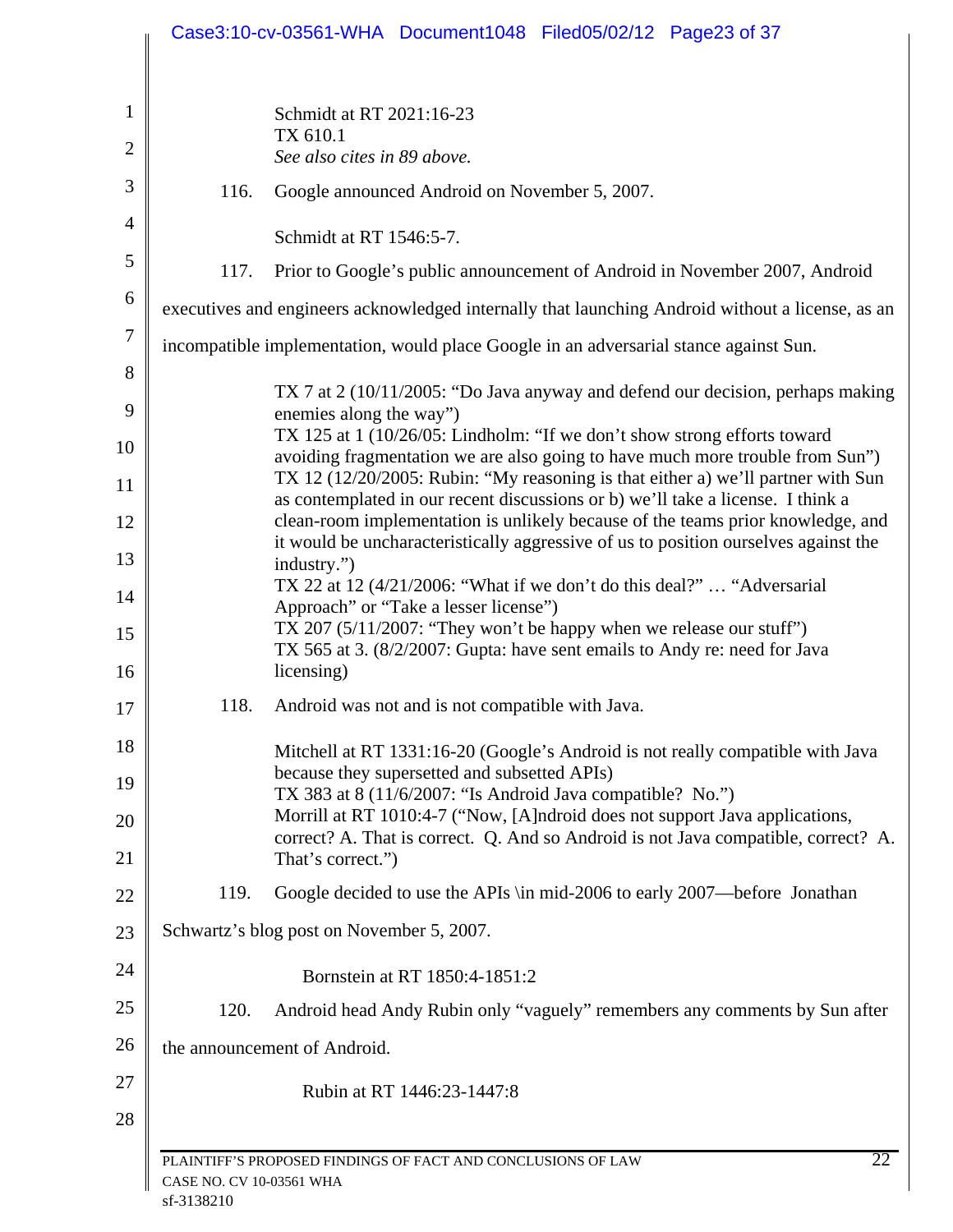|                |                          | Case3:10-cv-03561-WHA Document1048 Filed05/02/12 Page23 of 37                                                                                                      |
|----------------|--------------------------|--------------------------------------------------------------------------------------------------------------------------------------------------------------------|
|                |                          |                                                                                                                                                                    |
| $\mathbf{1}$   |                          | Schmidt at RT 2021:16-23<br>TX 610.1                                                                                                                               |
| $\overline{2}$ |                          | See also cites in 89 above.                                                                                                                                        |
| 3              | 116.                     | Google announced Android on November 5, 2007.                                                                                                                      |
| 4              |                          | Schmidt at RT 1546:5-7.                                                                                                                                            |
| 5              | 117.                     | Prior to Google's public announcement of Android in November 2007, Android                                                                                         |
| 6              |                          | executives and engineers acknowledged internally that launching Android without a license, as an                                                                   |
| $\tau$         |                          | incompatible implementation, would place Google in an adversarial stance against Sun.                                                                              |
| 8              |                          | TX 7 at 2 (10/11/2005: "Do Java anyway and defend our decision, perhaps making                                                                                     |
| 9              |                          | enemies along the way")<br>TX 125 at 1 (10/26/05: Lindholm: "If we don't show strong efforts toward                                                                |
| 10<br>11       |                          | avoiding fragmentation we are also going to have much more trouble from Sun")<br>TX 12 (12/20/2005: Rubin: "My reasoning is that either a) we'll partner with Sun  |
| 12             |                          | as contemplated in our recent discussions or b) we'll take a license. I think a<br>clean-room implementation is unlikely because of the teams prior knowledge, and |
| 13             |                          | it would be uncharacteristically aggressive of us to position ourselves against the                                                                                |
| 14             |                          | industry.")<br>TX 22 at 12 (4/21/2006: "What if we don't do this deal?"  "Adversarial"                                                                             |
| 15             |                          | Approach" or "Take a lesser license")<br>TX 207 $(5/11/2007)$ : "They won't be happy when we release our stuff")                                                   |
| 16             |                          | TX 565 at 3. (8/2/2007: Gupta: have sent emails to Andy re: need for Java<br>licensing)                                                                            |
| 17             | 118.                     | Android was not and is not compatible with Java.                                                                                                                   |
| 18             |                          | Mitchell at RT 1331:16-20 (Google's Android is not really compatible with Java                                                                                     |
| 19             |                          | because they supersetted and subsetted APIs)<br>TX 383 at 8 (11/6/2007: "Is Android Java compatible? No.")                                                         |
| 20             |                          | Morrill at RT 1010:4-7 ("Now, [A]ndroid does not support Java applications,<br>correct? A. That is correct. Q. And so Android is not Java compatible, correct? A.  |
| 21             |                          | That's correct.")                                                                                                                                                  |
| 22             | 119.                     | Google decided to use the APIs \in mid-2006 to early 2007—before Jonathan                                                                                          |
| 23             |                          | Schwartz's blog post on November 5, 2007.                                                                                                                          |
| 24             |                          | Bornstein at RT 1850:4-1851:2                                                                                                                                      |
| 25             | 120.                     | Android head Andy Rubin only "vaguely" remembers any comments by Sun after                                                                                         |
| 26             |                          | the announcement of Android.                                                                                                                                       |
| 27             |                          | Rubin at RT 1446:23-1447:8                                                                                                                                         |
| 28             |                          |                                                                                                                                                                    |
|                | CASE NO. CV 10-03561 WHA | 22<br>PLAINTIFF'S PROPOSED FINDINGS OF FACT AND CONCLUSIONS OF LAW                                                                                                 |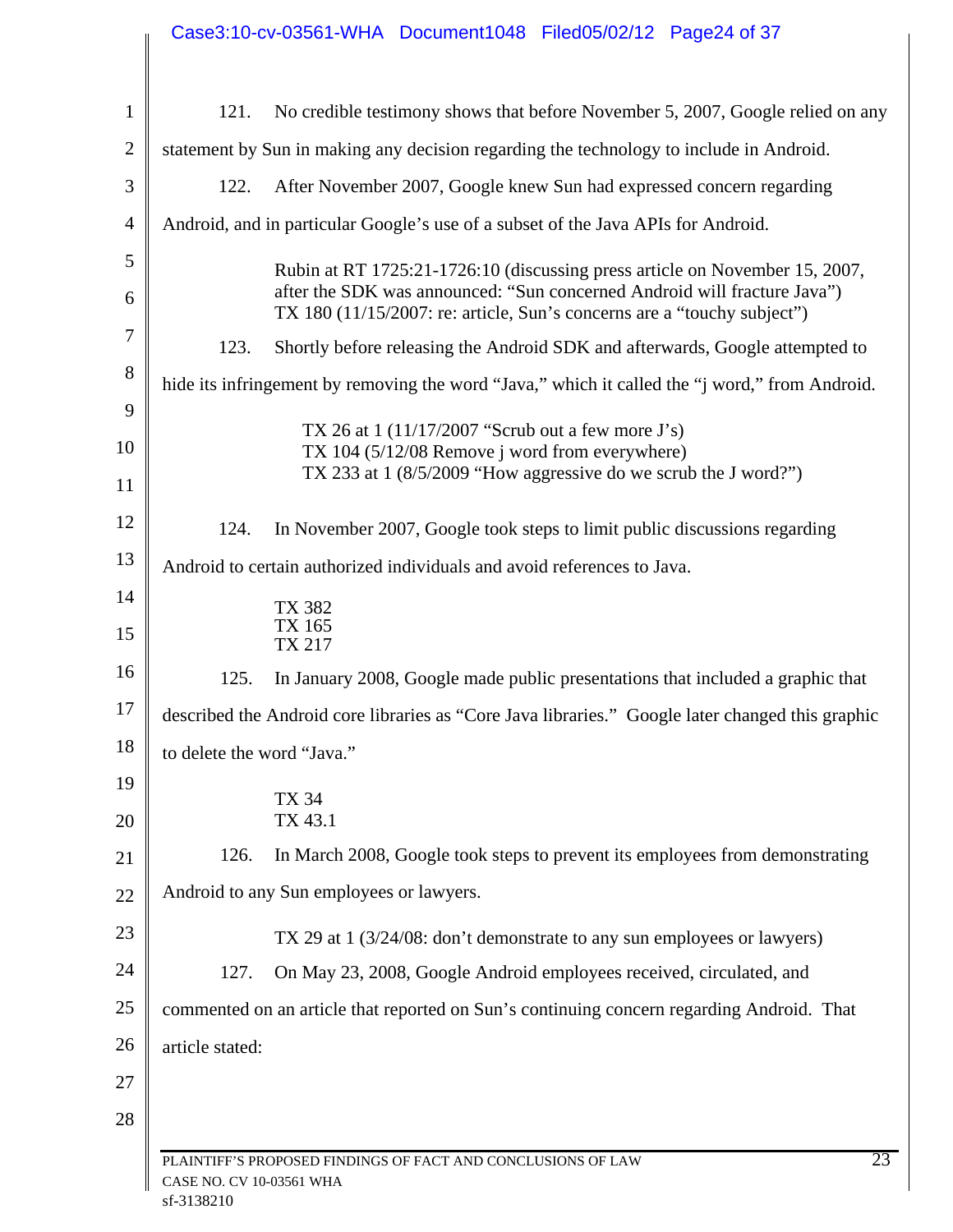|                | Case3:10-cv-03561-WHA Document1048 Filed05/02/12 Page24 of 37                                                                                       |  |  |  |
|----------------|-----------------------------------------------------------------------------------------------------------------------------------------------------|--|--|--|
|                |                                                                                                                                                     |  |  |  |
| $\mathbf{1}$   | No credible testimony shows that before November 5, 2007, Google relied on any<br>121.                                                              |  |  |  |
| $\overline{2}$ | statement by Sun in making any decision regarding the technology to include in Android.                                                             |  |  |  |
| 3              | After November 2007, Google knew Sun had expressed concern regarding<br>122.                                                                        |  |  |  |
| $\overline{4}$ | Android, and in particular Google's use of a subset of the Java APIs for Android.                                                                   |  |  |  |
| 5              | Rubin at RT 1725:21-1726:10 (discussing press article on November 15, 2007,                                                                         |  |  |  |
| 6              | after the SDK was announced: "Sun concerned Android will fracture Java")<br>TX 180 (11/15/2007: re: article, Sun's concerns are a "touchy subject") |  |  |  |
| 7              | Shortly before releasing the Android SDK and afterwards, Google attempted to<br>123.                                                                |  |  |  |
| 8              | hide its infringement by removing the word "Java," which it called the "j word," from Android.                                                      |  |  |  |
| 9              | TX 26 at $1(11/17/2007$ "Scrub out a few more J's)                                                                                                  |  |  |  |
| 10             | TX 104 (5/12/08 Remove j word from everywhere)<br>TX 233 at $1 \frac{8}{5}/2009$ "How aggressive do we scrub the J word?")                          |  |  |  |
| 11             |                                                                                                                                                     |  |  |  |
| 12             | 124.<br>In November 2007, Google took steps to limit public discussions regarding                                                                   |  |  |  |
| 13             | Android to certain authorized individuals and avoid references to Java.                                                                             |  |  |  |
| 14             | <b>TX 382</b>                                                                                                                                       |  |  |  |
| 15             | TX 165<br>TX 217                                                                                                                                    |  |  |  |
| 16             | 125.<br>In January 2008, Google made public presentations that included a graphic that                                                              |  |  |  |
| 17             | described the Android core libraries as "Core Java libraries." Google later changed this graphic                                                    |  |  |  |
| 18             | to delete the word "Java."                                                                                                                          |  |  |  |
| 19             | <b>TX 34</b>                                                                                                                                        |  |  |  |
| 20             | TX 43.1                                                                                                                                             |  |  |  |
| 21             | 126.<br>In March 2008, Google took steps to prevent its employees from demonstrating                                                                |  |  |  |
| 22             | Android to any Sun employees or lawyers.                                                                                                            |  |  |  |
| 23             | TX 29 at 1 (3/24/08: don't demonstrate to any sun employees or lawyers)                                                                             |  |  |  |
| 24             | On May 23, 2008, Google Android employees received, circulated, and<br>127.                                                                         |  |  |  |
| 25             | commented on an article that reported on Sun's continuing concern regarding Android. That                                                           |  |  |  |
| 26             | article stated:                                                                                                                                     |  |  |  |
| 27             |                                                                                                                                                     |  |  |  |
| 28             |                                                                                                                                                     |  |  |  |
|                | 23<br>PLAINTIFF'S PROPOSED FINDINGS OF FACT AND CONCLUSIONS OF LAW<br>CASE NO. CV 10-03561 WHA                                                      |  |  |  |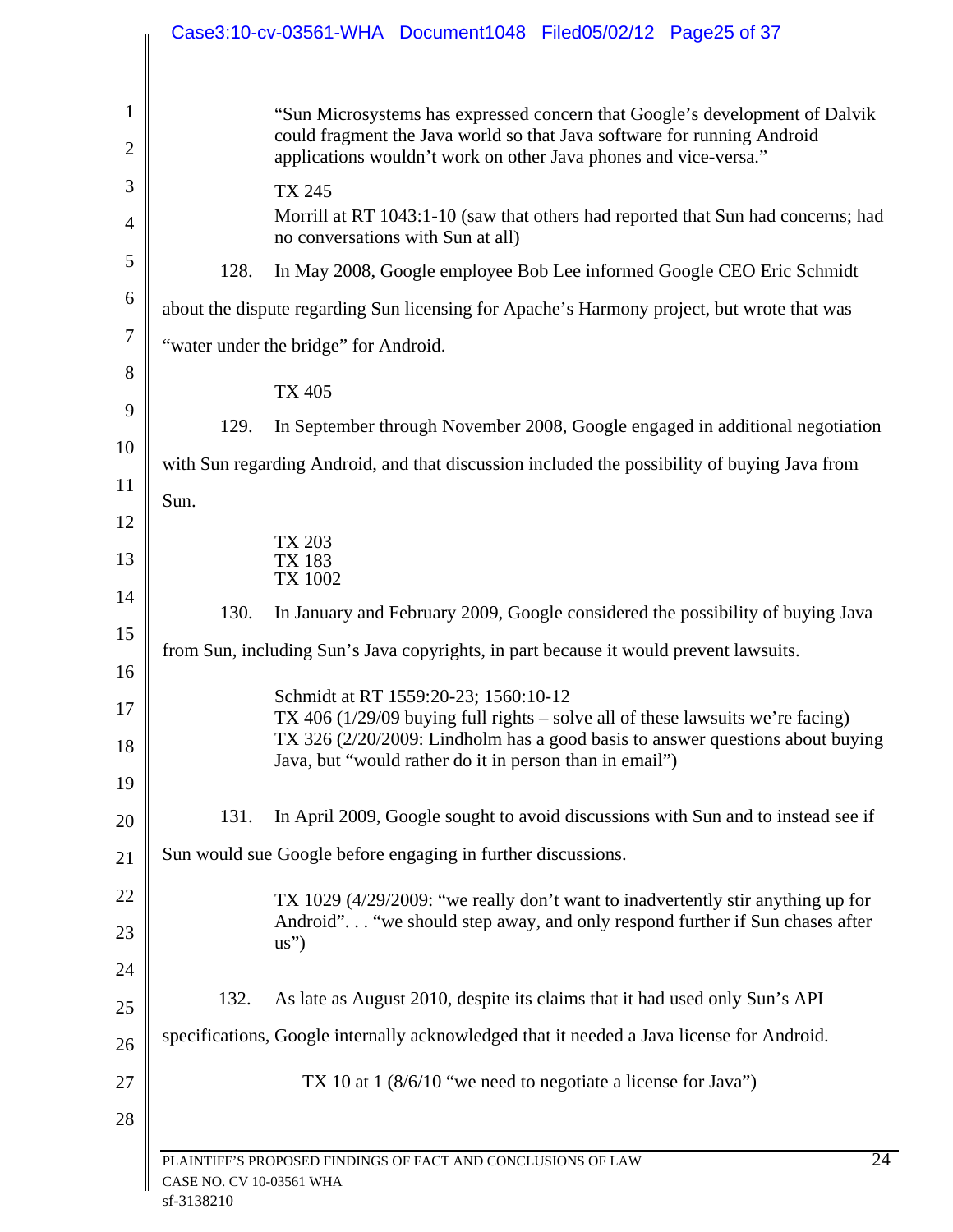|                                       | Case3:10-cv-03561-WHA Document1048 Filed05/02/12 Page25 of 37                                                                                                                                                                                                        |  |
|---------------------------------------|----------------------------------------------------------------------------------------------------------------------------------------------------------------------------------------------------------------------------------------------------------------------|--|
|                                       | "Sun Microsystems has expressed concern that Google's development of Dalvik<br>could fragment the Java world so that Java software for running Android<br>applications wouldn't work on other Java phones and vice-versa."                                           |  |
|                                       | <b>TX 245</b>                                                                                                                                                                                                                                                        |  |
|                                       | Morrill at RT 1043:1-10 (saw that others had reported that Sun had concerns; had<br>no conversations with Sun at all)                                                                                                                                                |  |
| 128.                                  | In May 2008, Google employee Bob Lee informed Google CEO Eric Schmidt                                                                                                                                                                                                |  |
|                                       | about the dispute regarding Sun licensing for Apache's Harmony project, but wrote that was                                                                                                                                                                           |  |
| "water under the bridge" for Android. |                                                                                                                                                                                                                                                                      |  |
|                                       |                                                                                                                                                                                                                                                                      |  |
|                                       | <b>TX 405</b>                                                                                                                                                                                                                                                        |  |
| 129.                                  | In September through November 2008, Google engaged in additional negotiation                                                                                                                                                                                         |  |
|                                       | with Sun regarding Android, and that discussion included the possibility of buying Java from                                                                                                                                                                         |  |
| Sun.                                  |                                                                                                                                                                                                                                                                      |  |
|                                       |                                                                                                                                                                                                                                                                      |  |
|                                       | TX 203<br><b>TX 183</b><br><b>TX 1002</b>                                                                                                                                                                                                                            |  |
| 130.                                  | In January and February 2009, Google considered the possibility of buying Java                                                                                                                                                                                       |  |
|                                       | from Sun, including Sun's Java copyrights, in part because it would prevent lawsuits.                                                                                                                                                                                |  |
|                                       |                                                                                                                                                                                                                                                                      |  |
|                                       | Schmidt at RT 1559:20-23; 1560:10-12<br>TX 406 (1/29/09 buying full rights $-$ solve all of these lawsuits we're facing)<br>TX 326 (2/20/2009: Lindholm has a good basis to answer questions about buying<br>Java, but "would rather do it in person than in email") |  |
| 131.                                  | In April 2009, Google sought to avoid discussions with Sun and to instead see if                                                                                                                                                                                     |  |
|                                       | Sun would sue Google before engaging in further discussions.                                                                                                                                                                                                         |  |
|                                       | TX 1029 (4/29/2009: "we really don't want to inadvertently stir anything up for<br>Android" "we should step away, and only respond further if Sun chases after<br>$\text{us}^{"}$                                                                                    |  |
| 132.                                  | As late as August 2010, despite its claims that it had used only Sun's API                                                                                                                                                                                           |  |
|                                       | specifications, Google internally acknowledged that it needed a Java license for Android.                                                                                                                                                                            |  |
|                                       | TX 10 at 1 $(8/6/10$ "we need to negotiate a license for Java")                                                                                                                                                                                                      |  |
|                                       |                                                                                                                                                                                                                                                                      |  |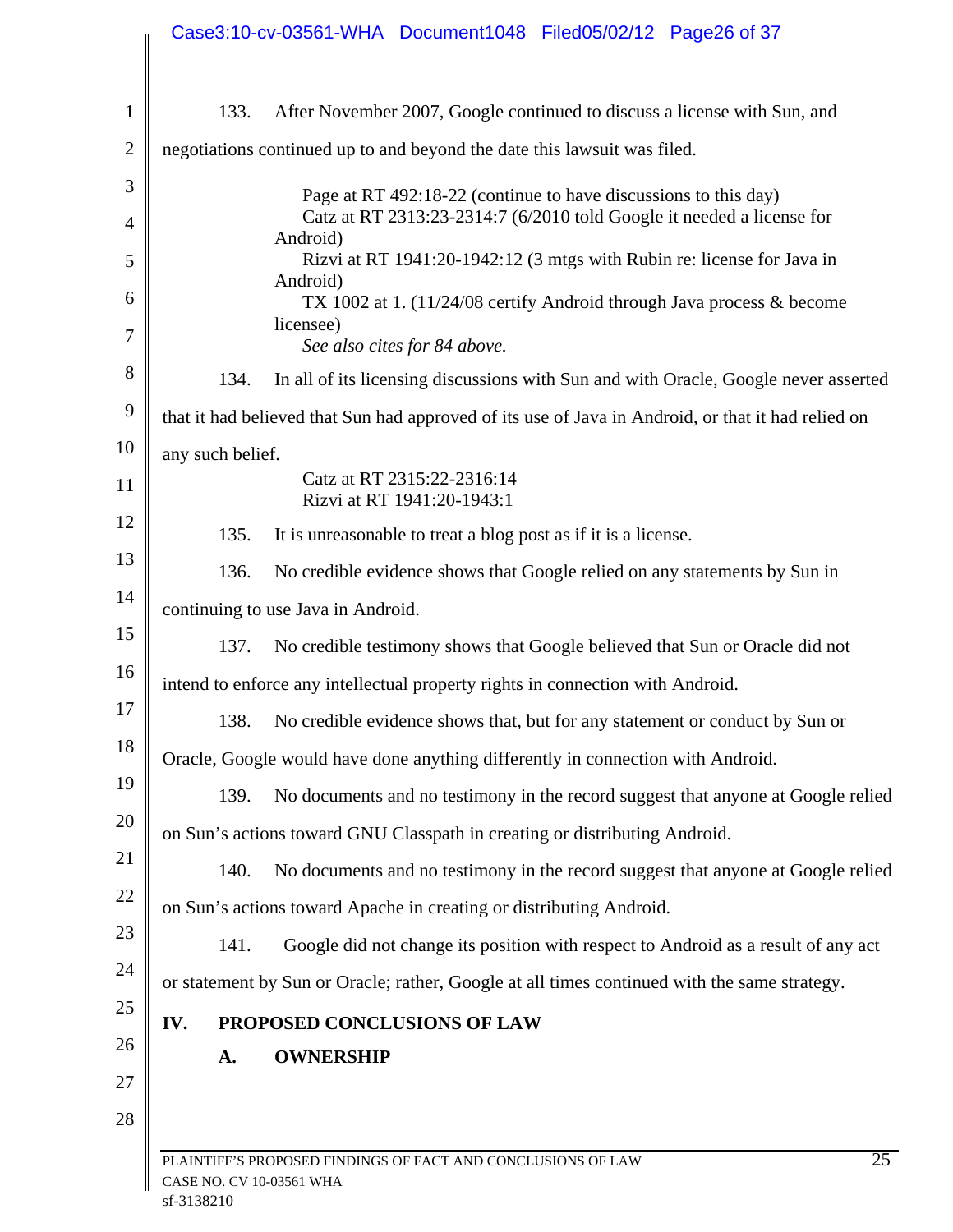|     |                  | Case3:10-cv-03561-WHA Document1048 Filed05/02/12 Page26 of 37                                      |
|-----|------------------|----------------------------------------------------------------------------------------------------|
|     | 133.             | After November 2007, Google continued to discuss a license with Sun, and                           |
|     |                  | negotiations continued up to and beyond the date this lawsuit was filed.                           |
|     |                  | Page at RT 492:18-22 (continue to have discussions to this day)                                    |
|     |                  | Catz at RT 2313:23-2314:7 (6/2010 told Google it needed a license for                              |
|     |                  | Android)<br>Rizvi at RT 1941:20-1942:12 (3 mtgs with Rubin re: license for Java in                 |
|     |                  | Android)<br>TX 1002 at 1. (11/24/08 certify Android through Java process & become                  |
|     |                  | licensee)<br>See also cites for 84 above.                                                          |
|     | 134.             | In all of its licensing discussions with Sun and with Oracle, Google never asserted                |
|     |                  | that it had believed that Sun had approved of its use of Java in Android, or that it had relied on |
|     | any such belief. |                                                                                                    |
|     |                  | Catz at RT 2315:22-2316:14<br>Rizvi at RT 1941:20-1943:1                                           |
|     | 135.             | It is unreasonable to treat a blog post as if it is a license.                                     |
|     | 136.             | No credible evidence shows that Google relied on any statements by Sun in                          |
|     |                  | continuing to use Java in Android.                                                                 |
|     | 137.             | No credible testimony shows that Google believed that Sun or Oracle did not                        |
|     |                  | intend to enforce any intellectual property rights in connection with Android.                     |
|     |                  | 138. No credible evidence shows that, but for any statement or conduct by Sun or                   |
|     |                  | Oracle, Google would have done anything differently in connection with Android.                    |
|     | 139.             | No documents and no testimony in the record suggest that anyone at Google relied                   |
|     |                  | on Sun's actions toward GNU Classpath in creating or distributing Android.                         |
|     | 140.             | No documents and no testimony in the record suggest that anyone at Google relied                   |
|     |                  | on Sun's actions toward Apache in creating or distributing Android.                                |
|     | 141.             | Google did not change its position with respect to Android as a result of any act                  |
|     |                  | or statement by Sun or Oracle; rather, Google at all times continued with the same strategy.       |
| IV. |                  | PROPOSED CONCLUSIONS OF LAW                                                                        |
|     | A.               | <b>OWNERSHIP</b>                                                                                   |
|     |                  |                                                                                                    |
|     |                  |                                                                                                    |
|     |                  | $\overline{25}$<br>PLAINTIFF'S PROPOSED FINDINGS OF FACT AND CONCLUSIONS OF LAW                    |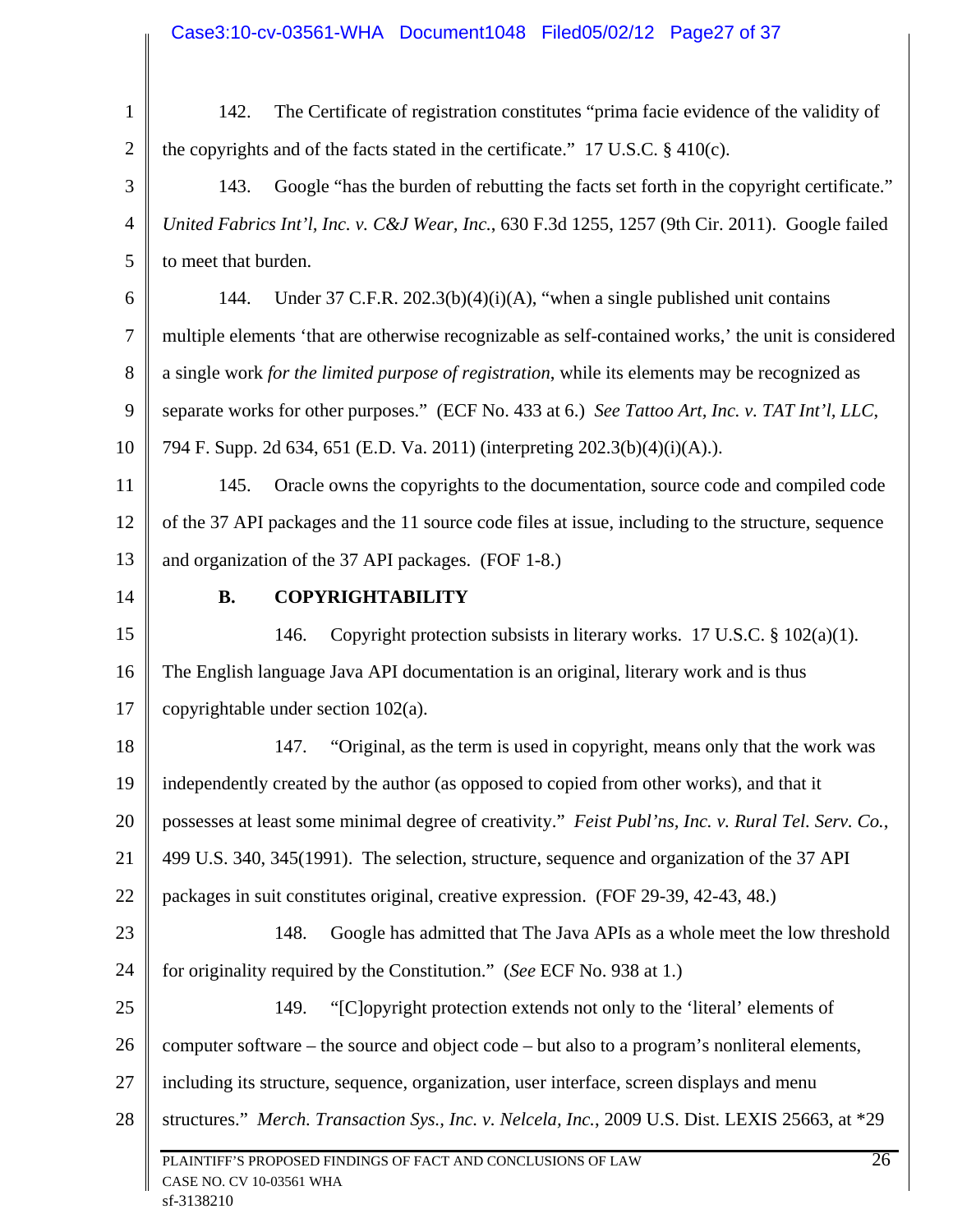| $\mathbf{1}$   | The Certificate of registration constitutes "prima facie evidence of the validity of<br>142.        |  |  |  |
|----------------|-----------------------------------------------------------------------------------------------------|--|--|--|
| $\overline{2}$ | the copyrights and of the facts stated in the certificate." 17 U.S.C. $\S$ 410(c).                  |  |  |  |
| 3              | Google "has the burden of rebutting the facts set forth in the copyright certificate."<br>143.      |  |  |  |
| $\overline{4}$ | United Fabrics Int'l, Inc. v. C&J Wear, Inc., 630 F.3d 1255, 1257 (9th Cir. 2011). Google failed    |  |  |  |
| 5              | to meet that burden.                                                                                |  |  |  |
| 6              | Under 37 C.F.R. $202.3(b)(4)(i)(A)$ , "when a single published unit contains<br>144.                |  |  |  |
| 7              | multiple elements 'that are otherwise recognizable as self-contained works,' the unit is considered |  |  |  |
| 8              | a single work for the limited purpose of registration, while its elements may be recognized as      |  |  |  |
| 9              | separate works for other purposes." (ECF No. 433 at 6.) See Tattoo Art, Inc. v. TAT Int'l, LLC,     |  |  |  |
| 10             | 794 F. Supp. 2d 634, 651 (E.D. Va. 2011) (interpreting 202.3(b)(4)(i)(A).).                         |  |  |  |
| 11             | 145.<br>Oracle owns the copyrights to the documentation, source code and compiled code              |  |  |  |
| 12             | of the 37 API packages and the 11 source code files at issue, including to the structure, sequence  |  |  |  |
| 13             | and organization of the 37 API packages. (FOF 1-8.)                                                 |  |  |  |
| 14             | <b>COPYRIGHTABILITY</b><br><b>B.</b>                                                                |  |  |  |
| 15             | 146.<br>Copyright protection subsists in literary works. 17 U.S.C. $\S 102(a)(1)$ .                 |  |  |  |
| 16             | The English language Java API documentation is an original, literary work and is thus               |  |  |  |
| 17             | copyrightable under section $102(a)$ .                                                              |  |  |  |
| 18             | "Original, as the term is used in copyright, means only that the work was<br>147.                   |  |  |  |
|                | 19   independently created by the author (as opposed to copied from other works), and that it       |  |  |  |
| 20             | possesses at least some minimal degree of creativity." Feist Publ'ns, Inc. v. Rural Tel. Serv. Co., |  |  |  |
| 21             | 499 U.S. 340, 345(1991). The selection, structure, sequence and organization of the 37 API          |  |  |  |
| 22             | packages in suit constitutes original, creative expression. (FOF 29-39, 42-43, 48.)                 |  |  |  |
| 23             | 148.<br>Google has admitted that The Java APIs as a whole meet the low threshold                    |  |  |  |
| 24             | for originality required by the Constitution." (See ECF No. 938 at 1.)                              |  |  |  |
| 25             | "[C]opyright protection extends not only to the 'literal' elements of<br>149.                       |  |  |  |
| 26             | computer software – the source and object code – but also to a program's nonliteral elements,       |  |  |  |
| 27             | including its structure, sequence, organization, user interface, screen displays and menu           |  |  |  |
| 28             | structures." Merch. Transaction Sys., Inc. v. Nelcela, Inc., 2009 U.S. Dist. LEXIS 25663, at *29    |  |  |  |
|                | PLAINTIFF'S PROPOSED FINDINGS OF FACT AND CONCLUSIONS OF LAW<br>CASE NO. CV 10-03561 WHA            |  |  |  |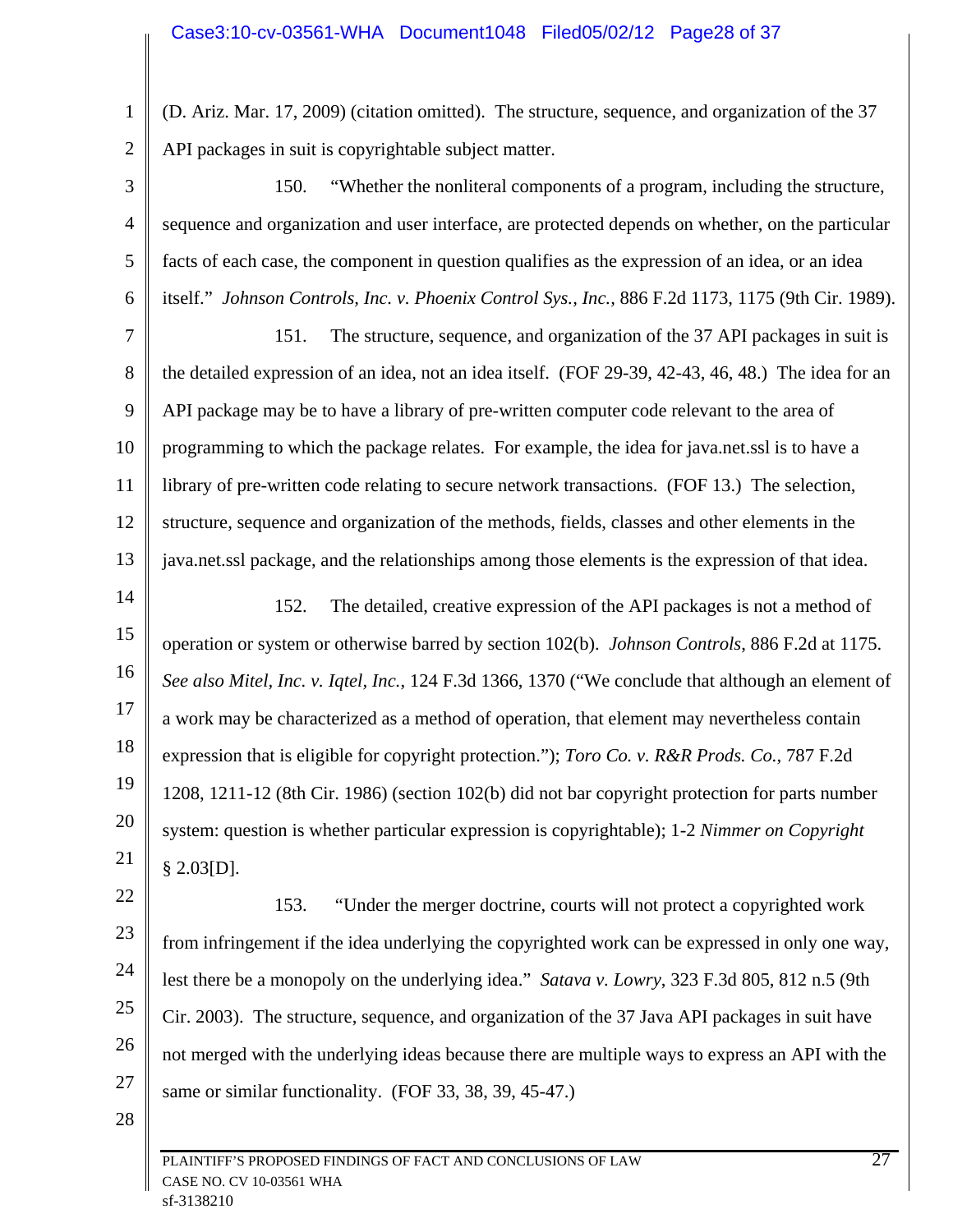1 2 (D. Ariz. Mar. 17, 2009) (citation omitted). The structure, sequence, and organization of the 37 API packages in suit is copyrightable subject matter.

3 4 5 6 150. "Whether the nonliteral components of a program, including the structure, sequence and organization and user interface, are protected depends on whether, on the particular facts of each case, the component in question qualifies as the expression of an idea, or an idea itself." *Johnson Controls, Inc. v. Phoenix Control Sys., Inc.,* 886 F.2d 1173, 1175 (9th Cir. 1989).

7 8 9 10 11 12 13 151. The structure, sequence, and organization of the 37 API packages in suit is the detailed expression of an idea, not an idea itself. (FOF 29-39, 42-43, 46, 48.) The idea for an API package may be to have a library of pre-written computer code relevant to the area of programming to which the package relates. For example, the idea for java.net.ssl is to have a library of pre-written code relating to secure network transactions. (FOF 13.) The selection, structure, sequence and organization of the methods, fields, classes and other elements in the java.net.ssl package, and the relationships among those elements is the expression of that idea.

14 15 16 17 18 19 20 21 152. The detailed, creative expression of the API packages is not a method of operation or system or otherwise barred by section 102(b). *Johnson Controls*, 886 F.2d at 1175. *See also Mitel, Inc. v. Iqtel, Inc.*, 124 F.3d 1366, 1370 ("We conclude that although an element of a work may be characterized as a method of operation, that element may nevertheless contain expression that is eligible for copyright protection."); *Toro Co. v. R&R Prods. Co.*, 787 F.2d 1208, 1211-12 (8th Cir. 1986) (section 102(b) did not bar copyright protection for parts number system: question is whether particular expression is copyrightable); 1-2 *Nimmer on Copyright* § 2.03[D].

22 23 24 25 26 27 153. "Under the merger doctrine, courts will not protect a copyrighted work from infringement if the idea underlying the copyrighted work can be expressed in only one way, lest there be a monopoly on the underlying idea." *Satava v. Lowry*, 323 F.3d 805, 812 n.5 (9th Cir. 2003). The structure, sequence, and organization of the 37 Java API packages in suit have not merged with the underlying ideas because there are multiple ways to express an API with the same or similar functionality. (FOF 33, 38, 39, 45-47.)

28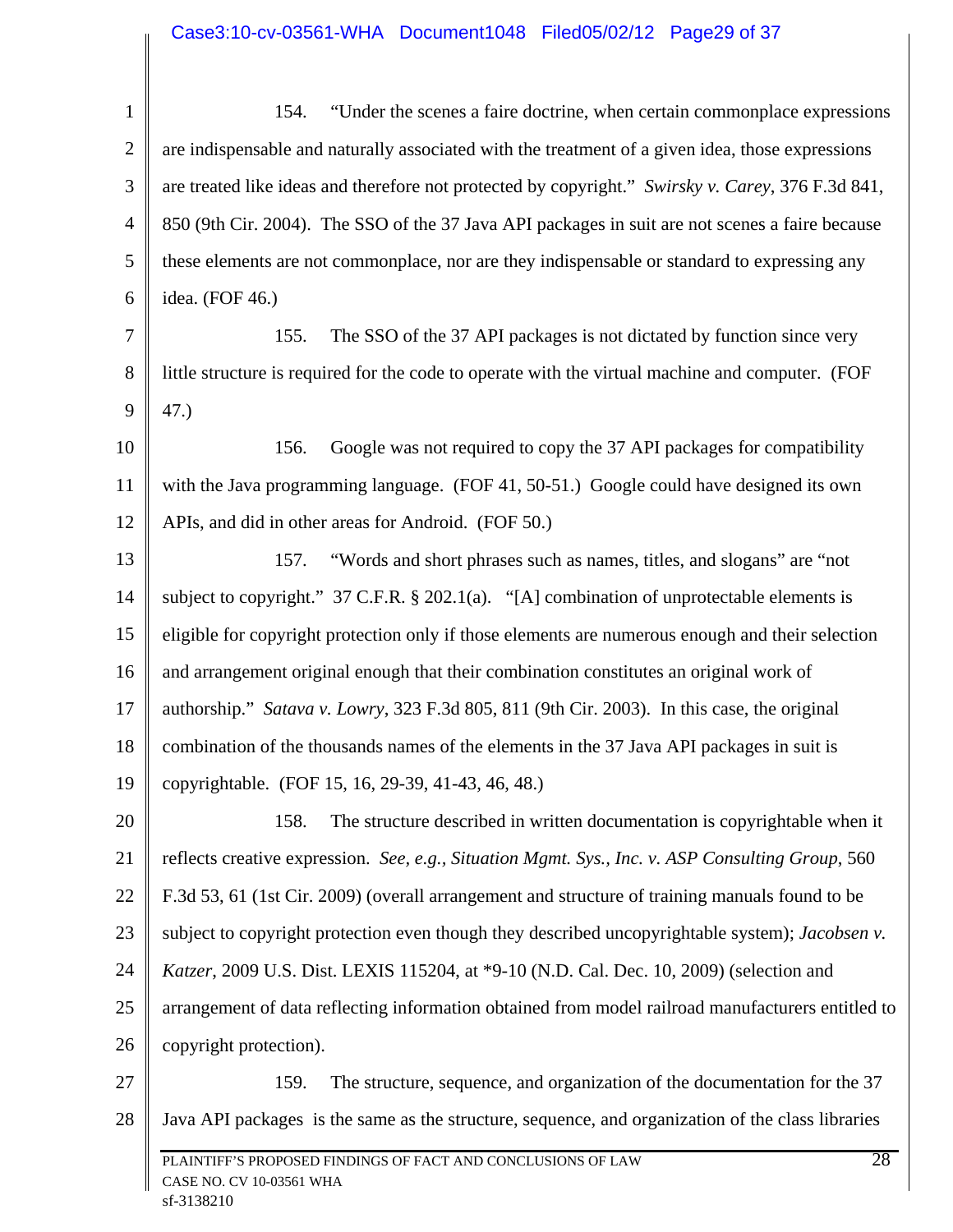| $\mathbf{1}$   | "Under the scenes a faire doctrine, when certain commonplace expressions<br>154.                  |  |  |  |  |
|----------------|---------------------------------------------------------------------------------------------------|--|--|--|--|
| $\overline{2}$ | are indispensable and naturally associated with the treatment of a given idea, those expressions  |  |  |  |  |
| 3              | are treated like ideas and therefore not protected by copyright." Swirsky v. Carey, 376 F.3d 841, |  |  |  |  |
| $\overline{4}$ | 850 (9th Cir. 2004). The SSO of the 37 Java API packages in suit are not scenes a faire because   |  |  |  |  |
| 5              | these elements are not commonplace, nor are they indispensable or standard to expressing any      |  |  |  |  |
| 6              | idea. (FOF 46.)                                                                                   |  |  |  |  |
| 7              | The SSO of the 37 API packages is not dictated by function since very<br>155.                     |  |  |  |  |
| 8              | little structure is required for the code to operate with the virtual machine and computer. (FOF  |  |  |  |  |
| 9              | 47.)                                                                                              |  |  |  |  |
| 10             | Google was not required to copy the 37 API packages for compatibility<br>156.                     |  |  |  |  |
| 11             | with the Java programming language. (FOF 41, 50-51.) Google could have designed its own           |  |  |  |  |
| 12             | APIs, and did in other areas for Android. (FOF 50.)                                               |  |  |  |  |
| 13             | "Words and short phrases such as names, titles, and slogans" are "not<br>157.                     |  |  |  |  |
| 14             | subject to copyright." 37 C.F.R. § 202.1(a). "[A] combination of unprotectable elements is        |  |  |  |  |
| 15             | eligible for copyright protection only if those elements are numerous enough and their selection  |  |  |  |  |
| 16             | and arrangement original enough that their combination constitutes an original work of            |  |  |  |  |
| 17             | authorship." Satava v. Lowry, 323 F.3d 805, 811 (9th Cir. 2003). In this case, the original       |  |  |  |  |
| 18             | combination of the thousands names of the elements in the 37 Java API packages in suit is         |  |  |  |  |
| 19             | copyrightable. (FOF 15, 16, 29-39, 41-43, 46, 48.)                                                |  |  |  |  |
| 20             | The structure described in written documentation is copyrightable when it<br>158.                 |  |  |  |  |
| 21             | reflects creative expression. See, e.g., Situation Mgmt. Sys., Inc. v. ASP Consulting Group, 560  |  |  |  |  |
| 22             | F.3d 53, 61 (1st Cir. 2009) (overall arrangement and structure of training manuals found to be    |  |  |  |  |
| 23             | subject to copyright protection even though they described uncopyrightable system); Jacobsen v.   |  |  |  |  |
| 24             | Katzer, 2009 U.S. Dist. LEXIS 115204, at *9-10 (N.D. Cal. Dec. 10, 2009) (selection and           |  |  |  |  |
| 25             | arrangement of data reflecting information obtained from model railroad manufacturers entitled to |  |  |  |  |
| 26             | copyright protection).                                                                            |  |  |  |  |
| 27             | The structure, sequence, and organization of the documentation for the 37<br>159.                 |  |  |  |  |
| 28             | Java API packages is the same as the structure, sequence, and organization of the class libraries |  |  |  |  |
|                | 28<br>PLAINTIFF'S PROPOSED FINDINGS OF FACT AND CONCLUSIONS OF LAW<br>CASE NO. CV 10-03561 WHA    |  |  |  |  |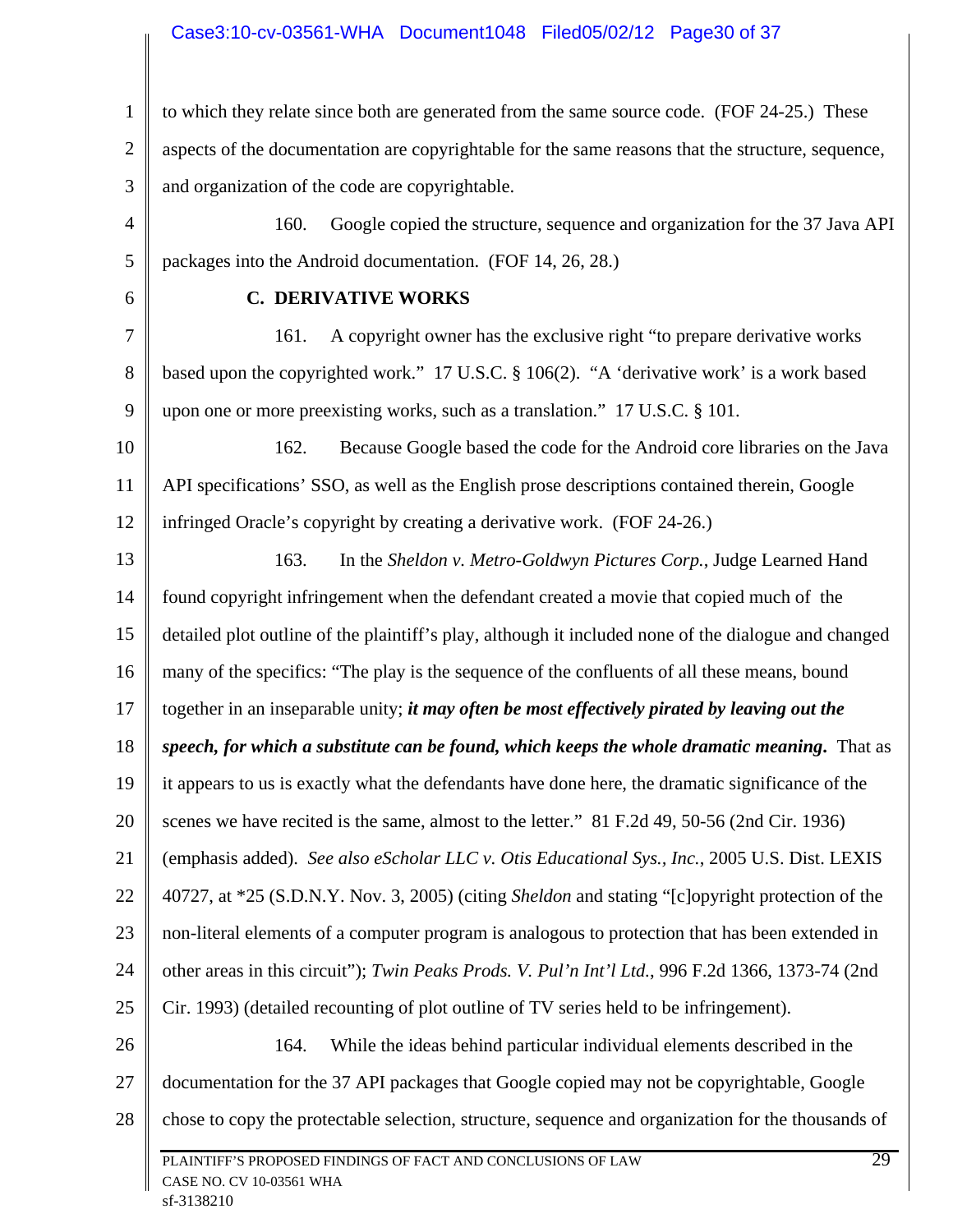### Case3:10-cv-03561-WHA Document1048 Filed05/02/12 Page30 of 37

1 2 3 to which they relate since both are generated from the same source code. (FOF 24-25.) These aspects of the documentation are copyrightable for the same reasons that the structure, sequence, and organization of the code are copyrightable.

4 5 160. Google copied the structure, sequence and organization for the 37 Java API packages into the Android documentation. (FOF 14, 26, 28.)

6

#### **C. DERIVATIVE WORKS**

7 8 9 161. A copyright owner has the exclusive right "to prepare derivative works based upon the copyrighted work." 17 U.S.C. § 106(2). "A 'derivative work' is a work based upon one or more preexisting works, such as a translation." 17 U.S.C. § 101.

10 11 12 162. Because Google based the code for the Android core libraries on the Java API specifications' SSO, as well as the English prose descriptions contained therein, Google infringed Oracle's copyright by creating a derivative work. (FOF 24-26.)

13 14 15 16 17 18 19 20 21 22 23 24 25 26 27 163. In the *Sheldon v. Metro-Goldwyn Pictures Corp.*, Judge Learned Hand found copyright infringement when the defendant created a movie that copied much of the detailed plot outline of the plaintiff's play, although it included none of the dialogue and changed many of the specifics: "The play is the sequence of the confluents of all these means, bound together in an inseparable unity; *it may often be most effectively pirated by leaving out the speech, for which a substitute can be found, which keeps the whole dramatic meaning***.** That as it appears to us is exactly what the defendants have done here, the dramatic significance of the scenes we have recited is the same, almost to the letter." 81 F.2d 49, 50-56 (2nd Cir. 1936) (emphasis added). *See also eScholar LLC v. Otis Educational Sys., Inc.*, 2005 U.S. Dist. LEXIS 40727, at \*25 (S.D.N.Y. Nov. 3, 2005) (citing *Sheldon* and stating "[c]opyright protection of the non-literal elements of a computer program is analogous to protection that has been extended in other areas in this circuit"); *Twin Peaks Prods. V. Pul'n Int'l Ltd.*, 996 F.2d 1366, 1373-74 (2nd Cir. 1993) (detailed recounting of plot outline of TV series held to be infringement). 164. While the ideas behind particular individual elements described in the documentation for the 37 API packages that Google copied may not be copyrightable, Google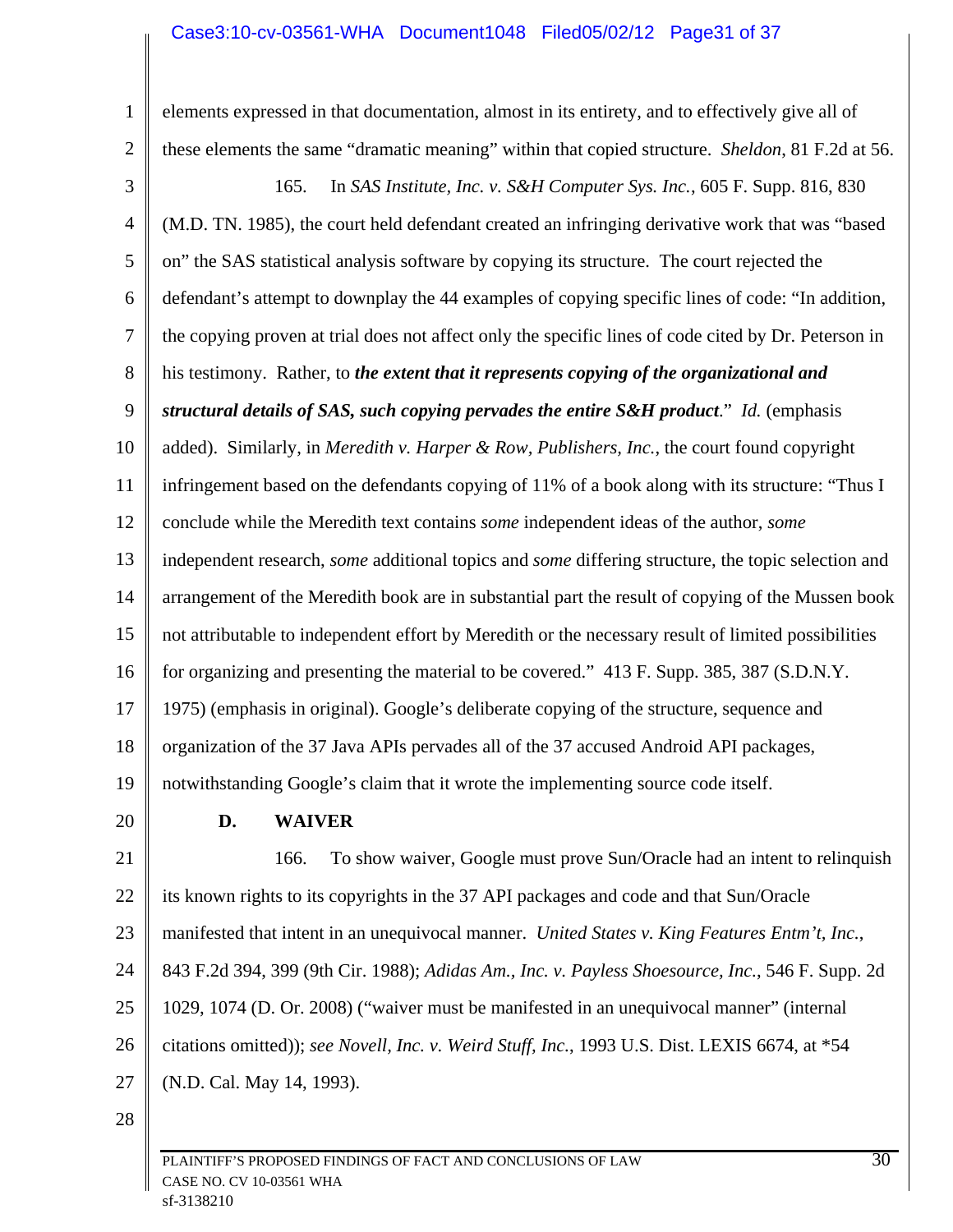### Case3:10-cv-03561-WHA Document1048 Filed05/02/12 Page31 of 37

1 2 3 4 5 6 7 8 9 10 11 12 13 14 15 16 17 18 19 20 21 22 23 24 25 26 27 28 elements expressed in that documentation, almost in its entirety, and to effectively give all of these elements the same "dramatic meaning" within that copied structure. *Sheldon*, 81 F.2d at 56. 165. In *SAS Institute, Inc. v. S&H Computer Sys. Inc.*, 605 F. Supp. 816, 830 (M.D. TN. 1985), the court held defendant created an infringing derivative work that was "based on" the SAS statistical analysis software by copying its structure. The court rejected the defendant's attempt to downplay the 44 examples of copying specific lines of code: "In addition, the copying proven at trial does not affect only the specific lines of code cited by Dr. Peterson in his testimony. Rather, to *the extent that it represents copying of the organizational and structural details of SAS, such copying pervades the entire S&H product*." *Id.* (emphasis added). Similarly, in *Meredith v. Harper & Row, Publishers, Inc.*, the court found copyright infringement based on the defendants copying of 11% of a book along with its structure: "Thus I conclude while the Meredith text contains *some* independent ideas of the author, *some* independent research, *some* additional topics and *some* differing structure, the topic selection and arrangement of the Meredith book are in substantial part the result of copying of the Mussen book not attributable to independent effort by Meredith or the necessary result of limited possibilities for organizing and presenting the material to be covered." 413 F. Supp. 385, 387 (S.D.N.Y. 1975) (emphasis in original). Google's deliberate copying of the structure, sequence and organization of the 37 Java APIs pervades all of the 37 accused Android API packages, notwithstanding Google's claim that it wrote the implementing source code itself. **D. WAIVER**  166. To show waiver, Google must prove Sun/Oracle had an intent to relinquish its known rights to its copyrights in the 37 API packages and code and that Sun/Oracle manifested that intent in an unequivocal manner. *United States v. King Features Entm't, Inc.*, 843 F.2d 394, 399 (9th Cir. 1988); *Adidas Am., Inc. v. Payless Shoesource, Inc.*, 546 F. Supp. 2d 1029, 1074 (D. Or. 2008) ("waiver must be manifested in an unequivocal manner" (internal citations omitted)); *see Novell, Inc. v. Weird Stuff, Inc.*, 1993 U.S. Dist. LEXIS 6674, at \*54 (N.D. Cal. May 14, 1993).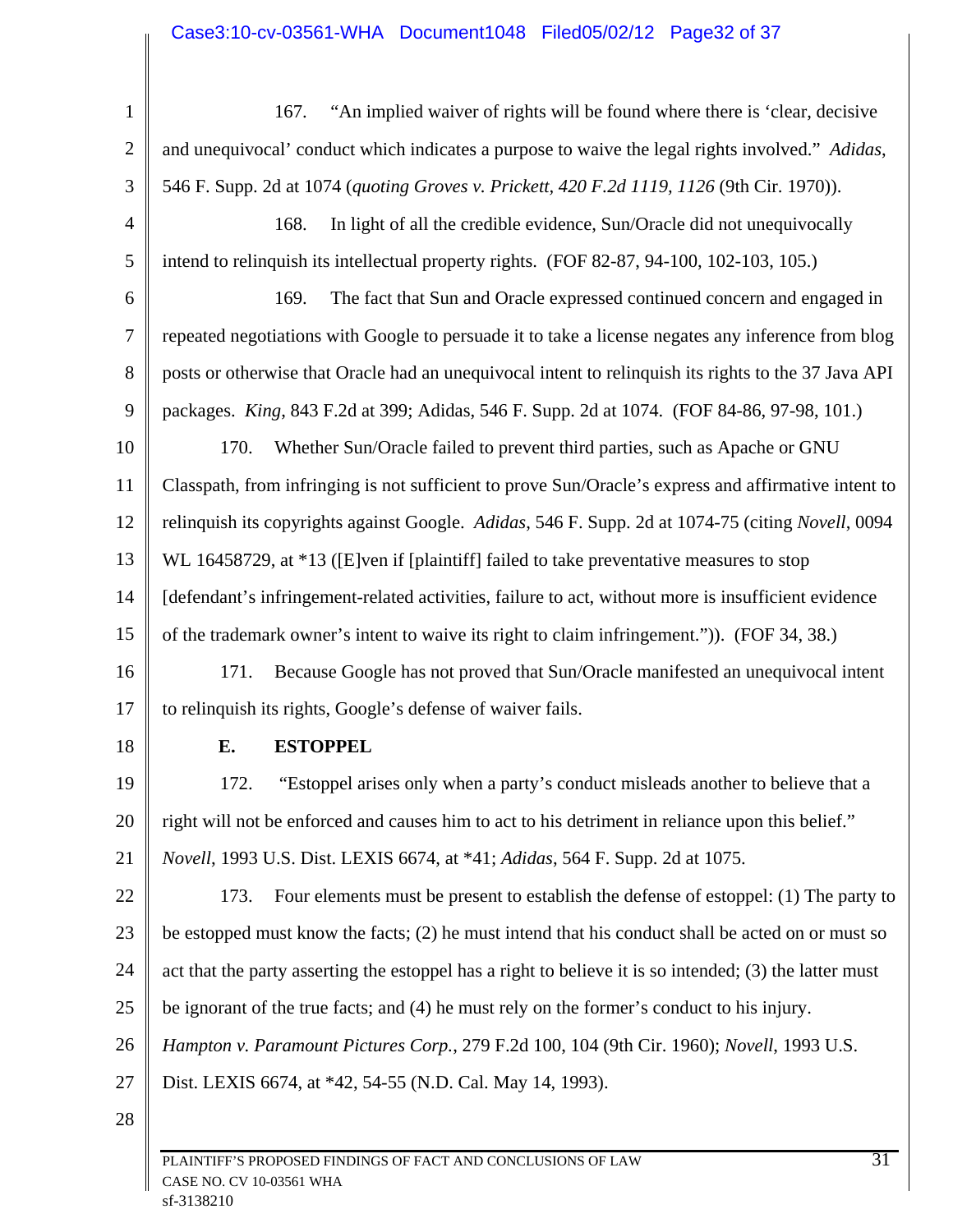### Case3:10-cv-03561-WHA Document1048 Filed05/02/12 Page32 of 37

| $\mathbf{1}$   | "An implied waiver of rights will be found where there is 'clear, decisive<br>167.                      |  |  |  |
|----------------|---------------------------------------------------------------------------------------------------------|--|--|--|
| 2              | and unequivocal' conduct which indicates a purpose to waive the legal rights involved." Adidas,         |  |  |  |
| 3              | 546 F. Supp. 2d at 1074 (quoting Groves v. Prickett, 420 F.2d 1119, 1126 (9th Cir. 1970)).              |  |  |  |
| $\overline{4}$ | 168.<br>In light of all the credible evidence, Sun/Oracle did not unequivocally                         |  |  |  |
| 5              | intend to relinquish its intellectual property rights. (FOF 82-87, 94-100, 102-103, 105.)               |  |  |  |
| 6              | The fact that Sun and Oracle expressed continued concern and engaged in<br>169.                         |  |  |  |
| 7              | repeated negotiations with Google to persuade it to take a license negates any inference from blog      |  |  |  |
| $8\phantom{1}$ | posts or otherwise that Oracle had an unequivocal intent to relinquish its rights to the 37 Java API    |  |  |  |
| 9              | packages. King, 843 F.2d at 399; Adidas, 546 F. Supp. 2d at 1074. (FOF 84-86, 97-98, 101.)              |  |  |  |
| 10             | Whether Sun/Oracle failed to prevent third parties, such as Apache or GNU<br>170.                       |  |  |  |
| 11             | Classpath, from infringing is not sufficient to prove Sun/Oracle's express and affirmative intent to    |  |  |  |
| 12             | relinquish its copyrights against Google. Adidas, 546 F. Supp. 2d at 1074-75 (citing Novell, 0094       |  |  |  |
| 13             | WL 16458729, at *13 ([E]ven if [plaintiff] failed to take preventative measures to stop                 |  |  |  |
| 14             | [defendant's infringement-related activities, failure to act, without more is insufficient evidence     |  |  |  |
| 15             | of the trademark owner's intent to waive its right to claim infringement.")). (FOF 34, 38.)             |  |  |  |
| 16             | Because Google has not proved that Sun/Oracle manifested an unequivocal intent<br>171.                  |  |  |  |
| 17             | to relinquish its rights, Google's defense of waiver fails.                                             |  |  |  |
| 18             | <b>ESTOPPEL</b><br>E.                                                                                   |  |  |  |
| 19             | "Estoppel arises only when a party's conduct misleads another to believe that a<br>172.                 |  |  |  |
| 20             | right will not be enforced and causes him to act to his detriment in reliance upon this belief."        |  |  |  |
| 21             | <i>Novell</i> , 1993 U.S. Dist. LEXIS 6674, at *41; <i>Adidas</i> , 564 F. Supp. 2d at 1075.            |  |  |  |
| 22             | 173.<br>Four elements must be present to establish the defense of estoppel: (1) The party to            |  |  |  |
| 23             | be estopped must know the facts; (2) he must intend that his conduct shall be acted on or must so       |  |  |  |
| 24             | act that the party asserting the estoppel has a right to believe it is so intended; (3) the latter must |  |  |  |
| 25             | be ignorant of the true facts; and (4) he must rely on the former's conduct to his injury.              |  |  |  |
| 26             | Hampton v. Paramount Pictures Corp., 279 F.2d 100, 104 (9th Cir. 1960); Novell, 1993 U.S.               |  |  |  |
| 27             | Dist. LEXIS 6674, at *42, 54-55 (N.D. Cal. May 14, 1993).                                               |  |  |  |
| 28             |                                                                                                         |  |  |  |
|                |                                                                                                         |  |  |  |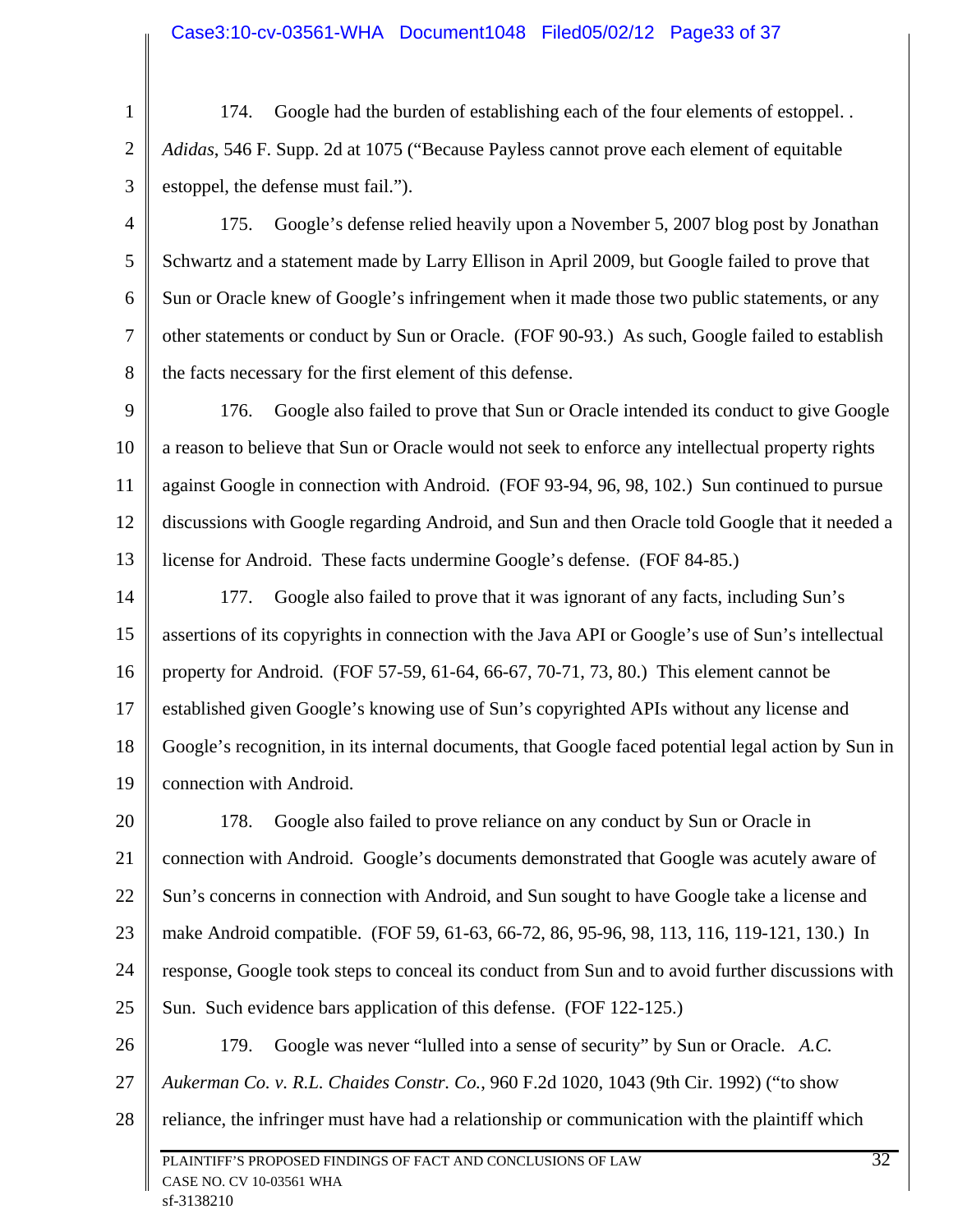1 2 3 174. Google had the burden of establishing each of the four elements of estoppel. . *Adidas*, 546 F. Supp. 2d at 1075 ("Because Payless cannot prove each element of equitable estoppel, the defense must fail.").

4 5 6 7 8 175. Google's defense relied heavily upon a November 5, 2007 blog post by Jonathan Schwartz and a statement made by Larry Ellison in April 2009, but Google failed to prove that Sun or Oracle knew of Google's infringement when it made those two public statements, or any other statements or conduct by Sun or Oracle. (FOF 90-93.) As such, Google failed to establish the facts necessary for the first element of this defense.

9 10 11 12 13 176. Google also failed to prove that Sun or Oracle intended its conduct to give Google a reason to believe that Sun or Oracle would not seek to enforce any intellectual property rights against Google in connection with Android. (FOF 93-94, 96, 98, 102.) Sun continued to pursue discussions with Google regarding Android, and Sun and then Oracle told Google that it needed a license for Android. These facts undermine Google's defense. (FOF 84-85.)

14 15 16 17 18 19 177. Google also failed to prove that it was ignorant of any facts, including Sun's assertions of its copyrights in connection with the Java API or Google's use of Sun's intellectual property for Android. (FOF 57-59, 61-64, 66-67, 70-71, 73, 80.) This element cannot be established given Google's knowing use of Sun's copyrighted APIs without any license and Google's recognition, in its internal documents, that Google faced potential legal action by Sun in connection with Android.

20 21 22 23 24 25 178. Google also failed to prove reliance on any conduct by Sun or Oracle in connection with Android. Google's documents demonstrated that Google was acutely aware of Sun's concerns in connection with Android, and Sun sought to have Google take a license and make Android compatible. (FOF 59, 61-63, 66-72, 86, 95-96, 98, 113, 116, 119-121, 130.) In response, Google took steps to conceal its conduct from Sun and to avoid further discussions with Sun. Such evidence bars application of this defense. (FOF 122-125.)

26 27 28 PLAINTIFF'S PROPOSED FINDINGS OF FACT AND CONCLUSIONS OF LAW 32 CASE NO. CV 10-03561 WHA 179. Google was never "lulled into a sense of security" by Sun or Oracle. *A.C. Aukerman Co. v. R.L. Chaides Constr. Co.*, 960 F.2d 1020, 1043 (9th Cir. 1992) ("to show reliance, the infringer must have had a relationship or communication with the plaintiff which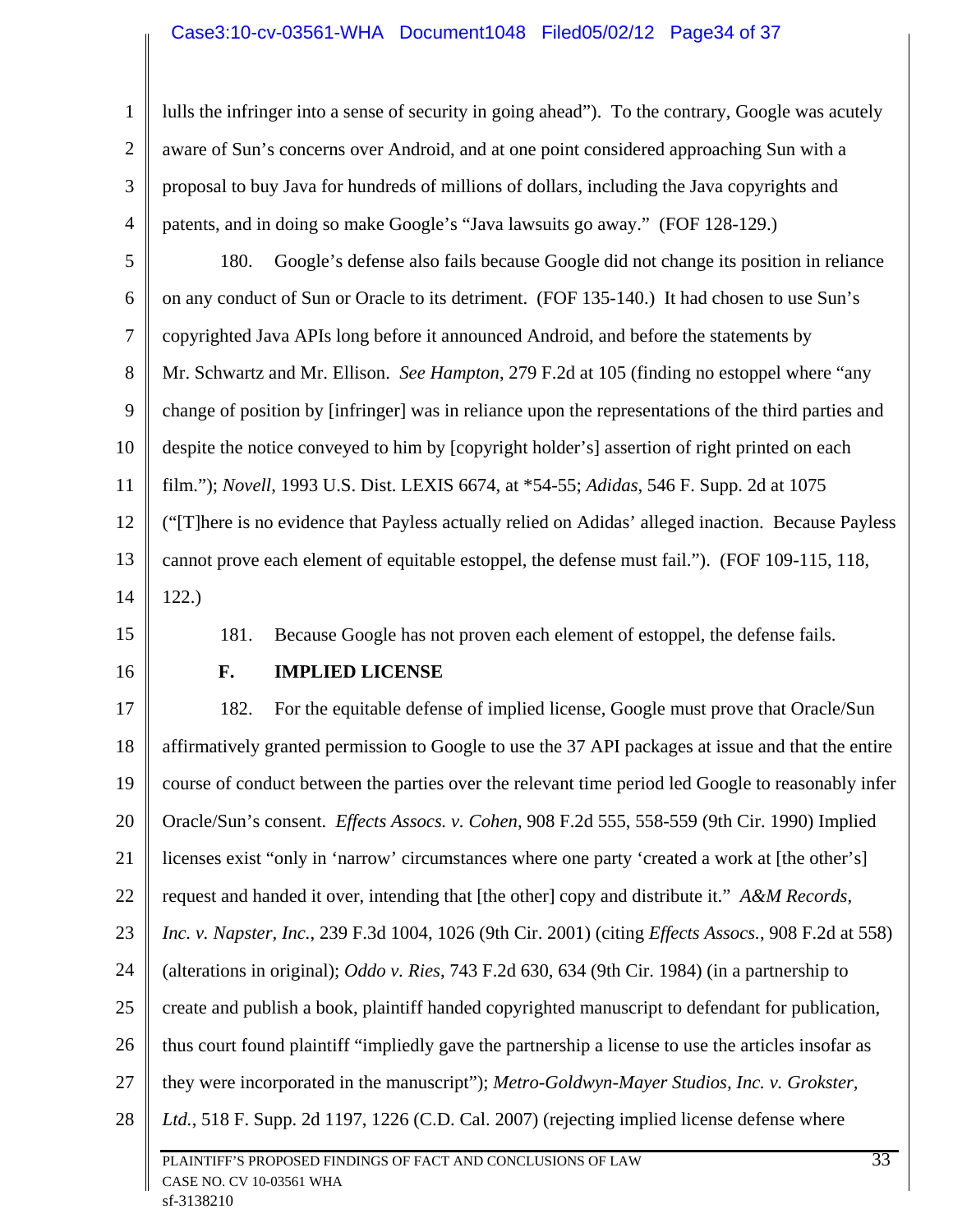1 2 3 4 lulls the infringer into a sense of security in going ahead"). To the contrary, Google was acutely aware of Sun's concerns over Android, and at one point considered approaching Sun with a proposal to buy Java for hundreds of millions of dollars, including the Java copyrights and patents, and in doing so make Google's "Java lawsuits go away." (FOF 128-129.)

5 6 7 8 9 10 11 12 13 14 180. Google's defense also fails because Google did not change its position in reliance on any conduct of Sun or Oracle to its detriment. (FOF 135-140.) It had chosen to use Sun's copyrighted Java APIs long before it announced Android, and before the statements by Mr. Schwartz and Mr. Ellison. *See Hampton*, 279 F.2d at 105 (finding no estoppel where "any change of position by [infringer] was in reliance upon the representations of the third parties and despite the notice conveyed to him by [copyright holder's] assertion of right printed on each film."); *Novell*, 1993 U.S. Dist. LEXIS 6674, at \*54-55; *Adidas*, 546 F. Supp. 2d at 1075 ("[T]here is no evidence that Payless actually relied on Adidas' alleged inaction. Because Payless cannot prove each element of equitable estoppel, the defense must fail."). (FOF 109-115, 118, 122.)

15

181. Because Google has not proven each element of estoppel, the defense fails.

16

### **F. IMPLIED LICENSE**

17 18 19 20 21 22 23 24 25 26 27 28 PLAINTIFF'S PROPOSED FINDINGS OF FACT AND CONCLUSIONS OF LAW 33 182. For the equitable defense of implied license, Google must prove that Oracle/Sun affirmatively granted permission to Google to use the 37 API packages at issue and that the entire course of conduct between the parties over the relevant time period led Google to reasonably infer Oracle/Sun's consent. *Effects Assocs. v. Cohen*, 908 F.2d 555, 558-559 (9th Cir. 1990) Implied licenses exist "only in 'narrow' circumstances where one party 'created a work at [the other's] request and handed it over, intending that [the other] copy and distribute it." *A&M Records, Inc. v. Napster, Inc.*, 239 F.3d 1004, 1026 (9th Cir. 2001) (citing *Effects Assocs.*, 908 F.2d at 558) (alterations in original); *Oddo v. Ries*, 743 F.2d 630, 634 (9th Cir. 1984) (in a partnership to create and publish a book, plaintiff handed copyrighted manuscript to defendant for publication, thus court found plaintiff "impliedly gave the partnership a license to use the articles insofar as they were incorporated in the manuscript"); *Metro-Goldwyn-Mayer Studios, Inc. v. Grokster, Ltd.*, 518 F. Supp. 2d 1197, 1226 (C.D. Cal. 2007) (rejecting implied license defense where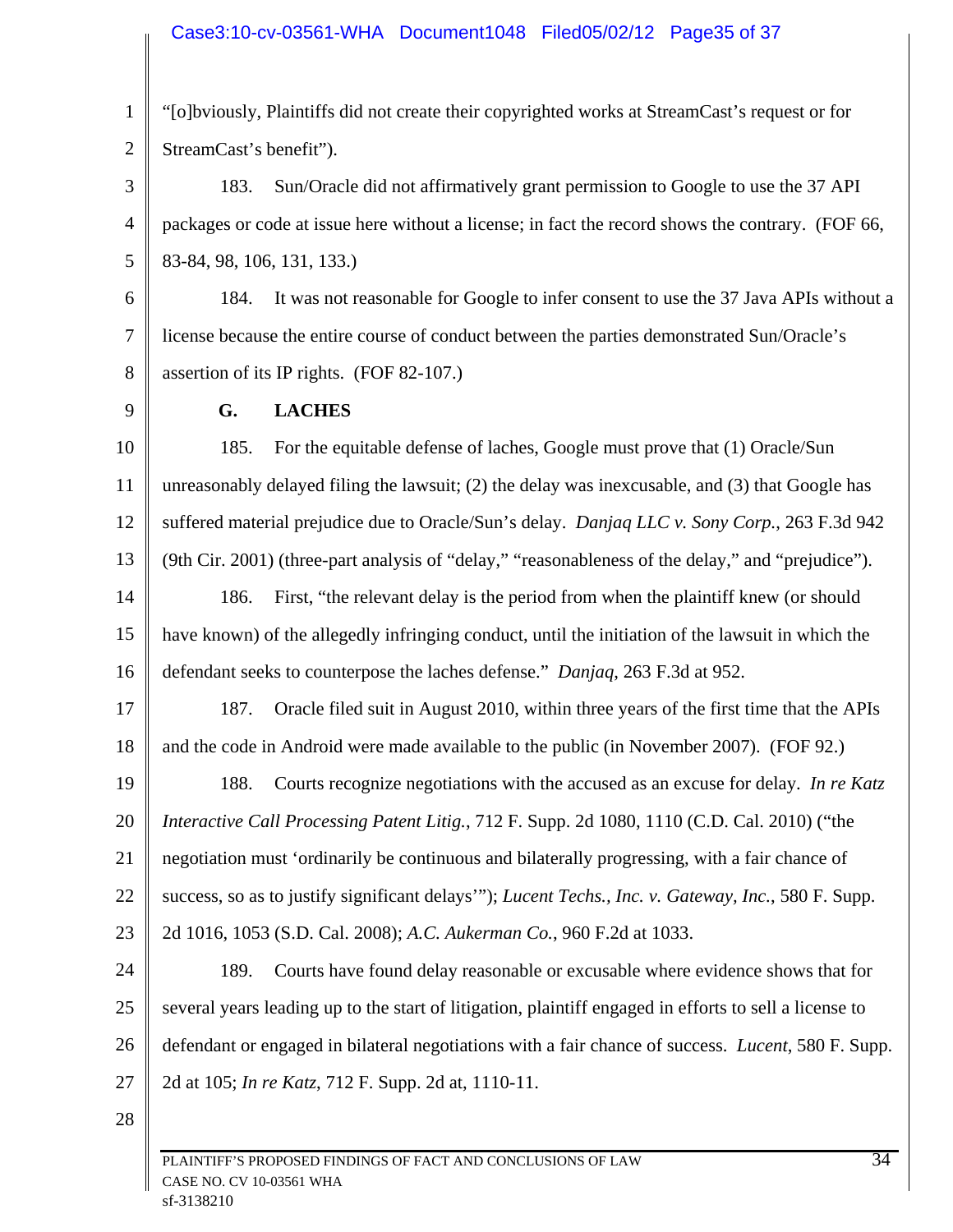### Case3:10-cv-03561-WHA Document1048 Filed05/02/12 Page35 of 37

1 2 "[o]bviously, Plaintiffs did not create their copyrighted works at StreamCast's request or for StreamCast's benefit").

3 4 5 183. Sun/Oracle did not affirmatively grant permission to Google to use the 37 API packages or code at issue here without a license; in fact the record shows the contrary. (FOF 66, 83-84, 98, 106, 131, 133.)

6 7 8 184. It was not reasonable for Google to infer consent to use the 37 Java APIs without a license because the entire course of conduct between the parties demonstrated Sun/Oracle's assertion of its IP rights. (FOF 82-107.)

9

### **G. LACHES**

10 11 12 13 14 185. For the equitable defense of laches, Google must prove that (1) Oracle/Sun unreasonably delayed filing the lawsuit; (2) the delay was inexcusable, and (3) that Google has suffered material prejudice due to Oracle/Sun's delay. *Danjaq LLC v. Sony Corp.*, 263 F.3d 942 (9th Cir. 2001) (three-part analysis of "delay," "reasonableness of the delay," and "prejudice"). 186. First, "the relevant delay is the period from when the plaintiff knew (or should

15 16 have known) of the allegedly infringing conduct, until the initiation of the lawsuit in which the defendant seeks to counterpose the laches defense." *Danjaq*, 263 F.3d at 952.

17 18 187. Oracle filed suit in August 2010, within three years of the first time that the APIs and the code in Android were made available to the public (in November 2007). (FOF 92.)

19 20 21 22 23 188. Courts recognize negotiations with the accused as an excuse for delay. *In re Katz Interactive Call Processing Patent Litig.*, 712 F. Supp. 2d 1080, 1110 (C.D. Cal. 2010) ("the negotiation must 'ordinarily be continuous and bilaterally progressing, with a fair chance of success, so as to justify significant delays'"); *Lucent Techs., Inc. v. Gateway, Inc.*, 580 F. Supp. 2d 1016, 1053 (S.D. Cal. 2008); *A.C. Aukerman Co.*, 960 F.2d at 1033.

24 25 26 27 189. Courts have found delay reasonable or excusable where evidence shows that for several years leading up to the start of litigation, plaintiff engaged in efforts to sell a license to defendant or engaged in bilateral negotiations with a fair chance of success. *Lucent*, 580 F. Supp. 2d at 105; *In re Katz*, 712 F. Supp. 2d at, 1110-11.

28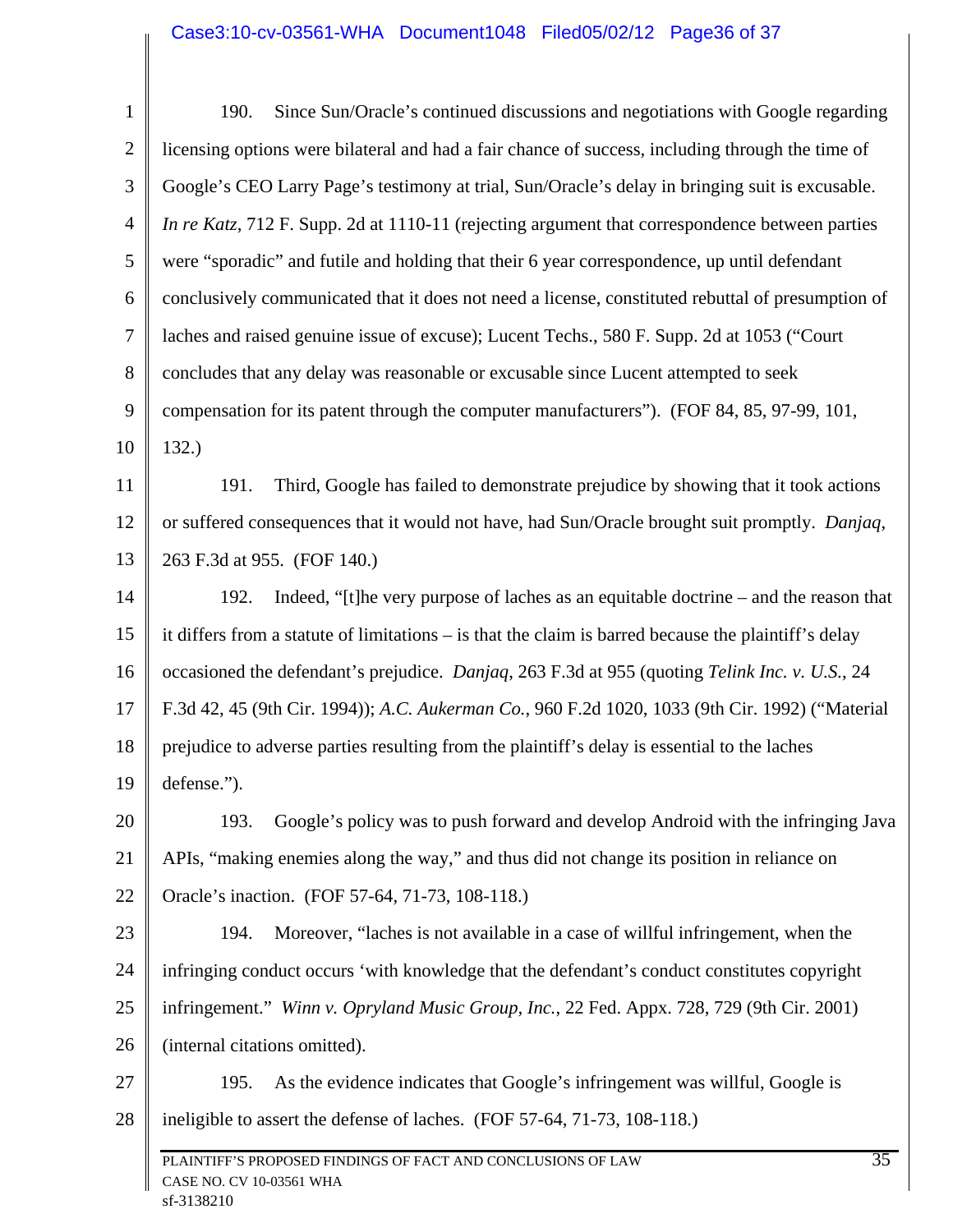## Case3:10-cv-03561-WHA Document1048 Filed05/02/12 Page36 of 37

| $\mathbf{1}$   | Since Sun/Oracle's continued discussions and negotiations with Google regarding<br>190.              |  |  |  |  |
|----------------|------------------------------------------------------------------------------------------------------|--|--|--|--|
| $\overline{2}$ | licensing options were bilateral and had a fair chance of success, including through the time of     |  |  |  |  |
| 3              | Google's CEO Larry Page's testimony at trial, Sun/Oracle's delay in bringing suit is excusable.      |  |  |  |  |
| $\overline{4}$ | In re Katz, 712 F. Supp. 2d at 1110-11 (rejecting argument that correspondence between parties       |  |  |  |  |
| 5              | were "sporadic" and futile and holding that their 6 year correspondence, up until defendant          |  |  |  |  |
| 6              | conclusively communicated that it does not need a license, constituted rebuttal of presumption of    |  |  |  |  |
| 7              | laches and raised genuine issue of excuse); Lucent Techs., 580 F. Supp. 2d at 1053 ("Court           |  |  |  |  |
| 8              | concludes that any delay was reasonable or excusable since Lucent attempted to seek                  |  |  |  |  |
| 9              | compensation for its patent through the computer manufacturers"). (FOF 84, 85, 97-99, 101,           |  |  |  |  |
| 10             | 132.)                                                                                                |  |  |  |  |
| 11             | Third, Google has failed to demonstrate prejudice by showing that it took actions<br>191.            |  |  |  |  |
| 12             | or suffered consequences that it would not have, had Sun/Oracle brought suit promptly. Danjaq,       |  |  |  |  |
| 13             | 263 F.3d at 955. (FOF 140.)                                                                          |  |  |  |  |
| 14             | Indeed, "[t] he very purpose of laches as an equitable doctrine $-$ and the reason that<br>192.      |  |  |  |  |
| 15             | it differs from a statute of limitations – is that the claim is barred because the plaintiff's delay |  |  |  |  |
| 16             | occasioned the defendant's prejudice. Danjaq, 263 F.3d at 955 (quoting Telink Inc. v. U.S., 24       |  |  |  |  |
| 17             | F.3d 42, 45 (9th Cir. 1994)); A.C. Aukerman Co., 960 F.2d 1020, 1033 (9th Cir. 1992) ("Material      |  |  |  |  |
| 18             | prejudice to adverse parties resulting from the plaintiff's delay is essential to the laches         |  |  |  |  |
| 19             | defense.").                                                                                          |  |  |  |  |
| 20             | Google's policy was to push forward and develop Android with the infringing Java<br>193.             |  |  |  |  |
| 21             | APIs, "making enemies along the way," and thus did not change its position in reliance on            |  |  |  |  |
| 22             | Oracle's inaction. (FOF 57-64, 71-73, 108-118.)                                                      |  |  |  |  |
| 23             | 194.<br>Moreover, "laches is not available in a case of willful infringement, when the               |  |  |  |  |
| 24             | infringing conduct occurs 'with knowledge that the defendant's conduct constitutes copyright         |  |  |  |  |
| 25             | infringement." Winn v. Opryland Music Group, Inc., 22 Fed. Appx. 728, 729 (9th Cir. 2001)            |  |  |  |  |
| 26             | (internal citations omitted).                                                                        |  |  |  |  |
| 27             | As the evidence indicates that Google's infringement was willful, Google is<br>195.                  |  |  |  |  |
| 28             | ineligible to assert the defense of laches. (FOF 57-64, 71-73, 108-118.)                             |  |  |  |  |
|                | 35<br>PLAINTIFF'S PROPOSED FINDINGS OF FACT AND CONCLUSIONS OF LAW                                   |  |  |  |  |
|                | CASE NO. CV 10-03561 WHA<br>sf-3138210                                                               |  |  |  |  |